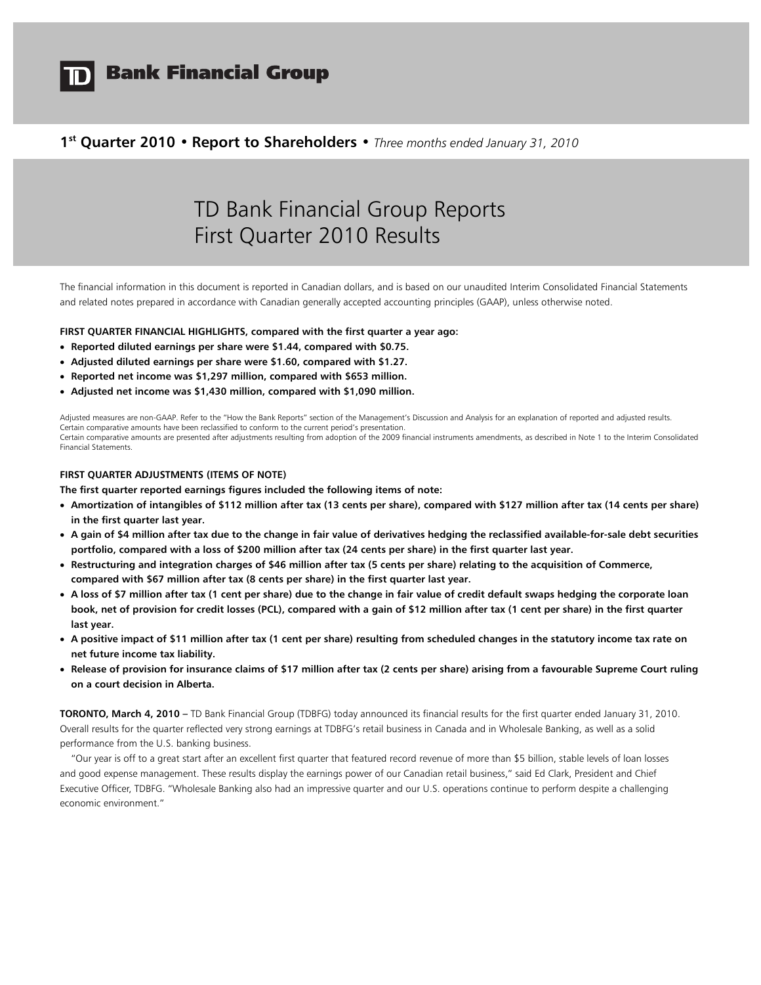

# **Bank Financial Group**

### **1st Quarter 2010 • Report to Shareholders •** *Three months ended January 31, 2010*

# TD Bank Financial Group Reports First Quarter 2010 Results

The financial information in this document is reported in Canadian dollars, and is based on our unaudited Interim Consolidated Financial Statements and related notes prepared in accordance with Canadian generally accepted accounting principles (GAAP), unless otherwise noted.

#### **FIRST QUARTER FINANCIAL HIGHLIGHTS, compared with the first quarter a year ago:**

- **Reported diluted earnings per share were \$1.44, compared with \$0.75.**
- **Adjusted diluted earnings per share were \$1.60, compared with \$1.27.**
- **Reported net income was \$1,297 million, compared with \$653 million.**
- **Adjusted net income was \$1,430 million, compared with \$1,090 million.**

Adjusted measures are non-GAAP. Refer to the "How the Bank Reports" section of the Management's Discussion and Analysis for an explanation of reported and adjusted results. Certain comparative amounts have been reclassified to conform to the current period's presentation. Certain comparative amounts are presented after adjustments resulting from adoption of the 2009 financial instruments amendments, as described in Note 1 to the Interim Consolidated Financial Statements.

#### **FIRST QUARTER ADJUSTMENTS (ITEMS OF NOTE)**

**The first quarter reported earnings figures included the following items of note:** 

- **Amortization of intangibles of \$112 million after tax (13 cents per share), compared with \$127 million after tax (14 cents per share) in the first quarter last year.**
- **A gain of \$4 million after tax due to the change in fair value of derivatives hedging the reclassified available-for-sale debt securities portfolio, compared with a loss of \$200 million after tax (24 cents per share) in the first quarter last year.**
- **Restructuring and integration charges of \$46 million after tax (5 cents per share) relating to the acquisition of Commerce, compared with \$67 million after tax (8 cents per share) in the first quarter last year.**
- **A loss of \$7 million after tax (1 cent per share) due to the change in fair value of credit default swaps hedging the corporate loan book, net of provision for credit losses (PCL), compared with a gain of \$12 million after tax (1 cent per share) in the first quarter last year.**
- **A positive impact of \$11 million after tax (1 cent per share) resulting from scheduled changes in the statutory income tax rate on net future income tax liability.**
- **Release of provision for insurance claims of \$17 million after tax (2 cents per share) arising from a favourable Supreme Court ruling on a court decision in Alberta.**

**TORONTO, March 4, 2010 –** TD Bank Financial Group (TDBFG) today announced its financial results for the first quarter ended January 31, 2010. Overall results for the quarter reflected very strong earnings at TDBFG's retail business in Canada and in Wholesale Banking, as well as a solid performance from the U.S. banking business.

 "Our year is off to a great start after an excellent first quarter that featured record revenue of more than \$5 billion, stable levels of loan losses and good expense management. These results display the earnings power of our Canadian retail business," said Ed Clark, President and Chief Executive Officer, TDBFG. "Wholesale Banking also had an impressive quarter and our U.S. operations continue to perform despite a challenging economic environment."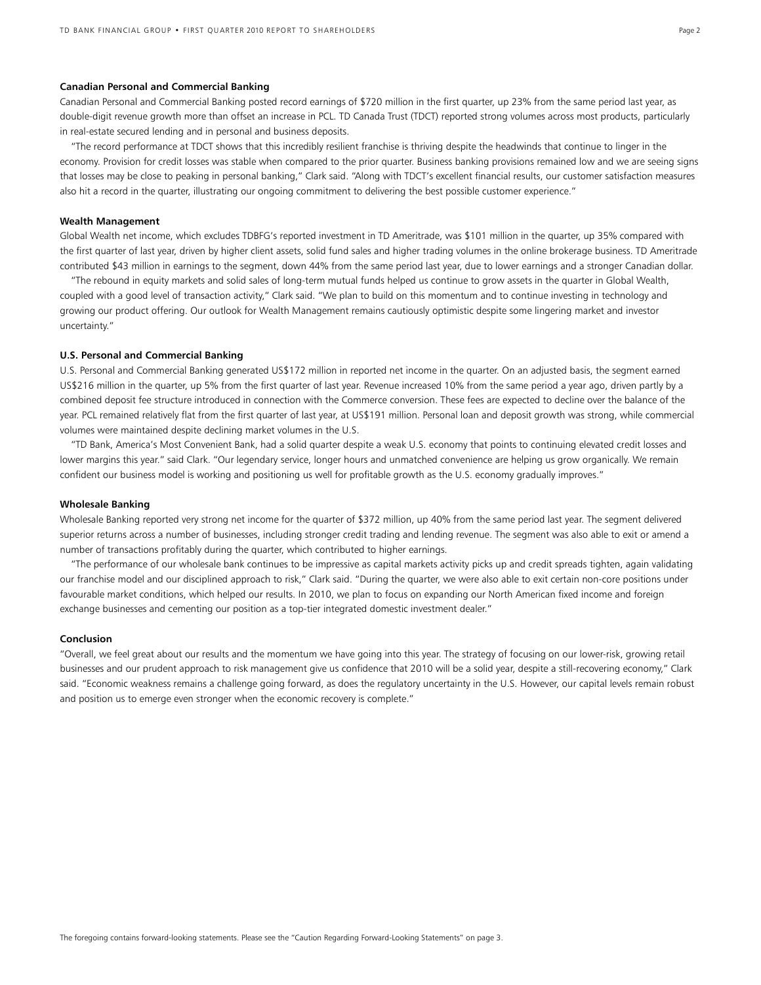#### **Canadian Personal and Commercial Banking**

Canadian Personal and Commercial Banking posted record earnings of \$720 million in the first quarter, up 23% from the same period last year, as double-digit revenue growth more than offset an increase in PCL. TD Canada Trust (TDCT) reported strong volumes across most products, particularly in real-estate secured lending and in personal and business deposits.

 "The record performance at TDCT shows that this incredibly resilient franchise is thriving despite the headwinds that continue to linger in the economy. Provision for credit losses was stable when compared to the prior quarter. Business banking provisions remained low and we are seeing signs that losses may be close to peaking in personal banking," Clark said. "Along with TDCT's excellent financial results, our customer satisfaction measures also hit a record in the quarter, illustrating our ongoing commitment to delivering the best possible customer experience."

#### **Wealth Management**

Global Wealth net income, which excludes TDBFG's reported investment in TD Ameritrade, was \$101 million in the quarter, up 35% compared with the first quarter of last year, driven by higher client assets, solid fund sales and higher trading volumes in the online brokerage business. TD Ameritrade contributed \$43 million in earnings to the segment, down 44% from the same period last year, due to lower earnings and a stronger Canadian dollar.

 "The rebound in equity markets and solid sales of long-term mutual funds helped us continue to grow assets in the quarter in Global Wealth, coupled with a good level of transaction activity," Clark said. "We plan to build on this momentum and to continue investing in technology and growing our product offering. Our outlook for Wealth Management remains cautiously optimistic despite some lingering market and investor uncertainty."

#### **U.S. Personal and Commercial Banking**

U.S. Personal and Commercial Banking generated US\$172 million in reported net income in the quarter. On an adjusted basis, the segment earned US\$216 million in the quarter, up 5% from the first quarter of last year. Revenue increased 10% from the same period a year ago, driven partly by a combined deposit fee structure introduced in connection with the Commerce conversion. These fees are expected to decline over the balance of the year. PCL remained relatively flat from the first quarter of last year, at US\$191 million. Personal loan and deposit growth was strong, while commercial volumes were maintained despite declining market volumes in the U.S.

"TD Bank, America's Most Convenient Bank, had a solid quarter despite a weak U.S. economy that points to continuing elevated credit losses and lower margins this year." said Clark. "Our legendary service, longer hours and unmatched convenience are helping us grow organically. We remain confident our business model is working and positioning us well for profitable growth as the U.S. economy gradually improves."

#### **Wholesale Banking**

Wholesale Banking reported very strong net income for the quarter of \$372 million, up 40% from the same period last year. The segment delivered superior returns across a number of businesses, including stronger credit trading and lending revenue. The segment was also able to exit or amend a number of transactions profitably during the quarter, which contributed to higher earnings.

 "The performance of our wholesale bank continues to be impressive as capital markets activity picks up and credit spreads tighten, again validating our franchise model and our disciplined approach to risk," Clark said. "During the quarter, we were also able to exit certain non-core positions under favourable market conditions, which helped our results. In 2010, we plan to focus on expanding our North American fixed income and foreign exchange businesses and cementing our position as a top-tier integrated domestic investment dealer."

#### **Conclusion**

"Overall, we feel great about our results and the momentum we have going into this year. The strategy of focusing on our lower-risk, growing retail businesses and our prudent approach to risk management give us confidence that 2010 will be a solid year, despite a still-recovering economy," Clark said. "Economic weakness remains a challenge going forward, as does the regulatory uncertainty in the U.S. However, our capital levels remain robust and position us to emerge even stronger when the economic recovery is complete."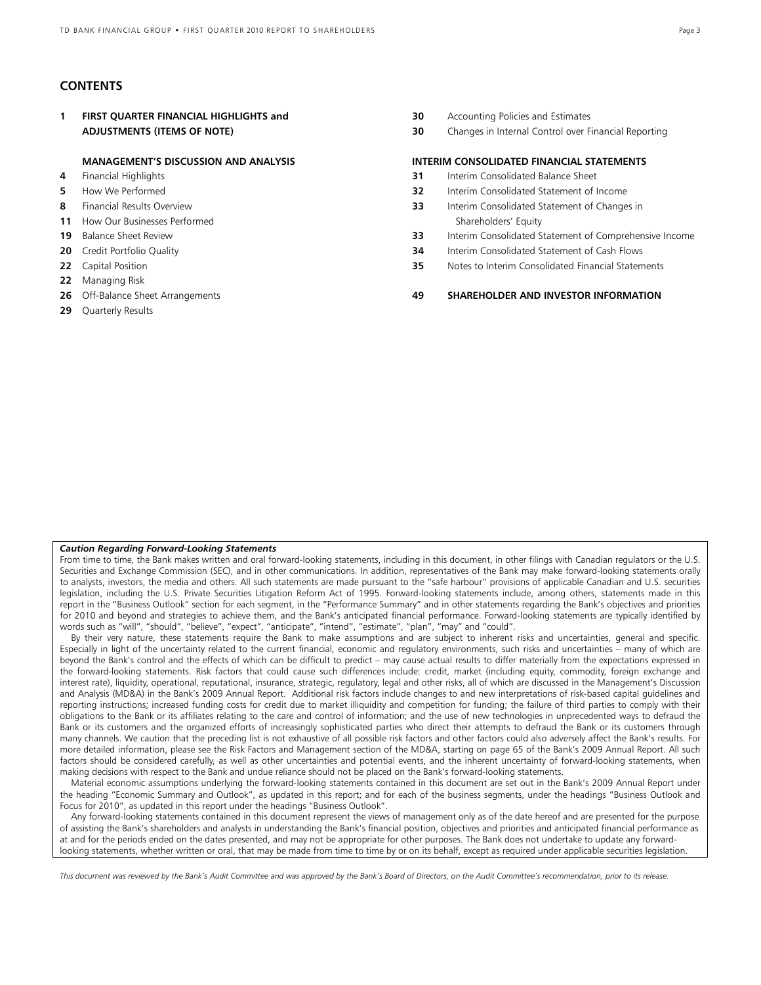### **CONTENTS**

**1 FIRST QUARTER FINANCIAL HIGHLIGHTS and 30** Accounting Policies and Estimates  **ADJUSTMENTS (ITEMS OF NOTE) 30** Changes in Internal Control over Financial Reporting

#### **MANAGEMENT'S DISCUSSION AND ANALYSIS INTERIM CONSOLIDATED FINANCIAL STATEMENTS**

- 
- 
- 
- **11** How Our Businesses Performed Shareholders' Equity
- 
- 
- 
- **22** Managing Risk
- 
- **29** Quarterly Results

- **4** Financial Highlights **31** Interim Consolidated Balance Sheet
- **5** How We Performed **32** Interim Consolidated Statement of Income
- **8** Financial Results Overview **33** Interim Consolidated Statement of Changes in
- **19** Balance Sheet Review **33** Interim Consolidated Statement of Comprehensive Income
- **20** Credit Portfolio Quality **34** Interim Consolidated Statement of Cash Flows
- **22** Capital Position **35** Notes to Interim Consolidated Financial Statements

#### **26** Off-Balance Sheet Arrangements **49 SHAREHOLDER AND INVESTOR INFORMATION**

#### *Caution Regarding Forward-Looking Statements*

From time to time, the Bank makes written and oral forward-looking statements, including in this document, in other filings with Canadian regulators or the U.S. Securities and Exchange Commission (SEC), and in other communications. In addition, representatives of the Bank may make forward-looking statements orally to analysts, investors, the media and others. All such statements are made pursuant to the "safe harbour" provisions of applicable Canadian and U.S. securities legislation, including the U.S. Private Securities Litigation Reform Act of 1995. Forward-looking statements include, among others, statements made in this report in the "Business Outlook" section for each segment, in the "Performance Summary" and in other statements regarding the Bank's objectives and priorities for 2010 and beyond and strategies to achieve them, and the Bank's anticipated financial performance. Forward-looking statements are typically identified by words such as "will", "should", "believe", "expect", "anticipate", "intend", "estimate", "plan", "may" and "could".

 By their very nature, these statements require the Bank to make assumptions and are subject to inherent risks and uncertainties, general and specific. Especially in light of the uncertainty related to the current financial, economic and regulatory environments, such risks and uncertainties – many of which are beyond the Bank's control and the effects of which can be difficult to predict – may cause actual results to differ materially from the expectations expressed in the forward-looking statements. Risk factors that could cause such differences include: credit, market (including equity, commodity, foreign exchange and interest rate), liquidity, operational, reputational, insurance, strategic, regulatory, legal and other risks, all of which are discussed in the Management's Discussion and Analysis (MD&A) in the Bank's 2009 Annual Report. Additional risk factors include changes to and new interpretations of risk-based capital guidelines and reporting instructions; increased funding costs for credit due to market illiquidity and competition for funding; the failure of third parties to comply with their obligations to the Bank or its affiliates relating to the care and control of information; and the use of new technologies in unprecedented ways to defraud the Bank or its customers and the organized efforts of increasingly sophisticated parties who direct their attempts to defraud the Bank or its customers through many channels. We caution that the preceding list is not exhaustive of all possible risk factors and other factors could also adversely affect the Bank's results. For more detailed information, please see the Risk Factors and Management section of the MD&A, starting on page 65 of the Bank's 2009 Annual Report. All such factors should be considered carefully, as well as other uncertainties and potential events, and the inherent uncertainty of forward-looking statements, when making decisions with respect to the Bank and undue reliance should not be placed on the Bank's forward-looking statements.

 Material economic assumptions underlying the forward-looking statements contained in this document are set out in the Bank's 2009 Annual Report under the heading "Economic Summary and Outlook", as updated in this report; and for each of the business segments, under the headings "Business Outlook and Focus for 2010", as updated in this report under the headings "Business Outlook".

 Any forward-looking statements contained in this document represent the views of management only as of the date hereof and are presented for the purpose of assisting the Bank's shareholders and analysts in understanding the Bank's financial position, objectives and priorities and anticipated financial performance as at and for the periods ended on the dates presented, and may not be appropriate for other purposes. The Bank does not undertake to update any forwardlooking statements, whether written or oral, that may be made from time to time by or on its behalf, except as required under applicable securities legislation.

*This document was reviewed by the Bank's Audit Committee and was approved by the Bank's Board of Directors, on the Audit Committee's recommendation, prior to its release.*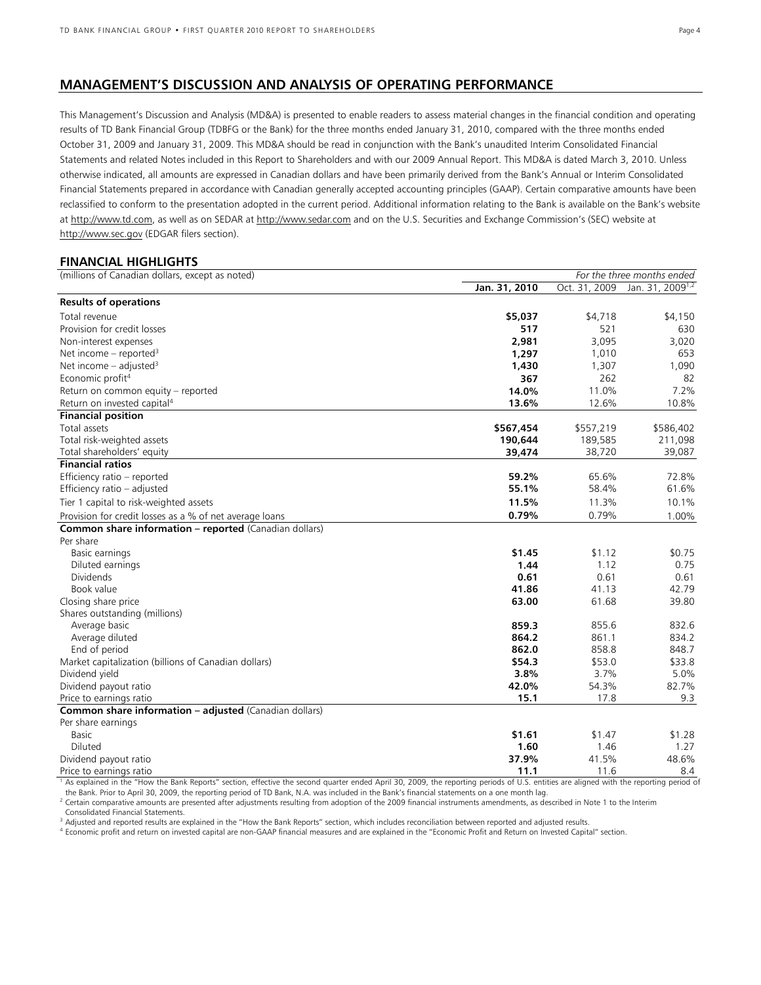### **MANAGEMENT'S DISCUSSION AND ANALYSIS OF OPERATING PERFORMANCE**

This Management's Discussion and Analysis (MD&A) is presented to enable readers to assess material changes in the financial condition and operating results of TD Bank Financial Group (TDBFG or the Bank) for the three months ended January 31, 2010, compared with the three months ended October 31, 2009 and January 31, 2009. This MD&A should be read in conjunction with the Bank's unaudited Interim Consolidated Financial Statements and related Notes included in this Report to Shareholders and with our 2009 Annual Report. This MD&A is dated March 3, 2010. Unless otherwise indicated, all amounts are expressed in Canadian dollars and have been primarily derived from the Bank's Annual or Interim Consolidated Financial Statements prepared in accordance with Canadian generally accepted accounting principles (GAAP). Certain comparative amounts have been reclassified to conform to the presentation adopted in the current period. Additional information relating to the Bank is available on the Bank's website at http://www.td.com, as well as on SEDAR at http://www.sedar.com and on the U.S. Securities and Exchange Commission's (SEC) website at http://www.sec.gov (EDGAR filers section).

### **FINANCIAL HIGHLIGHTS**

| (millions of Canadian dollars, except as noted)         |               | For the three months ended |                              |
|---------------------------------------------------------|---------------|----------------------------|------------------------------|
|                                                         | Jan. 31, 2010 | Oct. 31, 2009              | Jan. 31, 2009 <sup>1,2</sup> |
| <b>Results of operations</b>                            |               |                            |                              |
| Total revenue                                           | \$5,037       | \$4,718                    | \$4,150                      |
| Provision for credit losses                             | 517           | 521                        | 630                          |
| Non-interest expenses                                   | 2,981         | 3,095                      | 3,020                        |
| Net income – reported <sup>3</sup>                      | 1,297         | 1,010                      | 653                          |
| Net income $-$ adjusted <sup>3</sup>                    | 1,430         | 1,307                      | 1,090                        |
| Economic profit <sup>4</sup>                            | 367           | 262                        | 82                           |
| Return on common equity - reported                      | 14.0%         | 11.0%                      | 7.2%                         |
| Return on invested capital <sup>4</sup>                 | 13.6%         | 12.6%                      | 10.8%                        |
| <b>Financial position</b>                               |               |                            |                              |
| Total assets                                            | \$567,454     | \$557,219                  | \$586,402                    |
| Total risk-weighted assets                              | 190,644       | 189,585                    | 211,098                      |
| Total shareholders' equity                              | 39,474        | 38,720                     | 39,087                       |
| <b>Financial ratios</b>                                 |               |                            |                              |
| Efficiency ratio - reported                             | 59.2%         | 65.6%                      | 72.8%                        |
| Efficiency ratio - adjusted                             | 55.1%         | 58.4%                      | 61.6%                        |
| Tier 1 capital to risk-weighted assets                  | 11.5%         | 11.3%                      | 10.1%                        |
| Provision for credit losses as a % of net average loans | 0.79%         | 0.79%                      | 1.00%                        |
| Common share information - reported (Canadian dollars)  |               |                            |                              |
| Per share                                               |               |                            |                              |
| Basic earnings                                          | \$1.45        | \$1.12                     | \$0.75                       |
| Diluted earnings                                        | 1.44          | 1.12                       | 0.75                         |
| <b>Dividends</b>                                        | 0.61          | 0.61                       | 0.61                         |
| Book value                                              | 41.86         | 41.13                      | 42.79                        |
| Closing share price                                     | 63.00         | 61.68                      | 39.80                        |
| Shares outstanding (millions)                           |               |                            |                              |
| Average basic                                           | 859.3         | 855.6                      | 832.6                        |
| Average diluted                                         | 864.2         | 861.1                      | 834.2                        |
| End of period                                           | 862.0         | 858.8                      | 848.7                        |
| Market capitalization (billions of Canadian dollars)    | \$54.3        | \$53.0                     | \$33.8                       |
| Dividend yield                                          | 3.8%          | 3.7%                       | 5.0%                         |
| Dividend payout ratio                                   | 42.0%         | 54.3%                      | 82.7%                        |
| Price to earnings ratio                                 | 15.1          | 17.8                       | 9.3                          |
| Common share information - adjusted (Canadian dollars)  |               |                            |                              |
| Per share earnings                                      |               |                            |                              |
| Basic                                                   | \$1.61        | \$1.47                     | \$1.28                       |
| Diluted                                                 | 1.60          | 1.46                       | 1.27                         |
| Dividend payout ratio                                   | 37.9%         | 41.5%                      | 48.6%                        |
| Price to earnings ratio                                 | 11.1          | 11.6                       | 8.4                          |

<sup>1</sup> As explained in the "How the Bank Reports" section, effective the second quarter ended April 30, 2009, the reporting periods of U.S. entities are aligned with the reporting period of

the Bank. Prior to April 30, 2009, the reporting period of TD Bank, N.A. was included in the Bank's financial statements on a one month lag.<br><sup>2</sup> Certain comparative amounts are presented after adjustments resulting from ad

Consolidated Financial Statements.

<sup>3</sup> Adjusted and reported results are explained in the "How the Bank Reports" section, which includes reconciliation between reported and adjusted results.<br><sup>4</sup> Economic profit and return on invested capital are non-GAAP fi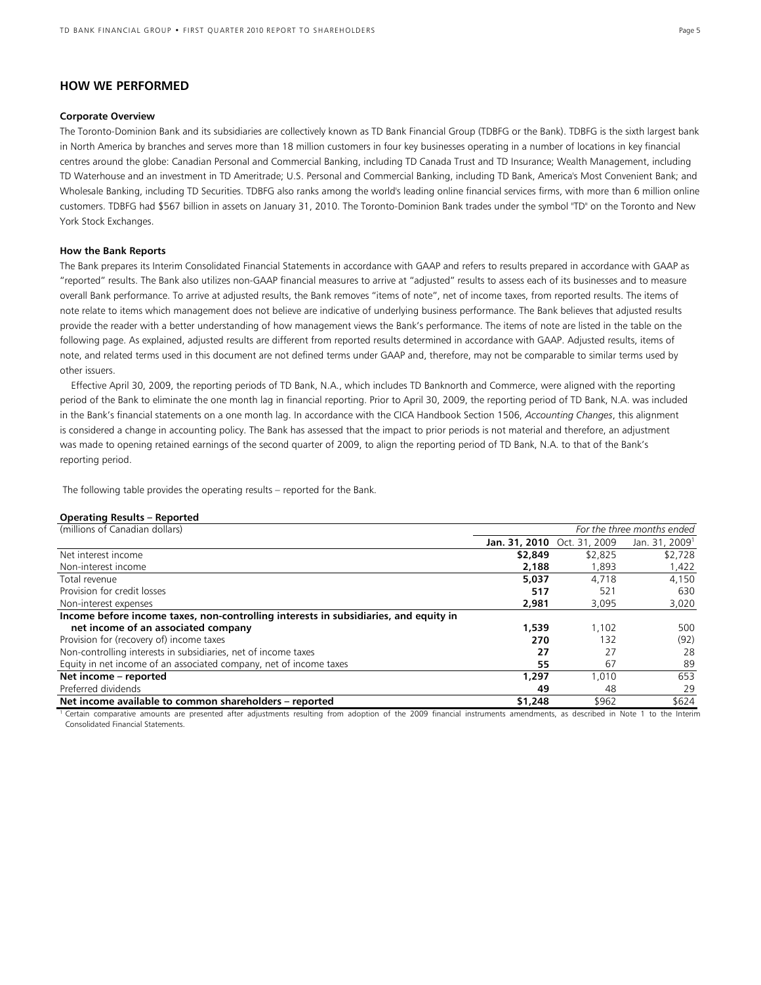### **HOW WE PERFORMED**

#### **Corporate Overview**

The Toronto-Dominion Bank and its subsidiaries are collectively known as TD Bank Financial Group (TDBFG or the Bank). TDBFG is the sixth largest bank in North America by branches and serves more than 18 million customers in four key businesses operating in a number of locations in key financial centres around the globe: Canadian Personal and Commercial Banking, including TD Canada Trust and TD Insurance; Wealth Management, including TD Waterhouse and an investment in TD Ameritrade; U.S. Personal and Commercial Banking, including TD Bank, America's Most Convenient Bank; and Wholesale Banking, including TD Securities. TDBFG also ranks among the world's leading online financial services firms, with more than 6 million online customers. TDBFG had \$567 billion in assets on January 31, 2010. The Toronto-Dominion Bank trades under the symbol "TD" on the Toronto and New York Stock Exchanges.

#### **How the Bank Reports**

The Bank prepares its Interim Consolidated Financial Statements in accordance with GAAP and refers to results prepared in accordance with GAAP as "reported" results. The Bank also utilizes non-GAAP financial measures to arrive at "adjusted" results to assess each of its businesses and to measure overall Bank performance. To arrive at adjusted results, the Bank removes "items of note", net of income taxes, from reported results. The items of note relate to items which management does not believe are indicative of underlying business performance. The Bank believes that adjusted results provide the reader with a better understanding of how management views the Bank's performance. The items of note are listed in the table on the following page. As explained, adjusted results are different from reported results determined in accordance with GAAP. Adjusted results, items of note, and related terms used in this document are not defined terms under GAAP and, therefore, may not be comparable to similar terms used by other issuers.

 Effective April 30, 2009, the reporting periods of TD Bank, N.A., which includes TD Banknorth and Commerce, were aligned with the reporting period of the Bank to eliminate the one month lag in financial reporting. Prior to April 30, 2009, the reporting period of TD Bank, N.A. was included in the Bank's financial statements on a one month lag. In accordance with the CICA Handbook Section 1506, *Accounting Changes*, this alignment is considered a change in accounting policy. The Bank has assessed that the impact to prior periods is not material and therefore, an adjustment was made to opening retained earnings of the second quarter of 2009, to align the reporting period of TD Bank, N.A. to that of the Bank's reporting period.

The following table provides the operating results – reported for the Bank.

#### **Operating Results – Reported**

| (millions of Canadian dollars)                                                                                 | For the three months ended |                             |                            |
|----------------------------------------------------------------------------------------------------------------|----------------------------|-----------------------------|----------------------------|
|                                                                                                                |                            | Jan. 31, 2010 Oct. 31, 2009 | Jan. 31, 2009 <sup>1</sup> |
| Net interest income                                                                                            | \$2,849                    | \$2,825                     | \$2,728                    |
| Non-interest income                                                                                            | 2,188                      | 1,893                       | 1,422                      |
| Total revenue                                                                                                  | 5.037                      | 4.718                       | 4.150                      |
| Provision for credit losses                                                                                    | 517                        | 521                         | 630                        |
| Non-interest expenses                                                                                          | 2.981                      | 3,095                       | 3,020                      |
| Income before income taxes, non-controlling interests in subsidiaries, and equity in                           |                            |                             |                            |
| net income of an associated company                                                                            | 1,539                      | 1.102                       | 500                        |
| Provision for (recovery of) income taxes                                                                       | 270                        | 132                         | (92)                       |
| Non-controlling interests in subsidiaries, net of income taxes                                                 | 27                         | 27                          | 28                         |
| Equity in net income of an associated company, net of income taxes                                             | 55                         | 67                          | 89                         |
| Net income - reported                                                                                          | 1.297                      | 1.010                       | 653                        |
| Preferred dividends                                                                                            | 49                         | 48                          | 29                         |
| Net income available to common shareholders - reported                                                         | \$1,248                    | \$962                       | \$624                      |
| terit di alternativa della provincia della competitiva di alternativa di alternativa di alternativa di alterna |                            |                             |                            |

1 Certain comparative amounts are presented after adjustments resulting from adoption of the 2009 financial instruments amendments, as described in Note 1 to the Interim Consolidated Financial Statements.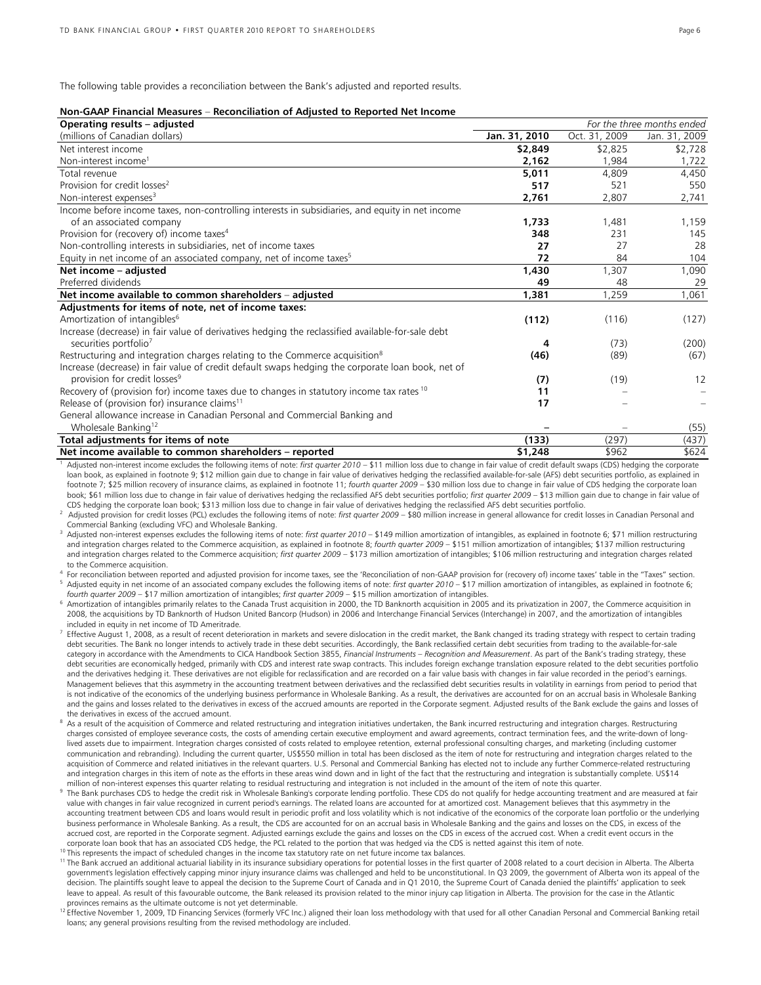The following table provides a reconciliation between the Bank's adjusted and reported results.

| Non-GAAP Financial Measures – Reconciliation of Adjusted to Reported Net Income |  |  |
|---------------------------------------------------------------------------------|--|--|
|---------------------------------------------------------------------------------|--|--|

| Jan. 31, 2010<br>(millions of Canadian dollars)                                                           | Oct. 31, 2009 |               |
|-----------------------------------------------------------------------------------------------------------|---------------|---------------|
|                                                                                                           |               | Jan. 31, 2009 |
| Net interest income<br>\$2,849                                                                            | \$2,825       | \$2,728       |
| Non-interest income <sup>1</sup><br>2,162                                                                 | 1.984         | 1,722         |
| 5,011<br>Total revenue                                                                                    | 4.809         | 4,450         |
| Provision for credit losses <sup>2</sup><br>517                                                           | 521           | 550           |
| Non-interest expenses <sup>3</sup><br>2,761                                                               | 2,807         | 2,741         |
| Income before income taxes, non-controlling interests in subsidiaries, and equity in net income           |               |               |
| of an associated company<br>1,733                                                                         | 1,481         | 1,159         |
| Provision for (recovery of) income taxes <sup>4</sup><br>348                                              | 231           | 145           |
| Non-controlling interests in subsidiaries, net of income taxes<br>27                                      | 27            | 28            |
| Equity in net income of an associated company, net of income taxes <sup>5</sup><br>72                     | 84            | 104           |
| 1,430<br>Net income - adiusted                                                                            | 1.307         | 1,090         |
| Preferred dividends<br>49                                                                                 | 48            | 29            |
| Net income available to common shareholders - adjusted<br>1,381                                           | 1,259         | 1,061         |
| Adjustments for items of note, net of income taxes:                                                       |               |               |
| Amortization of intangibles <sup>6</sup><br>(112)                                                         | (116)         | (127)         |
| Increase (decrease) in fair value of derivatives hedging the reclassified available-for-sale debt         |               |               |
| securities portfolio <sup>7</sup><br>4                                                                    | (73)          | (200)         |
| Restructuring and integration charges relating to the Commerce acquisition <sup>8</sup><br>(46)           | (89)          | (67)          |
| Increase (decrease) in fair value of credit default swaps hedging the corporate loan book, net of         |               |               |
| provision for credit losses <sup>9</sup><br>(7)                                                           | (19)          | 12            |
| Recovery of (provision for) income taxes due to changes in statutory income tax rates <sup>10</sup><br>11 |               |               |
| Release of (provision for) insurance claims <sup>11</sup><br>17                                           |               |               |
| General allowance increase in Canadian Personal and Commercial Banking and                                |               |               |
| Wholesale Banking <sup>12</sup>                                                                           |               | (55)          |
| Total adjustments for items of note<br>(133)                                                              | (297)         | (437)         |
| Net income available to common shareholders - reported<br>\$1,248                                         | \$962         | \$624         |

1 Adjusted non-interest income excludes the following items of note: *first quarter 2010* – \$11 million loss due to change in fair value of credit default swaps (CDS) hedging the corporate loan book, as explained in footnote 9; \$12 million gain due to change in fair value of derivatives hedging the reclassified available-for-sale (AFS) debt securities portfolio, as explained in footnote 7; \$25 million recovery of insurance claims, as explained in footnote 11; *fourth quarter 2009* – \$30 million loss due to change in fair value of CDS hedging the corporate loan book; \$61 million loss due to change in fair value of derivatives hedging the reclassified AFS debt securities portfolio; *first quarter 2009* – \$13 million gain due to change in fair value of<br>CDS hedging the corporate loa

<sup>2</sup> Adjusted provision for credit losses (PCL) excludes the following items of note: first quarter 2009 - \$80 million increase in general allowance for credit losses in Canadian Personal and

Commercial Banking (excluding VFC) and Wholesale Banking.<br><sup>3</sup> Adjusted non-interest expenses excludes the following items of note: *first quarter 2010* – \$149 million amortization of intangibles, as explained in footnote 6 and integration charges related to the Commerce acquisition, as explained in footnote 8; *fourth quarter 2009* – \$151 million amortization of intangibles; \$137 million restructuring and integration charges related to the Commerce acquisition; *first quarter 2009* – \$173 million amortization of intangibles; \$106 million restructuring and integration charges related

to the Commerce acquisition.<br><sup>4</sup> For reconciliation between reported and adjusted provision for income taxes, see the 'Reconciliation of non-GAAP provision for (recovery of) income taxes' table in the "Taxes" section.<br><sup>5</sup>

<sup>6</sup> Amortization of intangibles primarily relates to the Canada Trust acquisition in 2000, the TD Banknorth acquisition in 2005 and its privatization in 2007, the Commerce acquisition in 2008, the acquisitions by TD Banknorth of Hudson United Bancorp (Hudson) in 2006 and Interchange Financial Services (Interchange) in 2007, and the amortization of intangibles included in equity in net income of TD Ameritra

- Effective August 1, 2008, as a result of recent deterioration in markets and severe dislocation in the credit market, the Bank changed its trading strategy with respect to certain trading debt securities. The Bank no longer intends to actively trade in these debt securities. Accordingly, the Bank reclassified certain debt securities from trading to the available-for-sale category in accordance with the Amendments to CICA Handbook Section 3855, *Financial Instruments – Recognition and Measurement*. As part of the Bank's trading strategy, these debt securities are economically hedged, primarily with CDS and interest rate swap contracts. This includes foreign exchange translation exposure related to the debt securities portfolio and the derivatives hedging it. These derivatives are not eligible for reclassification and are recorded on a fair value basis with changes in fair value recorded in the period's earnings. Management believes that this asymmetry in the accounting treatment between derivatives and the reclassified debt securities results in volatility in earnings from period to period that is not indicative of the economics of the underlying business performance in Wholesale Banking. As a result, the derivatives are accounted for on an accrual basis in Wholesale Banking and the gains and losses related to the derivatives in excess of the accrued amounts are reported in the Corporate segment. Adjusted results of the Bank exclude the gains and losses of the derivatives in excess of the accrued amount.<br>As a result of the acquisition of Commerce and related restructuring and integration initiatives undertaken, the Bank incurred restructuring and integration charges. Restruc
- charges consisted of employee severance costs, the costs of amending certain executive employment and award agreements, contract termination fees, and the write-down of longlived assets due to impairment. Integration charges consisted of costs related to employee retention, external professional consulting charges, and marketing (including customer communication and rebranding). Including the current quarter, US\$550 million in total has been disclosed as the item of note for restructuring and integration charges related to the acquisition of Commerce and related initiatives in the relevant quarters. U.S. Personal and Commercial Banking has elected not to include any further Commerce-related restructuring and integration charges in this item of note as the efforts in these areas wind down and in light of the fact that the restructuring and integration is substantially complete. US\$14
- million of non-interest expenses this quarter relating to residual restructuring and integration is not included in the amount of the item of note this quarter.<br>The Bank purchases CDS to hedge the credit risk in Wholesale value with changes in fair value recognized in current period's earnings. The related loans are accounted for at amortized cost. Management believes that this asymmetry in the accounting treatment between CDS and loans would result in periodic profit and loss volatility which is not indicative of the economics of the corporate loan portfolio or the underlying business performance in Wholesale Banking. As a result, the CDS are accounted for on an accrual basis in Wholesale Banking and the gains and losses on the CDS, in excess of the accrued cost, are reported in the Corporate segment. Adjusted earnings exclude the gains and losses on the CDS in excess of the accrued cost. When a credit event occurs in the corporate loan book that has an associated CDS

- <sup>10</sup>This represents the impact of scheduled changes in the income tax statutory rate on net future income tax balances.<br><sup>11</sup>The Bank accrued an additional actuarial liability in its insurance subsidiary operations for pote government's legislation effectively capping minor injury insurance claims was challenged and held to be unconstitutional. In Q3 2009, the government of Alberta won its appeal of the decision. The plaintiffs sought leave to appeal the decision to the Supreme Court of Canada and in Q1 2010, the Supreme Court of Canada denied the plaintiffs' application to seek leave to appeal. As result of this favourable outcome, the Bank released its provision related to the minor injury cap litigation in Alberta. The provision for the case in the Atlantic<br>provinces remains as the ultimate out
- <sup>12</sup> Effective November 1, 2009, TD Financing Services (formerly VFC Inc.) aligned their loan loss methodology with that used for all other Canadian Personal and Commercial Banking retail loans; any general provisions resulting from the revised methodology are included.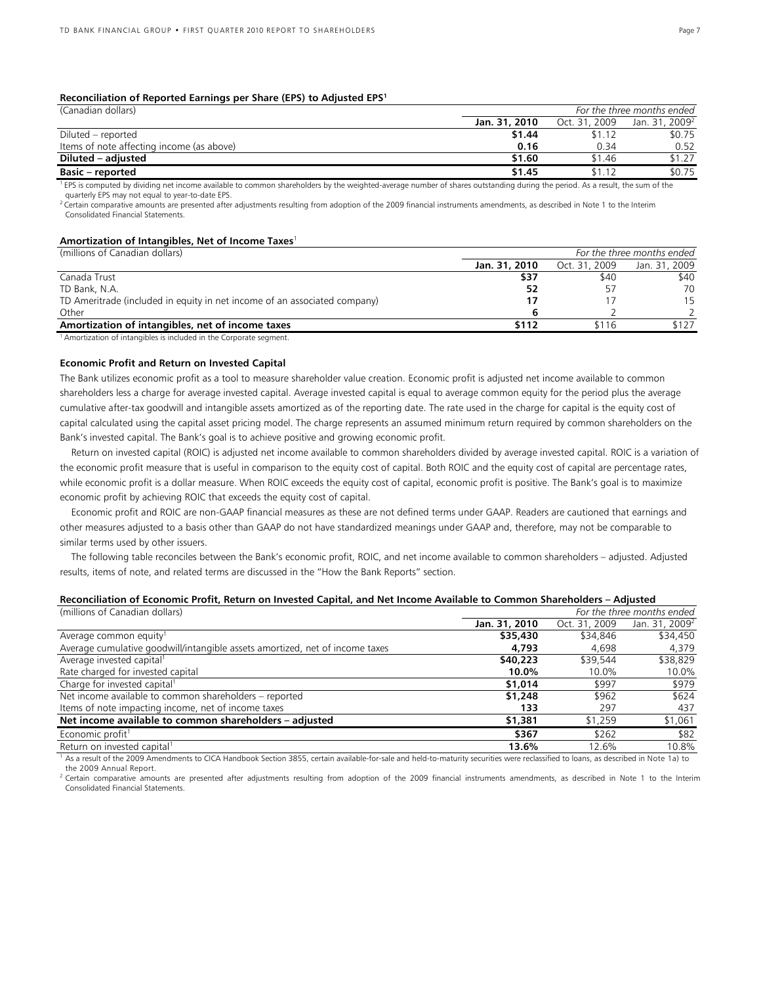#### **Reconciliation of Reported Earnings per Share (EPS) to Adjusted EPS1**

| (Canadian dollars)                        |               | For the three months ended |                            |  |
|-------------------------------------------|---------------|----------------------------|----------------------------|--|
|                                           | Jan. 31, 2010 | Oct. 31, 2009              | Jan. 31, 2009 <sup>2</sup> |  |
| Diluted – reported                        | \$1.44        | \$1.12                     | \$0.75                     |  |
| Items of note affecting income (as above) | 0.16          | 0.34                       | 0.52                       |  |
| Diluted – adjusted                        | \$1.60        | \$1.46                     | \$1.27                     |  |
| <b>Basic – reported</b>                   | \$1.45        | \$1.12                     | \$0.75                     |  |

<sup>1</sup> EPS is computed by dividing net income available to common shareholders by the weighted-average number of shares outstanding during the period. As a result, the sum of the quarterly EPS may not equal to year-to-date EPS.

 $^2$  Certain comparative amounts are presented after adjustments resulting from adoption of the 2009 financial instruments amendments, as described in Note 1 to the Interim Consolidated Financial Statements.

### **Amortization of Intangibles, Net of Income Taxes**<sup>1</sup>

| (millions of Canadian dollars)                                            | For the three months ended |               |               |  |
|---------------------------------------------------------------------------|----------------------------|---------------|---------------|--|
|                                                                           | Jan. 31, 2010              | Oct. 31, 2009 | Jan. 31, 2009 |  |
| Canada Trust                                                              | \$37                       | \$40          | \$40          |  |
| TD Bank, N.A.                                                             | 52                         |               | 70            |  |
| TD Ameritrade (included in equity in net income of an associated company) |                            |               | 15            |  |
| Other                                                                     |                            |               |               |  |
| Amortization of intangibles, net of income taxes                          | \$112                      | \$116         | \$127         |  |
|                                                                           |                            |               |               |  |

 $1$  Amortization of intangibles is included in the Corporate segment.

#### **Economic Profit and Return on Invested Capital**

The Bank utilizes economic profit as a tool to measure shareholder value creation. Economic profit is adjusted net income available to common shareholders less a charge for average invested capital. Average invested capital is equal to average common equity for the period plus the average cumulative after-tax goodwill and intangible assets amortized as of the reporting date. The rate used in the charge for capital is the equity cost of capital calculated using the capital asset pricing model. The charge represents an assumed minimum return required by common shareholders on the Bank's invested capital. The Bank's goal is to achieve positive and growing economic profit.

 Return on invested capital (ROIC) is adjusted net income available to common shareholders divided by average invested capital. ROIC is a variation of the economic profit measure that is useful in comparison to the equity cost of capital. Both ROIC and the equity cost of capital are percentage rates, while economic profit is a dollar measure. When ROIC exceeds the equity cost of capital, economic profit is positive. The Bank's goal is to maximize economic profit by achieving ROIC that exceeds the equity cost of capital.

 Economic profit and ROIC are non-GAAP financial measures as these are not defined terms under GAAP. Readers are cautioned that earnings and other measures adjusted to a basis other than GAAP do not have standardized meanings under GAAP and, therefore, may not be comparable to similar terms used by other issuers.

 The following table reconciles between the Bank's economic profit, ROIC, and net income available to common shareholders – adjusted. Adjusted results, items of note, and related terms are discussed in the "How the Bank Reports" section.

#### **Reconciliation of Economic Profit, Return on Invested Capital, and Net Income Available to Common Shareholders – Adjusted**

| (millions of Canadian dollars)                                               | For the three months ended |               |                            |
|------------------------------------------------------------------------------|----------------------------|---------------|----------------------------|
|                                                                              | Jan. 31, 2010              | Oct. 31, 2009 | Jan. 31, 2009 <sup>2</sup> |
| Average common equity <sup>1</sup>                                           | \$35,430                   | \$34,846      | \$34,450                   |
| Average cumulative goodwill/intangible assets amortized, net of income taxes | 4,793                      | 4.698         | 4,379                      |
| Average invested capital <sup>1</sup>                                        | \$40,223                   | \$39,544      | \$38,829                   |
| Rate charged for invested capital                                            | 10.0%                      | 10.0%         | 10.0%                      |
| Charge for invested capital <sup>1</sup>                                     | \$1,014                    | \$997         | \$979                      |
| Net income available to common shareholders - reported                       | \$1,248                    | \$962         | \$624                      |
| Items of note impacting income, net of income taxes                          | 133                        | 297           | 437                        |
| Net income available to common shareholders - adjusted                       | \$1,381                    | \$1,259       | \$1,061                    |
| Economic profit <sup>1</sup>                                                 | \$367                      | \$262         | \$82                       |
| Return on invested capital <sup>1</sup>                                      | 13.6%                      | 12.6%         | 10.8%                      |

<sup>1</sup> As a result of the 2009 Amendments to CICA Handbook Section 3855, certain available-for-sale and held-to-maturity securities were reclassified to loans, as described in Note 1a) to the 2009 Annual Report.

<sup>2</sup> Certain comparative amounts are presented after adjustments resulting from adoption of the 2009 financial instruments amendments, as described in Note 1 to the Interim Consolidated Financial Statements.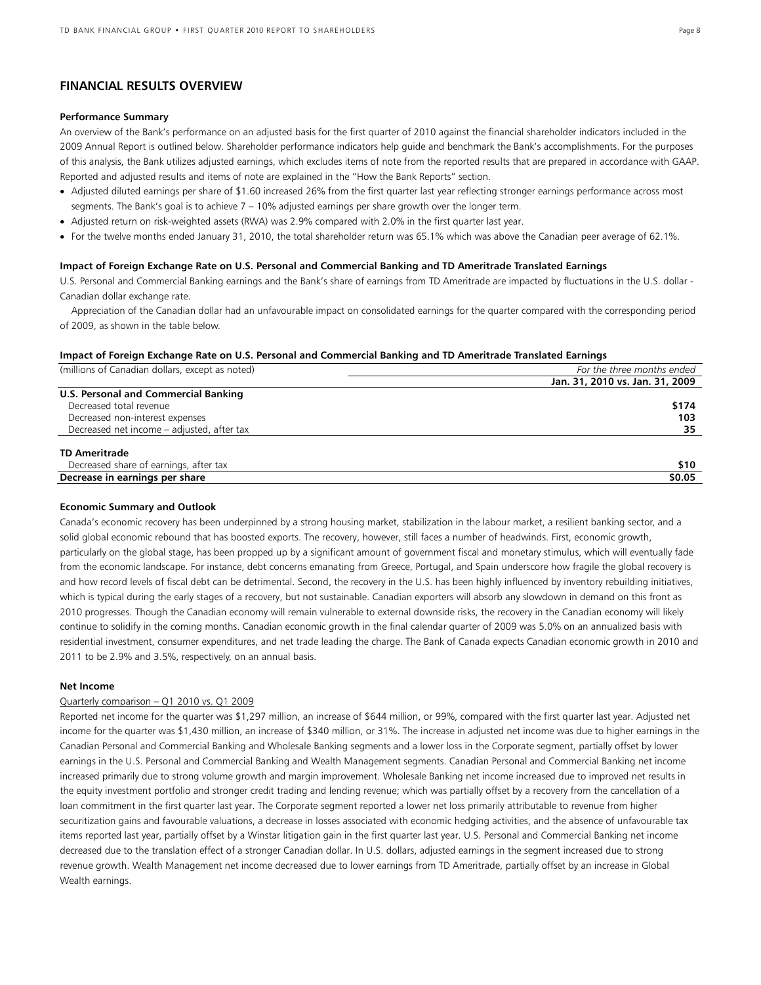### **FINANCIAL RESULTS OVERVIEW**

#### **Performance Summary**

An overview of the Bank's performance on an adjusted basis for the first quarter of 2010 against the financial shareholder indicators included in the 2009 Annual Report is outlined below. Shareholder performance indicators help guide and benchmark the Bank's accomplishments. For the purposes of this analysis, the Bank utilizes adjusted earnings, which excludes items of note from the reported results that are prepared in accordance with GAAP. Reported and adjusted results and items of note are explained in the "How the Bank Reports" section.

- Adjusted diluted earnings per share of \$1.60 increased 26% from the first quarter last year reflecting stronger earnings performance across most segments. The Bank's goal is to achieve 7 – 10% adjusted earnings per share growth over the longer term.
- Adjusted return on risk-weighted assets (RWA) was 2.9% compared with 2.0% in the first quarter last year.
- For the twelve months ended January 31, 2010, the total shareholder return was 65.1% which was above the Canadian peer average of 62.1%.

#### **Impact of Foreign Exchange Rate on U.S. Personal and Commercial Banking and TD Ameritrade Translated Earnings**

U.S. Personal and Commercial Banking earnings and the Bank's share of earnings from TD Ameritrade are impacted by fluctuations in the U.S. dollar - Canadian dollar exchange rate.

Appreciation of the Canadian dollar had an unfavourable impact on consolidated earnings for the quarter compared with the corresponding period of 2009, as shown in the table below.

#### **Impact of Foreign Exchange Rate on U.S. Personal and Commercial Banking and TD Ameritrade Translated Earnings**

| (millions of Canadian dollars, except as noted) | For the three months ended      |
|-------------------------------------------------|---------------------------------|
|                                                 | Jan. 31, 2010 vs. Jan. 31, 2009 |
| U.S. Personal and Commercial Banking            |                                 |
| Decreased total revenue                         | \$174                           |
| Decreased non-interest expenses                 | 103                             |
| Decreased net income - adjusted, after tax      | 35                              |
| <b>TD Ameritrade</b>                            |                                 |
| Decreased share of earnings, after tax          | \$10                            |
| Decrease in earnings per share                  | \$0.05                          |
|                                                 |                                 |

#### **Economic Summary and Outlook**

Canada's economic recovery has been underpinned by a strong housing market, stabilization in the labour market, a resilient banking sector, and a solid global economic rebound that has boosted exports. The recovery, however, still faces a number of headwinds. First, economic growth, particularly on the global stage, has been propped up by a significant amount of government fiscal and monetary stimulus, which will eventually fade from the economic landscape. For instance, debt concerns emanating from Greece, Portugal, and Spain underscore how fragile the global recovery is and how record levels of fiscal debt can be detrimental. Second, the recovery in the U.S. has been highly influenced by inventory rebuilding initiatives, which is typical during the early stages of a recovery, but not sustainable. Canadian exporters will absorb any slowdown in demand on this front as 2010 progresses. Though the Canadian economy will remain vulnerable to external downside risks, the recovery in the Canadian economy will likely continue to solidify in the coming months. Canadian economic growth in the final calendar quarter of 2009 was 5.0% on an annualized basis with residential investment, consumer expenditures, and net trade leading the charge. The Bank of Canada expects Canadian economic growth in 2010 and 2011 to be 2.9% and 3.5%, respectively, on an annual basis.

#### **Net Income**

#### Quarterly comparison – Q1 2010 vs. Q1 2009

Reported net income for the quarter was \$1,297 million, an increase of \$644 million, or 99%, compared with the first quarter last year. Adjusted net income for the quarter was \$1,430 million, an increase of \$340 million, or 31%. The increase in adjusted net income was due to higher earnings in the Canadian Personal and Commercial Banking and Wholesale Banking segments and a lower loss in the Corporate segment, partially offset by lower earnings in the U.S. Personal and Commercial Banking and Wealth Management segments. Canadian Personal and Commercial Banking net income increased primarily due to strong volume growth and margin improvement. Wholesale Banking net income increased due to improved net results in the equity investment portfolio and stronger credit trading and lending revenue; which was partially offset by a recovery from the cancellation of a loan commitment in the first quarter last year. The Corporate segment reported a lower net loss primarily attributable to revenue from higher securitization gains and favourable valuations, a decrease in losses associated with economic hedging activities, and the absence of unfavourable tax items reported last year, partially offset by a Winstar litigation gain in the first quarter last year. U.S. Personal and Commercial Banking net income decreased due to the translation effect of a stronger Canadian dollar. In U.S. dollars, adjusted earnings in the segment increased due to strong revenue growth. Wealth Management net income decreased due to lower earnings from TD Ameritrade, partially offset by an increase in Global Wealth earnings.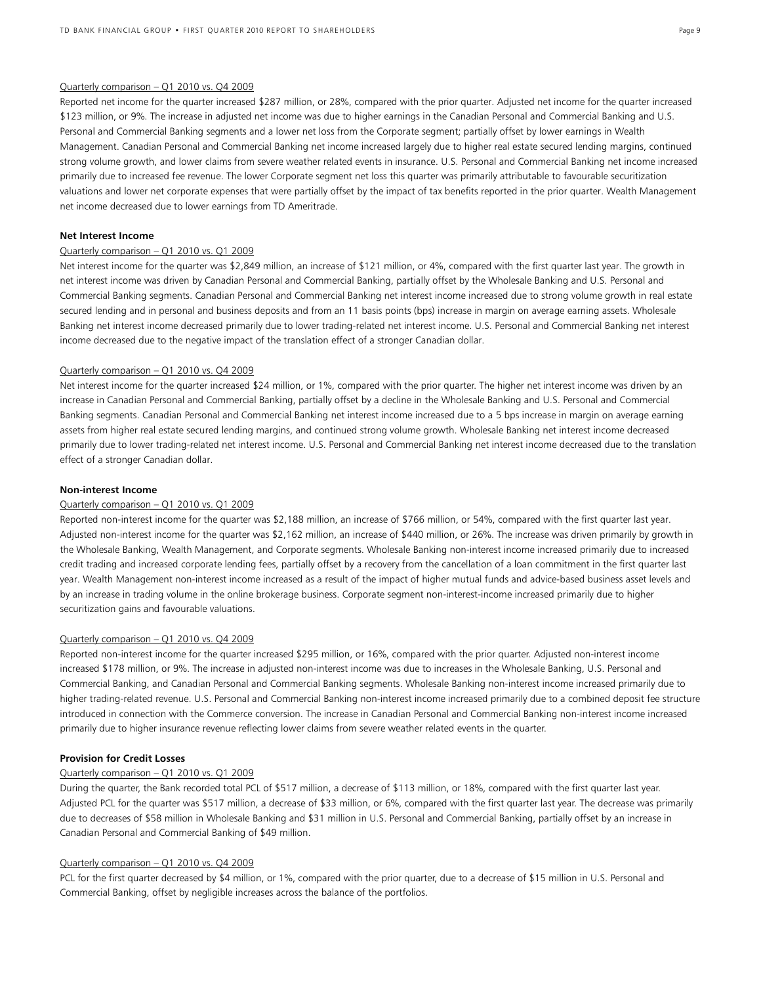#### Quarterly comparison – Q1 2010 vs. Q4 2009

Reported net income for the quarter increased \$287 million, or 28%, compared with the prior quarter. Adjusted net income for the quarter increased \$123 million, or 9%. The increase in adjusted net income was due to higher earnings in the Canadian Personal and Commercial Banking and U.S. Personal and Commercial Banking segments and a lower net loss from the Corporate segment; partially offset by lower earnings in Wealth Management. Canadian Personal and Commercial Banking net income increased largely due to higher real estate secured lending margins, continued strong volume growth, and lower claims from severe weather related events in insurance. U.S. Personal and Commercial Banking net income increased primarily due to increased fee revenue. The lower Corporate segment net loss this quarter was primarily attributable to favourable securitization valuations and lower net corporate expenses that were partially offset by the impact of tax benefits reported in the prior quarter. Wealth Management net income decreased due to lower earnings from TD Ameritrade.

#### **Net Interest Income**

#### Quarterly comparison – Q1 2010 vs. Q1 2009

Net interest income for the quarter was \$2,849 million, an increase of \$121 million, or 4%, compared with the first quarter last year. The growth in net interest income was driven by Canadian Personal and Commercial Banking, partially offset by the Wholesale Banking and U.S. Personal and Commercial Banking segments. Canadian Personal and Commercial Banking net interest income increased due to strong volume growth in real estate secured lending and in personal and business deposits and from an 11 basis points (bps) increase in margin on average earning assets. Wholesale Banking net interest income decreased primarily due to lower trading-related net interest income. U.S. Personal and Commercial Banking net interest income decreased due to the negative impact of the translation effect of a stronger Canadian dollar.

#### Quarterly comparison – Q1 2010 vs. Q4 2009

Net interest income for the quarter increased \$24 million, or 1%, compared with the prior quarter. The higher net interest income was driven by an increase in Canadian Personal and Commercial Banking, partially offset by a decline in the Wholesale Banking and U.S. Personal and Commercial Banking segments. Canadian Personal and Commercial Banking net interest income increased due to a 5 bps increase in margin on average earning assets from higher real estate secured lending margins, and continued strong volume growth. Wholesale Banking net interest income decreased primarily due to lower trading-related net interest income. U.S. Personal and Commercial Banking net interest income decreased due to the translation effect of a stronger Canadian dollar.

#### **Non-interest Income**

#### Quarterly comparison – Q1 2010 vs. Q1 2009

Reported non-interest income for the quarter was \$2,188 million, an increase of \$766 million, or 54%, compared with the first quarter last year. Adjusted non-interest income for the quarter was \$2,162 million, an increase of \$440 million, or 26%. The increase was driven primarily by growth in the Wholesale Banking, Wealth Management, and Corporate segments. Wholesale Banking non-interest income increased primarily due to increased credit trading and increased corporate lending fees, partially offset by a recovery from the cancellation of a loan commitment in the first quarter last year. Wealth Management non-interest income increased as a result of the impact of higher mutual funds and advice-based business asset levels and by an increase in trading volume in the online brokerage business. Corporate segment non-interest-income increased primarily due to higher securitization gains and favourable valuations.

#### Quarterly comparison – Q1 2010 vs. Q4 2009

Reported non-interest income for the quarter increased \$295 million, or 16%, compared with the prior quarter. Adjusted non-interest income increased \$178 million, or 9%. The increase in adjusted non-interest income was due to increases in the Wholesale Banking, U.S. Personal and Commercial Banking, and Canadian Personal and Commercial Banking segments. Wholesale Banking non-interest income increased primarily due to higher trading-related revenue. U.S. Personal and Commercial Banking non-interest income increased primarily due to a combined deposit fee structure introduced in connection with the Commerce conversion. The increase in Canadian Personal and Commercial Banking non-interest income increased primarily due to higher insurance revenue reflecting lower claims from severe weather related events in the quarter.

#### **Provision for Credit Losses**

#### Quarterly comparison – Q1 2010 vs. Q1 2009

During the quarter, the Bank recorded total PCL of \$517 million, a decrease of \$113 million, or 18%, compared with the first quarter last year. Adjusted PCL for the quarter was \$517 million, a decrease of \$33 million, or 6%, compared with the first quarter last year. The decrease was primarily due to decreases of \$58 million in Wholesale Banking and \$31 million in U.S. Personal and Commercial Banking, partially offset by an increase in Canadian Personal and Commercial Banking of \$49 million.

#### Quarterly comparison – Q1 2010 vs. Q4 2009

PCL for the first quarter decreased by \$4 million, or 1%, compared with the prior quarter, due to a decrease of \$15 million in U.S. Personal and Commercial Banking, offset by negligible increases across the balance of the portfolios.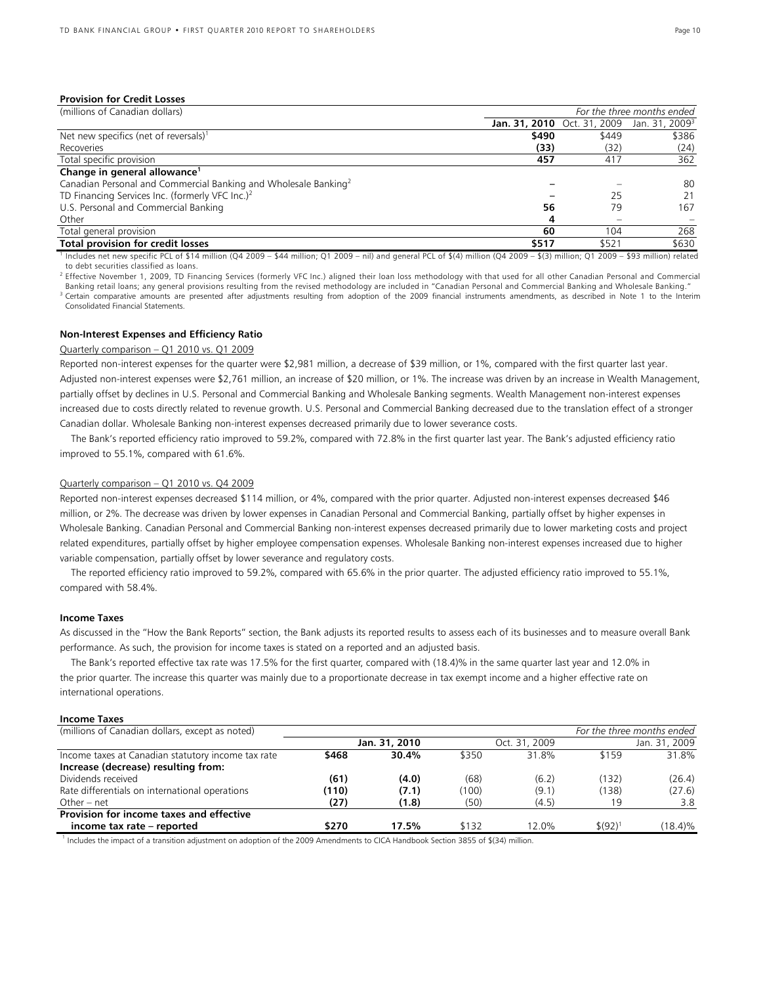#### **Provision for Credit Losses**

| (millions of Canadian dollars)                                              | For the three months ended |       |                                                               |
|-----------------------------------------------------------------------------|----------------------------|-------|---------------------------------------------------------------|
|                                                                             |                            |       | <b>Jan. 31, 2010</b> Oct. 31, 2009 Jan. 31, 2009 <sup>3</sup> |
| Net new specifics (net of reversals) <sup>1</sup>                           | \$490                      | \$449 | \$386                                                         |
| Recoveries                                                                  | (33)                       | (32)  | (24)                                                          |
| Total specific provision                                                    | 457                        | 417   | 362                                                           |
| Change in general allowance <sup>1</sup>                                    |                            |       |                                                               |
| Canadian Personal and Commercial Banking and Wholesale Banking <sup>2</sup> |                            |       | 80                                                            |
| TD Financing Services Inc. (formerly VFC Inc.) <sup>2</sup>                 |                            | 25    | 21                                                            |
| U.S. Personal and Commercial Banking                                        | 56                         | 79    | 167                                                           |
| Other                                                                       | 4                          |       |                                                               |
| Total general provision                                                     | 60                         | 104   | 268                                                           |
| <b>Total provision for credit losses</b>                                    | \$517                      | \$521 | \$630                                                         |

1 Includes net new specific PCL of \$14 million (Q4 2009 – \$44 million; Q1 2009 – nil) and general PCL of \$(4) million (Q4 2009 – \$(3) million; Q1 2009 – \$93 million) related to debt securities classified as loans.

<sup>2</sup> Effective November 1, 2009, TD Financing Services (formerly VFC Inc.) aligned their loan loss methodology with that used for all other Canadian Personal and Commercial<br>Banking retail loans; any general provisions resul Certain comparative amounts are presented after adjustments resulting from adoption of the 2009 financial instruments amendments, as described in Note 1 to the Interim Consolidated Financial Statements.

#### **Non-Interest Expenses and Efficiency Ratio**

### Quarterly comparison – Q1 2010 vs. Q1 2009

Reported non-interest expenses for the quarter were \$2,981 million, a decrease of \$39 million, or 1%, compared with the first quarter last year. Adjusted non-interest expenses were \$2,761 million, an increase of \$20 million, or 1%. The increase was driven by an increase in Wealth Management, partially offset by declines in U.S. Personal and Commercial Banking and Wholesale Banking segments. Wealth Management non-interest expenses increased due to costs directly related to revenue growth. U.S. Personal and Commercial Banking decreased due to the translation effect of a stronger Canadian dollar. Wholesale Banking non-interest expenses decreased primarily due to lower severance costs.

The Bank's reported efficiency ratio improved to 59.2%, compared with 72.8% in the first quarter last year. The Bank's adjusted efficiency ratio improved to 55.1%, compared with 61.6%.

#### Quarterly comparison – Q1 2010 vs. Q4 2009

Reported non-interest expenses decreased \$114 million, or 4%, compared with the prior quarter. Adjusted non-interest expenses decreased \$46 million, or 2%. The decrease was driven by lower expenses in Canadian Personal and Commercial Banking, partially offset by higher expenses in Wholesale Banking. Canadian Personal and Commercial Banking non-interest expenses decreased primarily due to lower marketing costs and project related expenditures, partially offset by higher employee compensation expenses. Wholesale Banking non-interest expenses increased due to higher variable compensation, partially offset by lower severance and regulatory costs.

The reported efficiency ratio improved to 59.2%, compared with 65.6% in the prior quarter. The adjusted efficiency ratio improved to 55.1%, compared with 58.4%.

#### **Income Taxes**

As discussed in the "How the Bank Reports" section, the Bank adjusts its reported results to assess each of its businesses and to measure overall Bank performance. As such, the provision for income taxes is stated on a reported and an adjusted basis.

The Bank's reported effective tax rate was 17.5% for the first quarter, compared with (18.4)% in the same quarter last year and 12.0% in the prior quarter. The increase this quarter was mainly due to a proportionate decrease in tax exempt income and a higher effective rate on international operations.

#### **Income Taxes**

| (millions of Canadian dollars, except as noted)    |       |               |       |               | For the three months ended |               |
|----------------------------------------------------|-------|---------------|-------|---------------|----------------------------|---------------|
|                                                    |       | Jan. 31, 2010 |       | Oct. 31, 2009 |                            | Jan. 31, 2009 |
| Income taxes at Canadian statutory income tax rate | \$468 | 30.4%         | \$350 | 31.8%         | \$159                      | 31.8%         |
| Increase (decrease) resulting from:                |       |               |       |               |                            |               |
| Dividends received                                 | (61)  | (4.0)         | (68)  | (6.2)         | (132)                      | (26.4)        |
| Rate differentials on international operations     | (110) | (7.1)         | (100) | (9.1)         | (138)                      | (27.6)        |
| Other – net                                        | (27)  | (1.8)         | (50)  | (4.5)         | 19                         | 3.8           |
| Provision for income taxes and effective           |       |               |       |               |                            |               |
| income tax rate – reported                         | \$270 | 17.5%         | \$132 | 12.0%         | \$ (92)                    | (18.4)%       |

<sup>1</sup> Includes the impact of a transition adjustment on adoption of the 2009 Amendments to CICA Handbook Section 3855 of \$(34) million.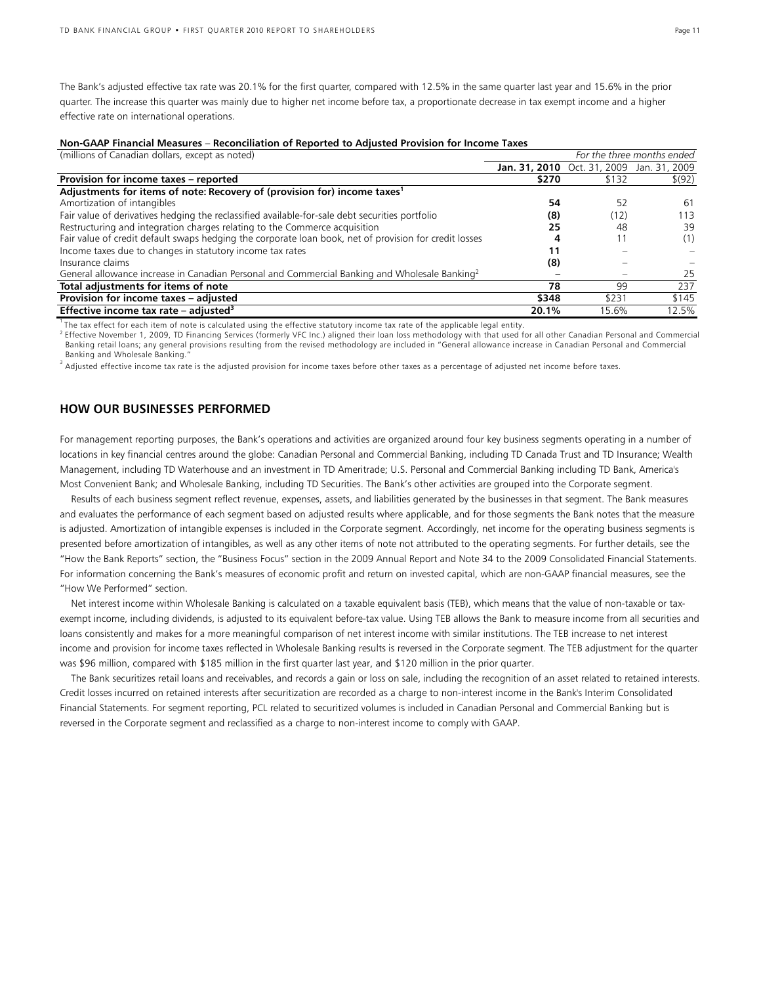The Bank's adjusted effective tax rate was 20.1% for the first quarter, compared with 12.5% in the same quarter last year and 15.6% in the prior quarter. The increase this quarter was mainly due to higher net income before tax, a proportionate decrease in tax exempt income and a higher effective rate on international operations.

(millions of Canadian dollars, except as noted) *For the three months ended*

| , כאכבו כמו ומוסור עם הסווט וואס ווי כמו לא ה                                                             |                                           |       | TOI THE THILE MONTHS CHOCO |
|-----------------------------------------------------------------------------------------------------------|-------------------------------------------|-------|----------------------------|
|                                                                                                           | Jan. 31, 2010 Oct. 31, 2009 Jan. 31, 2009 |       |                            |
| Provision for income taxes - reported                                                                     | \$270                                     | \$132 | \$ (92)                    |
| Adjustments for items of note: Recovery of (provision for) income taxes <sup>1</sup>                      |                                           |       |                            |
| Amortization of intangibles                                                                               | 54                                        | 52    | -61                        |
| Fair value of derivatives hedging the reclassified available-for-sale debt securities portfolio           | (8)                                       | (12)  | 113                        |
| Restructuring and integration charges relating to the Commerce acquisition                                | 25                                        | 48    | 39                         |
| Fair value of credit default swaps hedging the corporate loan book, net of provision for credit losses    | 4                                         | 11    | (1)                        |
| Income taxes due to changes in statutory income tax rates                                                 | 11                                        |       |                            |
| Insurance claims                                                                                          | (8)                                       |       |                            |
| General allowance increase in Canadian Personal and Commercial Banking and Wholesale Banking <sup>2</sup> |                                           |       | 25                         |
| Total adjustments for items of note                                                                       | 78                                        | 99    | 237                        |
| Provision for income taxes - adjusted                                                                     | \$348                                     | \$231 | \$145                      |
| Effective income tax rate – adjusted <sup>3</sup>                                                         | 20.1%                                     | 15.6% | 12.5%                      |

<sup>1</sup> The tax effect for each item of note is calculated using the effective statutory income tax rate of the applicable legal entity.<br><sup>2</sup> Effective November 1, 2009, TD Financing Services (formerly VFC Inc.) aligned their l Banking retail loans; any general provisions resulting from the revised methodology are included in "General allowance increase in Canadian Personal and Commercial Banking and Wholesale Banking."

<sup>3</sup> Adjusted effective income tax rate is the adjusted provision for income taxes before other taxes as a percentage of adjusted net income before taxes.

### **HOW OUR BUSINESSES PERFORMED**

For management reporting purposes, the Bank's operations and activities are organized around four key business segments operating in a number of locations in key financial centres around the globe: Canadian Personal and Commercial Banking, including TD Canada Trust and TD Insurance; Wealth Management, including TD Waterhouse and an investment in TD Ameritrade; U.S. Personal and Commercial Banking including TD Bank, America's Most Convenient Bank; and Wholesale Banking, including TD Securities. The Bank's other activities are grouped into the Corporate segment.

Results of each business segment reflect revenue, expenses, assets, and liabilities generated by the businesses in that segment. The Bank measures and evaluates the performance of each segment based on adjusted results where applicable, and for those segments the Bank notes that the measure is adjusted. Amortization of intangible expenses is included in the Corporate segment. Accordingly, net income for the operating business segments is presented before amortization of intangibles, as well as any other items of note not attributed to the operating segments. For further details, see the "How the Bank Reports" section, the "Business Focus" section in the 2009 Annual Report and Note 34 to the 2009 Consolidated Financial Statements. For information concerning the Bank's measures of economic profit and return on invested capital, which are non-GAAP financial measures, see the "How We Performed" section.

Net interest income within Wholesale Banking is calculated on a taxable equivalent basis (TEB), which means that the value of non-taxable or taxexempt income, including dividends, is adjusted to its equivalent before-tax value. Using TEB allows the Bank to measure income from all securities and loans consistently and makes for a more meaningful comparison of net interest income with similar institutions. The TEB increase to net interest income and provision for income taxes reflected in Wholesale Banking results is reversed in the Corporate segment. The TEB adjustment for the quarter was \$96 million, compared with \$185 million in the first quarter last year, and \$120 million in the prior quarter.

The Bank securitizes retail loans and receivables, and records a gain or loss on sale, including the recognition of an asset related to retained interests. Credit losses incurred on retained interests after securitization are recorded as a charge to non-interest income in the Bank's Interim Consolidated Financial Statements. For segment reporting, PCL related to securitized volumes is included in Canadian Personal and Commercial Banking but is reversed in the Corporate segment and reclassified as a charge to non-interest income to comply with GAAP.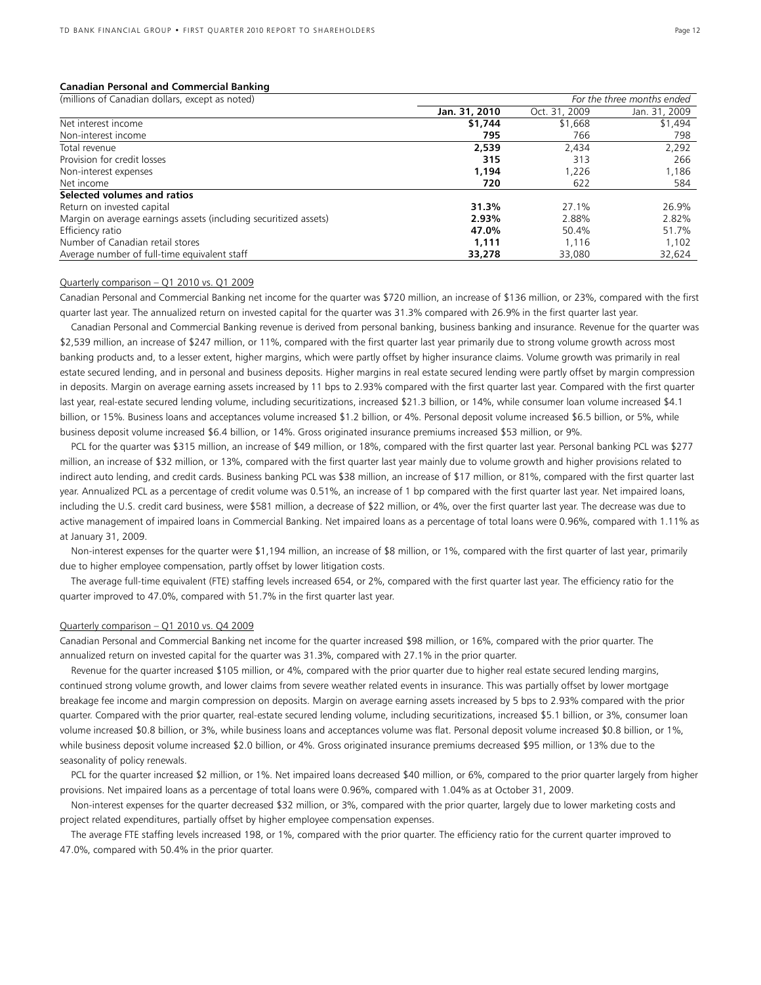#### **Canadian Personal and Commercial Banking**

| (millions of Canadian dollars, except as noted)                  | For the three months ended |               |               |  |
|------------------------------------------------------------------|----------------------------|---------------|---------------|--|
|                                                                  | Jan. 31, 2010              | Oct. 31, 2009 | Jan. 31, 2009 |  |
| Net interest income                                              | \$1,744                    | \$1,668       | \$1,494       |  |
| Non-interest income                                              | 795                        | 766           | 798           |  |
| Total revenue                                                    | 2,539                      | 2,434         | 2,292         |  |
| Provision for credit losses                                      | 315                        | 313           | 266           |  |
| Non-interest expenses                                            | 1.194                      | 1,226         | 1,186         |  |
| Net income                                                       | 720                        | 622           | 584           |  |
| Selected volumes and ratios                                      |                            |               |               |  |
| Return on invested capital                                       | 31.3%                      | 27.1%         | 26.9%         |  |
| Margin on average earnings assets (including securitized assets) | 2.93%                      | 2.88%         | 2.82%         |  |
| Efficiency ratio                                                 | 47.0%                      | 50.4%         | 51.7%         |  |
| Number of Canadian retail stores                                 | 1.111                      | 1.116         | 1,102         |  |
| Average number of full-time equivalent staff                     | 33,278                     | 33,080        | 32,624        |  |

### Quarterly comparison – Q1 2010 vs. Q1 2009

Canadian Personal and Commercial Banking net income for the quarter was \$720 million, an increase of \$136 million, or 23%, compared with the first quarter last year. The annualized return on invested capital for the quarter was 31.3% compared with 26.9% in the first quarter last year.

 Canadian Personal and Commercial Banking revenue is derived from personal banking, business banking and insurance. Revenue for the quarter was \$2,539 million, an increase of \$247 million, or 11%, compared with the first quarter last year primarily due to strong volume growth across most banking products and, to a lesser extent, higher margins, which were partly offset by higher insurance claims. Volume growth was primarily in real estate secured lending, and in personal and business deposits. Higher margins in real estate secured lending were partly offset by margin compression in deposits. Margin on average earning assets increased by 11 bps to 2.93% compared with the first quarter last year. Compared with the first quarter last year, real-estate secured lending volume, including securitizations, increased \$21.3 billion, or 14%, while consumer loan volume increased \$4.1 billion, or 15%. Business loans and acceptances volume increased \$1.2 billion, or 4%. Personal deposit volume increased \$6.5 billion, or 5%, while business deposit volume increased \$6.4 billion, or 14%. Gross originated insurance premiums increased \$53 million, or 9%.

 PCL for the quarter was \$315 million, an increase of \$49 million, or 18%, compared with the first quarter last year. Personal banking PCL was \$277 million, an increase of \$32 million, or 13%, compared with the first quarter last year mainly due to volume growth and higher provisions related to indirect auto lending, and credit cards. Business banking PCL was \$38 million, an increase of \$17 million, or 81%, compared with the first quarter last year. Annualized PCL as a percentage of credit volume was 0.51%, an increase of 1 bp compared with the first quarter last year. Net impaired loans, including the U.S. credit card business, were \$581 million, a decrease of \$22 million, or 4%, over the first quarter last year. The decrease was due to active management of impaired loans in Commercial Banking. Net impaired loans as a percentage of total loans were 0.96%, compared with 1.11% as at January 31, 2009.

 Non-interest expenses for the quarter were \$1,194 million, an increase of \$8 million, or 1%, compared with the first quarter of last year, primarily due to higher employee compensation, partly offset by lower litigation costs.

 The average full-time equivalent (FTE) staffing levels increased 654, or 2%, compared with the first quarter last year. The efficiency ratio for the quarter improved to 47.0%, compared with 51.7% in the first quarter last year.

#### Quarterly comparison – Q1 2010 vs. Q4 2009

Canadian Personal and Commercial Banking net income for the quarter increased \$98 million, or 16%, compared with the prior quarter. The annualized return on invested capital for the quarter was 31.3%, compared with 27.1% in the prior quarter.

 Revenue for the quarter increased \$105 million, or 4%, compared with the prior quarter due to higher real estate secured lending margins, continued strong volume growth, and lower claims from severe weather related events in insurance. This was partially offset by lower mortgage breakage fee income and margin compression on deposits. Margin on average earning assets increased by 5 bps to 2.93% compared with the prior quarter. Compared with the prior quarter, real-estate secured lending volume, including securitizations, increased \$5.1 billion, or 3%, consumer loan volume increased \$0.8 billion, or 3%, while business loans and acceptances volume was flat. Personal deposit volume increased \$0.8 billion, or 1%, while business deposit volume increased \$2.0 billion, or 4%. Gross originated insurance premiums decreased \$95 million, or 13% due to the seasonality of policy renewals.

 PCL for the quarter increased \$2 million, or 1%. Net impaired loans decreased \$40 million, or 6%, compared to the prior quarter largely from higher provisions. Net impaired loans as a percentage of total loans were 0.96%, compared with 1.04% as at October 31, 2009.

 Non-interest expenses for the quarter decreased \$32 million, or 3%, compared with the prior quarter, largely due to lower marketing costs and project related expenditures, partially offset by higher employee compensation expenses.

 The average FTE staffing levels increased 198, or 1%, compared with the prior quarter. The efficiency ratio for the current quarter improved to 47.0%, compared with 50.4% in the prior quarter.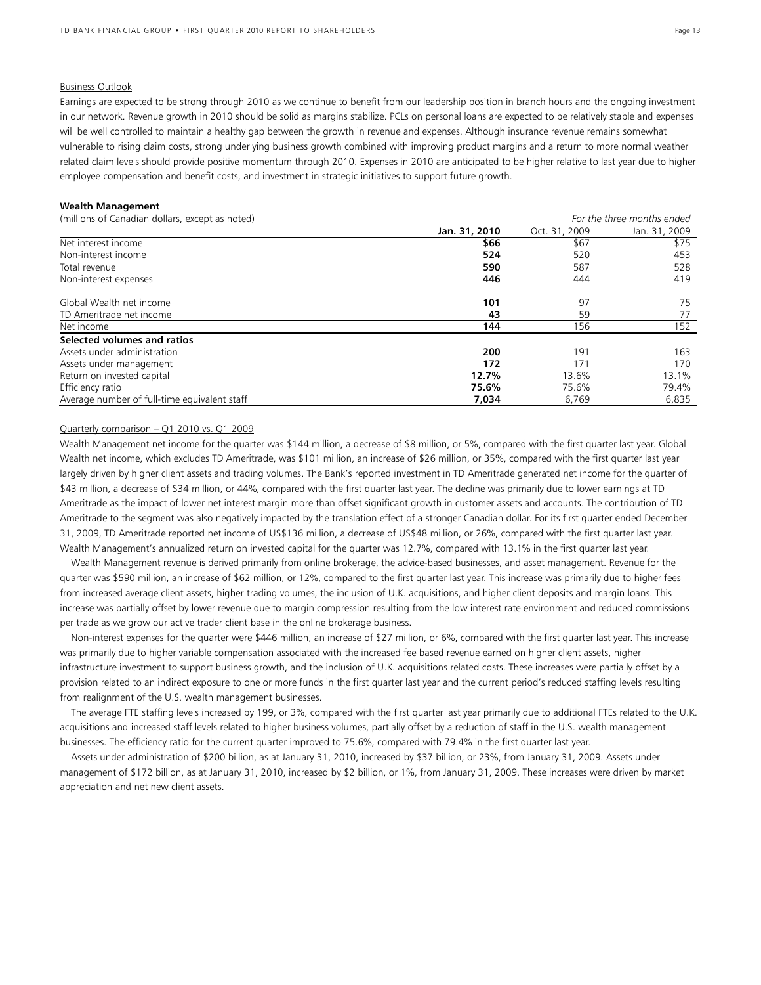#### Business Outlook

Earnings are expected to be strong through 2010 as we continue to benefit from our leadership position in branch hours and the ongoing investment in our network. Revenue growth in 2010 should be solid as margins stabilize. PCLs on personal loans are expected to be relatively stable and expenses will be well controlled to maintain a healthy gap between the growth in revenue and expenses. Although insurance revenue remains somewhat vulnerable to rising claim costs, strong underlying business growth combined with improving product margins and a return to more normal weather related claim levels should provide positive momentum through 2010. Expenses in 2010 are anticipated to be higher relative to last year due to higher employee compensation and benefit costs, and investment in strategic initiatives to support future growth.

#### **Wealth Management**

| (millions of Canadian dollars, except as noted) | For the three months ended |               |               |  |  |
|-------------------------------------------------|----------------------------|---------------|---------------|--|--|
|                                                 | Jan. 31, 2010              | Oct. 31, 2009 | Jan. 31, 2009 |  |  |
| Net interest income                             | \$66                       | \$67          | \$75          |  |  |
| Non-interest income                             | 524                        | 520           | 453           |  |  |
| Total revenue                                   | 590                        | 587           | 528           |  |  |
| Non-interest expenses                           | 446                        | 444           | 419           |  |  |
| Global Wealth net income                        | 101                        | 97            | 75            |  |  |
| TD Ameritrade net income                        | 43                         | 59            | 77            |  |  |
| Net income                                      | 144                        | 156           | 152           |  |  |
| Selected volumes and ratios                     |                            |               |               |  |  |
| Assets under administration                     | 200                        | 191           | 163           |  |  |
| Assets under management                         | 172                        | 171           | 170           |  |  |
| Return on invested capital                      | 12.7%                      | 13.6%         | 13.1%         |  |  |
| Efficiency ratio                                | 75.6%                      | 75.6%         | 79.4%         |  |  |
| Average number of full-time equivalent staff    | 7.034                      | 6.769         | 6.835         |  |  |

#### Quarterly comparison – Q1 2010 vs. Q1 2009

Wealth Management net income for the quarter was \$144 million, a decrease of \$8 million, or 5%, compared with the first quarter last year. Global Wealth net income, which excludes TD Ameritrade, was \$101 million, an increase of \$26 million, or 35%, compared with the first quarter last year largely driven by higher client assets and trading volumes. The Bank's reported investment in TD Ameritrade generated net income for the quarter of \$43 million, a decrease of \$34 million, or 44%, compared with the first quarter last year. The decline was primarily due to lower earnings at TD Ameritrade as the impact of lower net interest margin more than offset significant growth in customer assets and accounts. The contribution of TD Ameritrade to the segment was also negatively impacted by the translation effect of a stronger Canadian dollar. For its first quarter ended December 31, 2009, TD Ameritrade reported net income of US\$136 million, a decrease of US\$48 million, or 26%, compared with the first quarter last year. Wealth Management's annualized return on invested capital for the quarter was 12.7%, compared with 13.1% in the first quarter last year.

 Wealth Management revenue is derived primarily from online brokerage, the advice-based businesses, and asset management. Revenue for the quarter was \$590 million, an increase of \$62 million, or 12%, compared to the first quarter last year. This increase was primarily due to higher fees from increased average client assets, higher trading volumes, the inclusion of U.K. acquisitions, and higher client deposits and margin loans. This increase was partially offset by lower revenue due to margin compression resulting from the low interest rate environment and reduced commissions per trade as we grow our active trader client base in the online brokerage business.

 Non-interest expenses for the quarter were \$446 million, an increase of \$27 million, or 6%, compared with the first quarter last year. This increase was primarily due to higher variable compensation associated with the increased fee based revenue earned on higher client assets, higher infrastructure investment to support business growth, and the inclusion of U.K. acquisitions related costs. These increases were partially offset by a provision related to an indirect exposure to one or more funds in the first quarter last year and the current period's reduced staffing levels resulting from realignment of the U.S. wealth management businesses.

 The average FTE staffing levels increased by 199, or 3%, compared with the first quarter last year primarily due to additional FTEs related to the U.K. acquisitions and increased staff levels related to higher business volumes, partially offset by a reduction of staff in the U.S. wealth management businesses. The efficiency ratio for the current quarter improved to 75.6%, compared with 79.4% in the first quarter last year.

 Assets under administration of \$200 billion, as at January 31, 2010, increased by \$37 billion, or 23%, from January 31, 2009. Assets under management of \$172 billion, as at January 31, 2010, increased by \$2 billion, or 1%, from January 31, 2009. These increases were driven by market appreciation and net new client assets.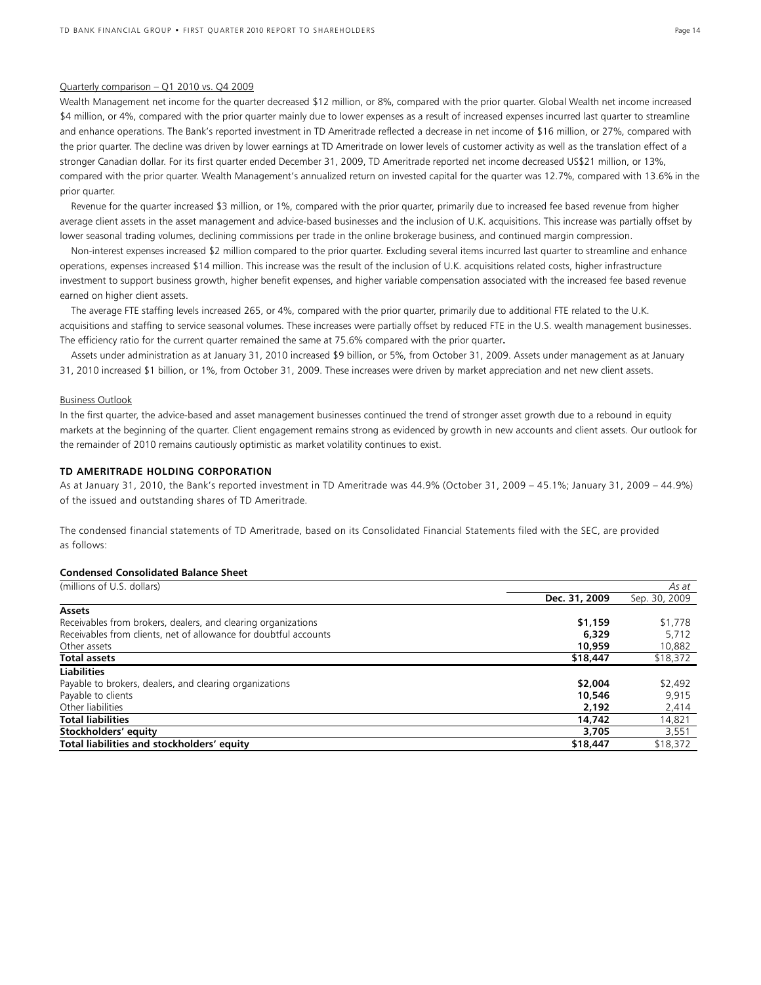#### Quarterly comparison – Q1 2010 vs. Q4 2009

Wealth Management net income for the quarter decreased \$12 million, or 8%, compared with the prior quarter. Global Wealth net income increased \$4 million, or 4%, compared with the prior quarter mainly due to lower expenses as a result of increased expenses incurred last quarter to streamline and enhance operations. The Bank's reported investment in TD Ameritrade reflected a decrease in net income of \$16 million, or 27%, compared with the prior quarter. The decline was driven by lower earnings at TD Ameritrade on lower levels of customer activity as well as the translation effect of a stronger Canadian dollar. For its first quarter ended December 31, 2009, TD Ameritrade reported net income decreased US\$21 million, or 13%, compared with the prior quarter. Wealth Management's annualized return on invested capital for the quarter was 12.7%, compared with 13.6% in the prior quarter.

 Revenue for the quarter increased \$3 million, or 1%, compared with the prior quarter, primarily due to increased fee based revenue from higher average client assets in the asset management and advice-based businesses and the inclusion of U.K. acquisitions. This increase was partially offset by lower seasonal trading volumes, declining commissions per trade in the online brokerage business, and continued margin compression.

 Non-interest expenses increased \$2 million compared to the prior quarter. Excluding several items incurred last quarter to streamline and enhance operations, expenses increased \$14 million. This increase was the result of the inclusion of U.K. acquisitions related costs, higher infrastructure investment to support business growth, higher benefit expenses, and higher variable compensation associated with the increased fee based revenue earned on higher client assets.

 The average FTE staffing levels increased 265, or 4%, compared with the prior quarter, primarily due to additional FTE related to the U.K. acquisitions and staffing to service seasonal volumes. These increases were partially offset by reduced FTE in the U.S. wealth management businesses. The efficiency ratio for the current quarter remained the same at 75.6% compared with the prior quarter**.** 

 Assets under administration as at January 31, 2010 increased \$9 billion, or 5%, from October 31, 2009. Assets under management as at January 31, 2010 increased \$1 billion, or 1%, from October 31, 2009. These increases were driven by market appreciation and net new client assets.

#### Business Outlook

In the first quarter, the advice-based and asset management businesses continued the trend of stronger asset growth due to a rebound in equity markets at the beginning of the quarter. Client engagement remains strong as evidenced by growth in new accounts and client assets. Our outlook for the remainder of 2010 remains cautiously optimistic as market volatility continues to exist.

#### **TD AMERITRADE HOLDING CORPORATION**

As at January 31, 2010, the Bank's reported investment in TD Ameritrade was 44.9% (October 31, 2009 – 45.1%; January 31, 2009 – 44.9%) of the issued and outstanding shares of TD Ameritrade.

The condensed financial statements of TD Ameritrade, based on its Consolidated Financial Statements filed with the SEC, are provided as follows:

#### **Condensed Consolidated Balance Sheet**

| (millions of U.S. dollars)                                       |               | As at         |
|------------------------------------------------------------------|---------------|---------------|
|                                                                  | Dec. 31, 2009 | Sep. 30, 2009 |
| <b>Assets</b>                                                    |               |               |
| Receivables from brokers, dealers, and clearing organizations    | \$1,159       | \$1,778       |
| Receivables from clients, net of allowance for doubtful accounts | 6,329         | 5.712         |
| Other assets                                                     | 10,959        | 10,882        |
| <b>Total assets</b>                                              | \$18,447      | \$18,372      |
| <b>Liabilities</b>                                               |               |               |
| Payable to brokers, dealers, and clearing organizations          | \$2,004       | \$2,492       |
| Payable to clients                                               | 10,546        | 9,915         |
| Other liabilities                                                | 2,192         | 2,414         |
| <b>Total liabilities</b>                                         | 14,742        | 14,821        |
| Stockholders' equity                                             | 3,705         | 3,551         |
| Total liabilities and stockholders' equity                       | \$18,447      | \$18,372      |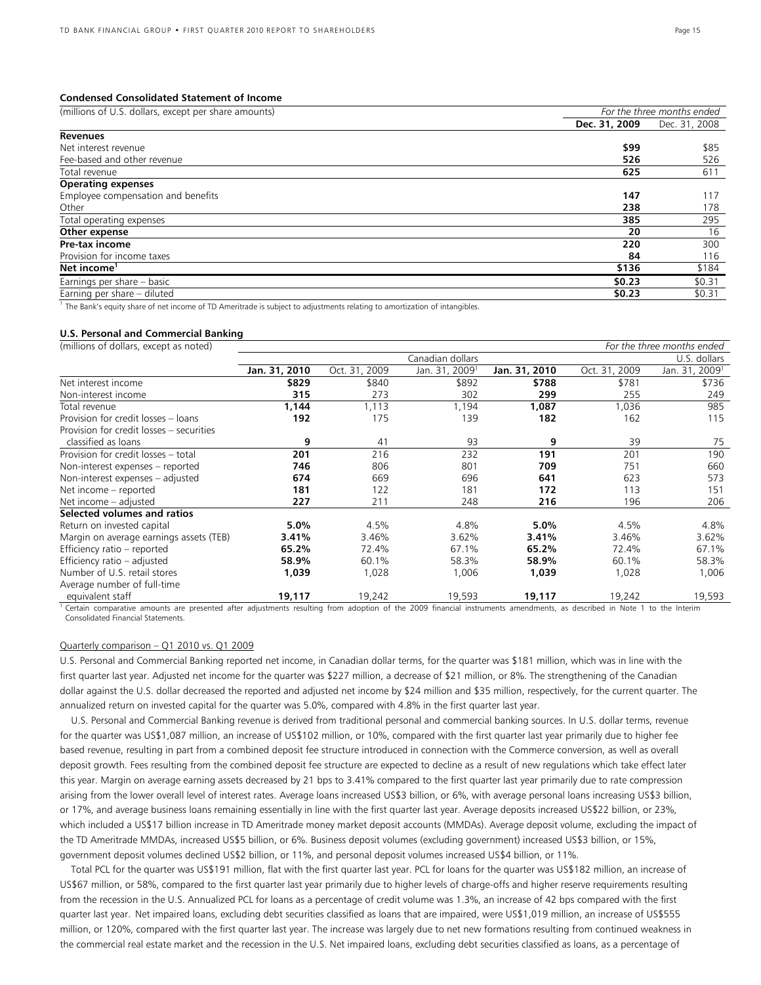#### **Condensed Consolidated Statement of Income**

| (millions of U.S. dollars, except per share amounts)                                                                      |               | For the three months ended |
|---------------------------------------------------------------------------------------------------------------------------|---------------|----------------------------|
|                                                                                                                           | Dec. 31, 2009 | Dec. 31, 2008              |
| <b>Revenues</b>                                                                                                           |               |                            |
| Net interest revenue                                                                                                      | \$99          | \$85                       |
| Fee-based and other revenue                                                                                               | 526           | 526                        |
| Total revenue                                                                                                             | 625           | 611                        |
| <b>Operating expenses</b>                                                                                                 |               |                            |
| Employee compensation and benefits                                                                                        | 147           | 117                        |
| Other                                                                                                                     | 238           | 178                        |
| Total operating expenses                                                                                                  | 385           | 295                        |
| Other expense                                                                                                             | 20            | 16                         |
| Pre-tax income                                                                                                            | 220           | 300                        |
| Provision for income taxes                                                                                                | 84            | 116                        |
| Net income <sup>1</sup>                                                                                                   | \$136         | \$184                      |
| Earnings per share - basic                                                                                                | \$0.23        | \$0.31                     |
| Earning per share - diluted                                                                                               | \$0.23        | \$0.31                     |
| The Bank's equity share of net income of TD Ameritrade is subject to adjustments relating to amortization of intangibles. |               |                            |

#### **U.S. Personal and Commercial Banking**

| (millions of dollars, except as noted)   |               |               |                            |               |               | For the three months ended |
|------------------------------------------|---------------|---------------|----------------------------|---------------|---------------|----------------------------|
|                                          |               |               | Canadian dollars           |               |               | U.S. dollars               |
|                                          | Jan. 31, 2010 | Oct. 31, 2009 | Jan. 31, 2009 <sup>1</sup> | Jan. 31, 2010 | Oct. 31, 2009 | Jan. 31, 2009 <sup>1</sup> |
| Net interest income                      | \$829         | \$840         | \$892                      | \$788         | \$781         | \$736                      |
| Non-interest income                      | 315           | 273           | 302                        | 299           | 255           | 249                        |
| Total revenue                            | 1,144         | 1,113         | 1,194                      | 1,087         | 1,036         | 985                        |
| Provision for credit losses - loans      | 192           | 175           | 139                        | 182           | 162           | 115                        |
| Provision for credit losses - securities |               |               |                            |               |               |                            |
| classified as loans                      | 9             | 41            | 93                         | 9             | 39            | 75                         |
| Provision for credit losses - total      | 201           | 216           | 232                        | 191           | 201           | 190                        |
| Non-interest expenses - reported         | 746           | 806           | 801                        | 709           | 751           | 660                        |
| Non-interest expenses - adjusted         | 674           | 669           | 696                        | 641           | 623           | 573                        |
| Net income - reported                    | 181           | 122           | 181                        | 172           | 113           | 151                        |
| Net income - adjusted                    | 227           | 211           | 248                        | 216           | 196           | 206                        |
| Selected volumes and ratios              |               |               |                            |               |               |                            |
| Return on invested capital               | $5.0\%$       | 4.5%          | 4.8%                       | 5.0%          | 4.5%          | 4.8%                       |
| Margin on average earnings assets (TEB)  | 3.41%         | 3.46%         | 3.62%                      | 3.41%         | 3.46%         | 3.62%                      |
| Efficiency ratio - reported              | 65.2%         | 72.4%         | 67.1%                      | 65.2%         | 72.4%         | 67.1%                      |
| Efficiency ratio - adjusted              | 58.9%         | 60.1%         | 58.3%                      | 58.9%         | 60.1%         | 58.3%                      |
| Number of U.S. retail stores             | 1,039         | 1,028         | 1,006                      | 1,039         | 1,028         | 1,006                      |
| Average number of full-time              |               |               |                            |               |               |                            |
| equivalent staff                         | 19,117        | 19,242        | 19,593                     | 19,117        | 19,242        | 19,593                     |

<sup>1</sup> Certain comparative amounts are presented after adjustments resulting from adoption of the 2009 financial instruments amendments, as described in Note 1 to the Interim Consolidated Financial Statements.

#### Quarterly comparison – Q1 2010 vs. Q1 2009

U.S. Personal and Commercial Banking reported net income, in Canadian dollar terms, for the quarter was \$181 million, which was in line with the first quarter last year. Adjusted net income for the quarter was \$227 million, a decrease of \$21 million, or 8%. The strengthening of the Canadian dollar against the U.S. dollar decreased the reported and adjusted net income by \$24 million and \$35 million, respectively, for the current quarter. The annualized return on invested capital for the quarter was 5.0%, compared with 4.8% in the first quarter last year.

 U.S. Personal and Commercial Banking revenue is derived from traditional personal and commercial banking sources. In U.S. dollar terms, revenue for the quarter was US\$1,087 million, an increase of US\$102 million, or 10%, compared with the first quarter last year primarily due to higher fee based revenue, resulting in part from a combined deposit fee structure introduced in connection with the Commerce conversion, as well as overall deposit growth. Fees resulting from the combined deposit fee structure are expected to decline as a result of new regulations which take effect later this year. Margin on average earning assets decreased by 21 bps to 3.41% compared to the first quarter last year primarily due to rate compression arising from the lower overall level of interest rates. Average loans increased US\$3 billion, or 6%, with average personal loans increasing US\$3 billion, or 17%, and average business loans remaining essentially in line with the first quarter last year. Average deposits increased US\$22 billion, or 23%, which included a US\$17 billion increase in TD Ameritrade money market deposit accounts (MMDAs). Average deposit volume, excluding the impact of the TD Ameritrade MMDAs, increased US\$5 billion, or 6%. Business deposit volumes (excluding government) increased US\$3 billion, or 15%, government deposit volumes declined US\$2 billion, or 11%, and personal deposit volumes increased US\$4 billion, or 11%.

Total PCL for the quarter was US\$191 million, flat with the first quarter last year. PCL for loans for the quarter was US\$182 million, an increase of US\$67 million, or 58%, compared to the first quarter last year primarily due to higher levels of charge-offs and higher reserve requirements resulting from the recession in the U.S. Annualized PCL for loans as a percentage of credit volume was 1.3%, an increase of 42 bps compared with the first quarter last year. Net impaired loans, excluding debt securities classified as loans that are impaired, were US\$1,019 million, an increase of US\$555 million, or 120%, compared with the first quarter last year. The increase was largely due to net new formations resulting from continued weakness in the commercial real estate market and the recession in the U.S. Net impaired loans, excluding debt securities classified as loans, as a percentage of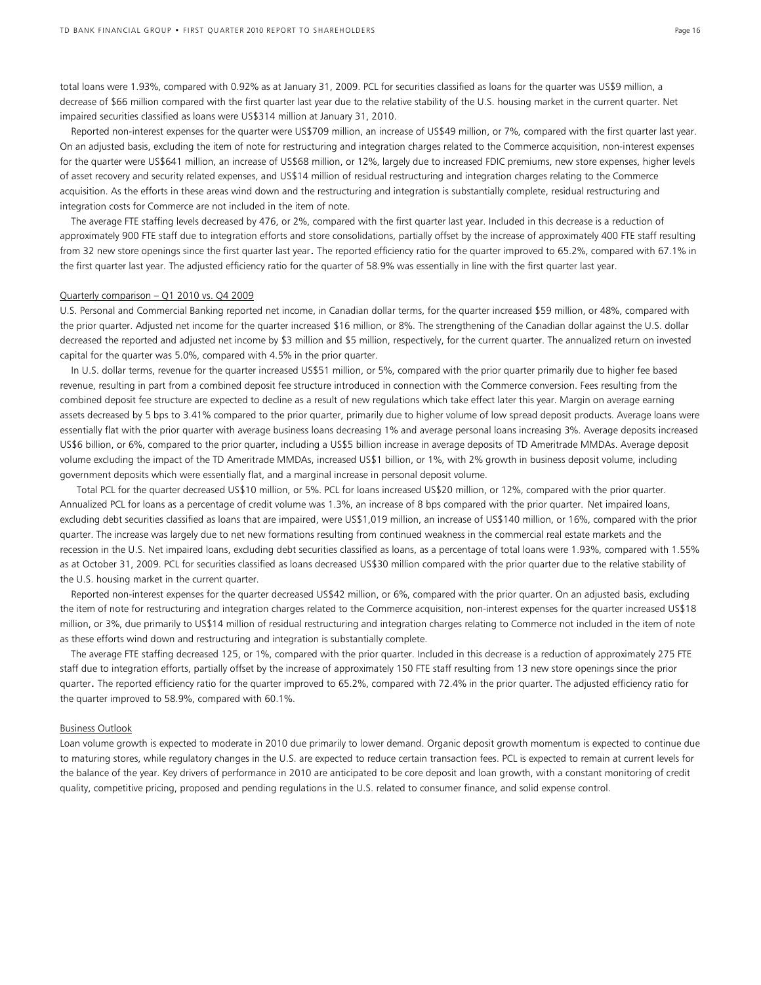total loans were 1.93%, compared with 0.92% as at January 31, 2009. PCL for securities classified as loans for the quarter was US\$9 million, a decrease of \$66 million compared with the first quarter last year due to the relative stability of the U.S. housing market in the current quarter. Net impaired securities classified as loans were US\$314 million at January 31, 2010.

 Reported non-interest expenses for the quarter were US\$709 million, an increase of US\$49 million, or 7%, compared with the first quarter last year. On an adjusted basis, excluding the item of note for restructuring and integration charges related to the Commerce acquisition, non-interest expenses for the quarter were US\$641 million, an increase of US\$68 million, or 12%, largely due to increased FDIC premiums, new store expenses, higher levels of asset recovery and security related expenses, and US\$14 million of residual restructuring and integration charges relating to the Commerce acquisition. As the efforts in these areas wind down and the restructuring and integration is substantially complete, residual restructuring and integration costs for Commerce are not included in the item of note.

 The average FTE staffing levels decreased by 476, or 2%, compared with the first quarter last year. Included in this decrease is a reduction of approximately 900 FTE staff due to integration efforts and store consolidations, partially offset by the increase of approximately 400 FTE staff resulting from 32 new store openings since the first quarter last year. The reported efficiency ratio for the quarter improved to 65.2%, compared with 67.1% in the first quarter last year. The adjusted efficiency ratio for the quarter of 58.9% was essentially in line with the first quarter last year.

#### Quarterly comparison - Q1 2010 vs. Q4 2009

U.S. Personal and Commercial Banking reported net income, in Canadian dollar terms, for the quarter increased \$59 million, or 48%, compared with the prior quarter. Adjusted net income for the quarter increased \$16 million, or 8%. The strengthening of the Canadian dollar against the U.S. dollar decreased the reported and adjusted net income by \$3 million and \$5 million, respectively, for the current quarter. The annualized return on invested capital for the quarter was 5.0%, compared with 4.5% in the prior quarter.

 In U.S. dollar terms, revenue for the quarter increased US\$51 million, or 5%, compared with the prior quarter primarily due to higher fee based revenue, resulting in part from a combined deposit fee structure introduced in connection with the Commerce conversion. Fees resulting from the combined deposit fee structure are expected to decline as a result of new regulations which take effect later this year. Margin on average earning assets decreased by 5 bps to 3.41% compared to the prior quarter, primarily due to higher volume of low spread deposit products. Average loans were essentially flat with the prior quarter with average business loans decreasing 1% and average personal loans increasing 3%. Average deposits increased US\$6 billion, or 6%, compared to the prior quarter, including a US\$5 billion increase in average deposits of TD Ameritrade MMDAs. Average deposit volume excluding the impact of the TD Ameritrade MMDAs, increased US\$1 billion, or 1%, with 2% growth in business deposit volume, including government deposits which were essentially flat, and a marginal increase in personal deposit volume.

 Total PCL for the quarter decreased US\$10 million, or 5%. PCL for loans increased US\$20 million, or 12%, compared with the prior quarter. Annualized PCL for loans as a percentage of credit volume was 1.3%, an increase of 8 bps compared with the prior quarter. Net impaired loans, excluding debt securities classified as loans that are impaired, were US\$1,019 million, an increase of US\$140 million, or 16%, compared with the prior quarter. The increase was largely due to net new formations resulting from continued weakness in the commercial real estate markets and the recession in the U.S. Net impaired loans, excluding debt securities classified as loans, as a percentage of total loans were 1.93%, compared with 1.55% as at October 31, 2009. PCL for securities classified as loans decreased US\$30 million compared with the prior quarter due to the relative stability of the U.S. housing market in the current quarter.

 Reported non-interest expenses for the quarter decreased US\$42 million, or 6%, compared with the prior quarter. On an adjusted basis, excluding the item of note for restructuring and integration charges related to the Commerce acquisition, non-interest expenses for the quarter increased US\$18 million, or 3%, due primarily to US\$14 million of residual restructuring and integration charges relating to Commerce not included in the item of note as these efforts wind down and restructuring and integration is substantially complete.

 The average FTE staffing decreased 125, or 1%, compared with the prior quarter. Included in this decrease is a reduction of approximately 275 FTE staff due to integration efforts, partially offset by the increase of approximately 150 FTE staff resulting from 13 new store openings since the prior quarter. The reported efficiency ratio for the quarter improved to 65.2%, compared with 72.4% in the prior quarter. The adjusted efficiency ratio for the quarter improved to 58.9%, compared with 60.1%.

#### Business Outlook

Loan volume growth is expected to moderate in 2010 due primarily to lower demand. Organic deposit growth momentum is expected to continue due to maturing stores, while regulatory changes in the U.S. are expected to reduce certain transaction fees. PCL is expected to remain at current levels for the balance of the year. Key drivers of performance in 2010 are anticipated to be core deposit and loan growth, with a constant monitoring of credit quality, competitive pricing, proposed and pending regulations in the U.S. related to consumer finance, and solid expense control.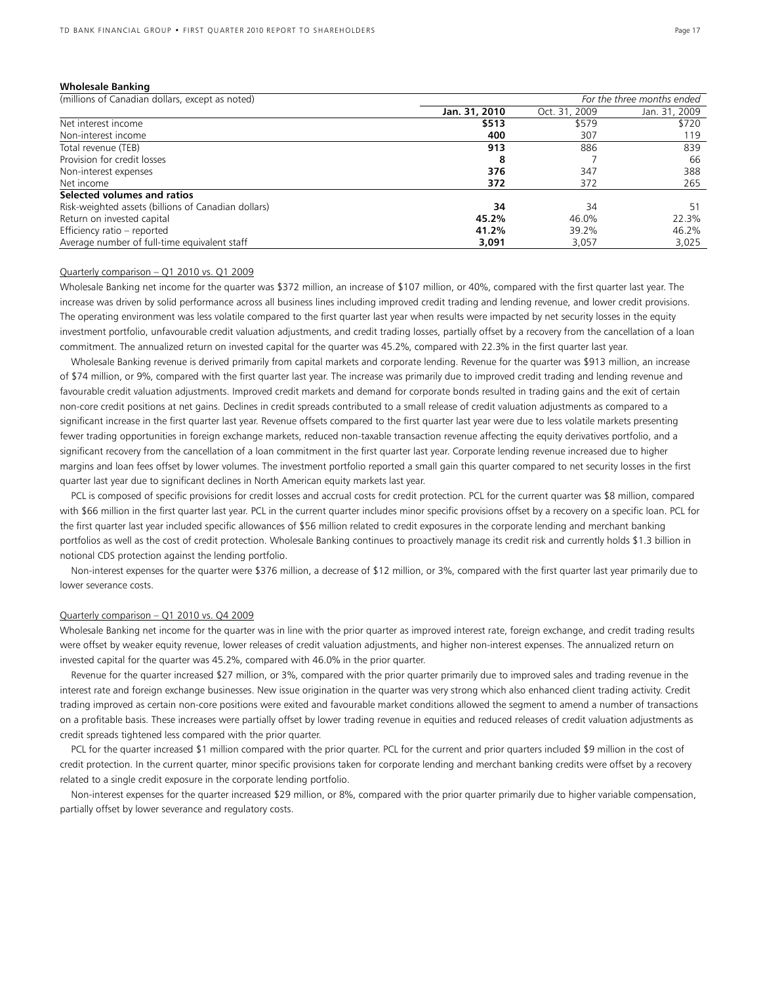#### **Wholesale Banking**

| (millions of Canadian dollars, except as noted)     | For the three months ended |               |               |  |
|-----------------------------------------------------|----------------------------|---------------|---------------|--|
|                                                     | Jan. 31, 2010              | Oct. 31, 2009 | Jan. 31, 2009 |  |
| Net interest income                                 | \$513                      | \$579         | \$720         |  |
| Non-interest income                                 | 400                        | 307           | 119           |  |
| Total revenue (TEB)                                 | 913                        | 886           | 839           |  |
| Provision for credit losses                         | 8                          |               | 66            |  |
| Non-interest expenses                               | 376                        | 347           | 388           |  |
| Net income                                          | 372                        | 372           | 265           |  |
| Selected volumes and ratios                         |                            |               |               |  |
| Risk-weighted assets (billions of Canadian dollars) | 34                         | 34            | 51            |  |
| Return on invested capital                          | 45.2%                      | 46.0%         | 22.3%         |  |
| Efficiency ratio - reported                         | 41.2%                      | 39.2%         | 46.2%         |  |
| Average number of full-time equivalent staff        | 3,091                      | 3.057         | 3,025         |  |

#### Quarterly comparison – Q1 2010 vs. Q1 2009

Wholesale Banking net income for the quarter was \$372 million, an increase of \$107 million, or 40%, compared with the first quarter last year. The increase was driven by solid performance across all business lines including improved credit trading and lending revenue, and lower credit provisions. The operating environment was less volatile compared to the first quarter last year when results were impacted by net security losses in the equity investment portfolio, unfavourable credit valuation adjustments, and credit trading losses, partially offset by a recovery from the cancellation of a loan commitment. The annualized return on invested capital for the quarter was 45.2%, compared with 22.3% in the first quarter last year.

Wholesale Banking revenue is derived primarily from capital markets and corporate lending. Revenue for the quarter was \$913 million, an increase of \$74 million, or 9%, compared with the first quarter last year. The increase was primarily due to improved credit trading and lending revenue and favourable credit valuation adjustments. Improved credit markets and demand for corporate bonds resulted in trading gains and the exit of certain non-core credit positions at net gains. Declines in credit spreads contributed to a small release of credit valuation adjustments as compared to a significant increase in the first quarter last year. Revenue offsets compared to the first quarter last year were due to less volatile markets presenting fewer trading opportunities in foreign exchange markets, reduced non-taxable transaction revenue affecting the equity derivatives portfolio, and a significant recovery from the cancellation of a loan commitment in the first quarter last year. Corporate lending revenue increased due to higher margins and loan fees offset by lower volumes. The investment portfolio reported a small gain this quarter compared to net security losses in the first quarter last year due to significant declines in North American equity markets last year.

PCL is composed of specific provisions for credit losses and accrual costs for credit protection. PCL for the current quarter was \$8 million, compared with \$66 million in the first quarter last year. PCL in the current quarter includes minor specific provisions offset by a recovery on a specific loan. PCL for the first quarter last year included specific allowances of \$56 million related to credit exposures in the corporate lending and merchant banking portfolios as well as the cost of credit protection. Wholesale Banking continues to proactively manage its credit risk and currently holds \$1.3 billion in notional CDS protection against the lending portfolio.

Non-interest expenses for the quarter were \$376 million, a decrease of \$12 million, or 3%, compared with the first quarter last year primarily due to lower severance costs.

#### Quarterly comparison – Q1 2010 vs. Q4 2009

Wholesale Banking net income for the quarter was in line with the prior quarter as improved interest rate, foreign exchange, and credit trading results were offset by weaker equity revenue, lower releases of credit valuation adjustments, and higher non-interest expenses. The annualized return on invested capital for the quarter was 45.2%, compared with 46.0% in the prior quarter.

 Revenue for the quarter increased \$27 million, or 3%, compared with the prior quarter primarily due to improved sales and trading revenue in the interest rate and foreign exchange businesses. New issue origination in the quarter was very strong which also enhanced client trading activity. Credit trading improved as certain non-core positions were exited and favourable market conditions allowed the segment to amend a number of transactions on a profitable basis. These increases were partially offset by lower trading revenue in equities and reduced releases of credit valuation adjustments as credit spreads tightened less compared with the prior quarter.

PCL for the quarter increased \$1 million compared with the prior quarter. PCL for the current and prior quarters included \$9 million in the cost of credit protection. In the current quarter, minor specific provisions taken for corporate lending and merchant banking credits were offset by a recovery related to a single credit exposure in the corporate lending portfolio.

 Non-interest expenses for the quarter increased \$29 million, or 8%, compared with the prior quarter primarily due to higher variable compensation, partially offset by lower severance and regulatory costs.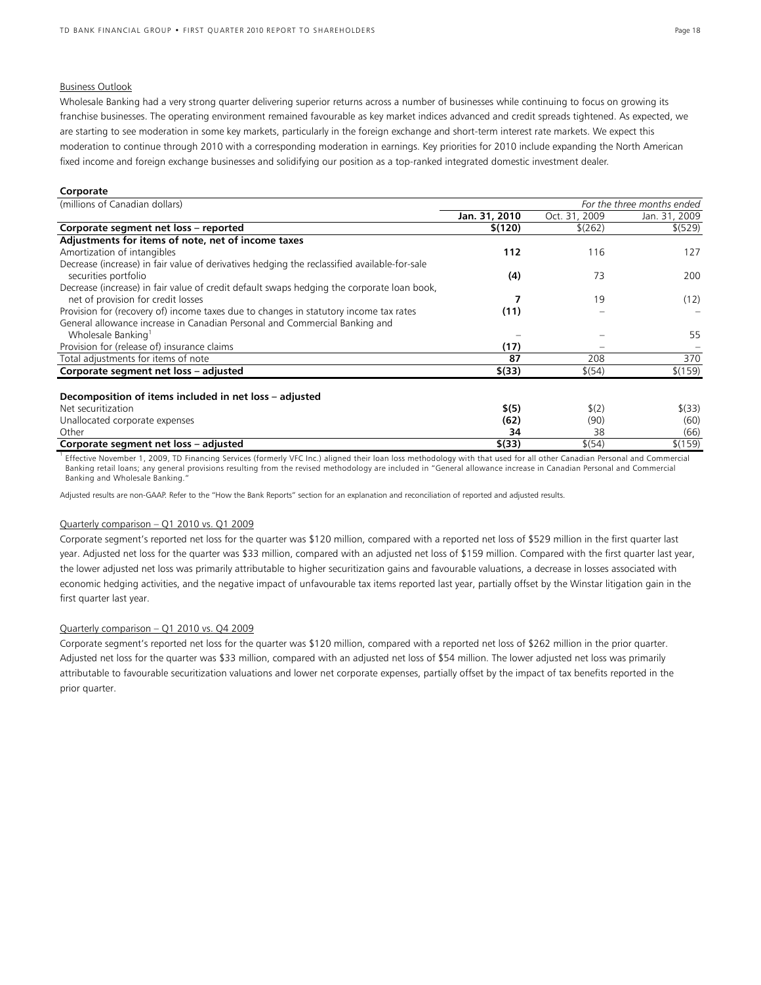#### Business Outlook

Wholesale Banking had a very strong quarter delivering superior returns across a number of businesses while continuing to focus on growing its franchise businesses. The operating environment remained favourable as key market indices advanced and credit spreads tightened. As expected, we are starting to see moderation in some key markets, particularly in the foreign exchange and short-term interest rate markets. We expect this moderation to continue through 2010 with a corresponding moderation in earnings. Key priorities for 2010 include expanding the North American fixed income and foreign exchange businesses and solidifying our position as a top-ranked integrated domestic investment dealer.

#### **Corporate**

| (millions of Canadian dollars)                                                               | For the three months ended |               |               |
|----------------------------------------------------------------------------------------------|----------------------------|---------------|---------------|
|                                                                                              | Jan. 31, 2010              | Oct. 31, 2009 | Jan. 31, 2009 |
| Corporate segment net loss - reported                                                        | \$(120)                    | \$(262)       | \$ (529)      |
| Adjustments for items of note, net of income taxes                                           |                            |               |               |
| Amortization of intangibles                                                                  | 112                        | 116           | 127           |
| Decrease (increase) in fair value of derivatives hedging the reclassified available-for-sale |                            |               |               |
| securities portfolio                                                                         | (4)                        | 73            | 200           |
| Decrease (increase) in fair value of credit default swaps hedging the corporate loan book,   |                            |               |               |
| net of provision for credit losses                                                           |                            | 19            | (12)          |
| Provision for (recovery of) income taxes due to changes in statutory income tax rates        | (11)                       |               |               |
| General allowance increase in Canadian Personal and Commercial Banking and                   |                            |               |               |
| Wholesale Banking <sup>1</sup>                                                               |                            |               | 55            |
| Provision for (release of) insurance claims                                                  | (17)                       |               |               |
| Total adjustments for items of note                                                          | 87                         | 208           | 370           |
| Corporate segment net loss - adjusted                                                        | \$(33)                     | \$(54)        | \$(159)       |
|                                                                                              |                            |               |               |
| Decomposition of items included in net loss – adjusted                                       |                            |               |               |
| Net securitization                                                                           | \$(5)                      | \$(2)         | \$ (33)       |
| Unallocated corporate expenses                                                               | (62)                       | (90)          | (60)          |
| Other                                                                                        | 34                         | 38            | (66)          |
| Corporate segment net loss - adjusted                                                        | \$(33)                     | \$(54)        | \$(159)       |

<sup>1</sup> Effective November 1, 2009, TD Financing Services (formerly VFC Inc.) aligned their loan loss methodology with that used for all other Canadian Personal and Commercial Banking retail loans; any general provisions resulting from the revised methodology are included in "General allowance increase in Canadian Personal and Commercial Banking and Wholesale Banking."

Adjusted results are non-GAAP. Refer to the "How the Bank Reports" section for an explanation and reconciliation of reported and adjusted results.

#### Quarterly comparison – Q1 2010 vs. Q1 2009

Corporate segment's reported net loss for the quarter was \$120 million, compared with a reported net loss of \$529 million in the first quarter last year. Adjusted net loss for the quarter was \$33 million, compared with an adjusted net loss of \$159 million. Compared with the first quarter last year, the lower adjusted net loss was primarily attributable to higher securitization gains and favourable valuations, a decrease in losses associated with economic hedging activities, and the negative impact of unfavourable tax items reported last year, partially offset by the Winstar litigation gain in the first quarter last year.

### Quarterly comparison – Q1 2010 vs. Q4 2009

Corporate segment's reported net loss for the quarter was \$120 million, compared with a reported net loss of \$262 million in the prior quarter. Adjusted net loss for the quarter was \$33 million, compared with an adjusted net loss of \$54 million. The lower adjusted net loss was primarily attributable to favourable securitization valuations and lower net corporate expenses, partially offset by the impact of tax benefits reported in the prior quarter.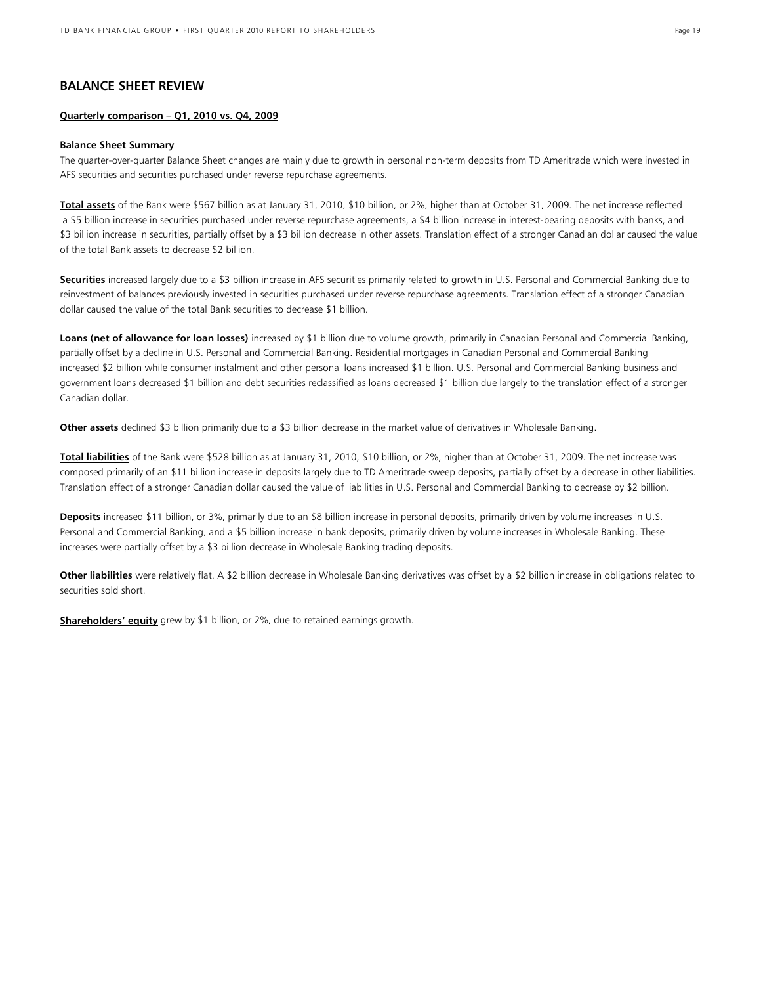### **BALANCE SHEET REVIEW**

### **Quarterly comparison – Q1, 2010 vs. Q4, 2009**

#### **Balance Sheet Summary**

The quarter-over-quarter Balance Sheet changes are mainly due to growth in personal non-term deposits from TD Ameritrade which were invested in AFS securities and securities purchased under reverse repurchase agreements.

**Total assets** of the Bank were \$567 billion as at January 31, 2010, \$10 billion, or 2%, higher than at October 31, 2009. The net increase reflected a \$5 billion increase in securities purchased under reverse repurchase agreements, a \$4 billion increase in interest-bearing deposits with banks, and \$3 billion increase in securities, partially offset by a \$3 billion decrease in other assets. Translation effect of a stronger Canadian dollar caused the value of the total Bank assets to decrease \$2 billion.

**Securities** increased largely due to a \$3 billion increase in AFS securities primarily related to growth in U.S. Personal and Commercial Banking due to reinvestment of balances previously invested in securities purchased under reverse repurchase agreements. Translation effect of a stronger Canadian dollar caused the value of the total Bank securities to decrease \$1 billion.

Loans (net of allowance for loan losses) increased by \$1 billion due to volume growth, primarily in Canadian Personal and Commercial Banking, partially offset by a decline in U.S. Personal and Commercial Banking. Residential mortgages in Canadian Personal and Commercial Banking increased \$2 billion while consumer instalment and other personal loans increased \$1 billion. U.S. Personal and Commercial Banking business and government loans decreased \$1 billion and debt securities reclassified as loans decreased \$1 billion due largely to the translation effect of a stronger Canadian dollar.

**Other assets** declined \$3 billion primarily due to a \$3 billion decrease in the market value of derivatives in Wholesale Banking.

**Total liabilities** of the Bank were \$528 billion as at January 31, 2010, \$10 billion, or 2%, higher than at October 31, 2009. The net increase was composed primarily of an \$11 billion increase in deposits largely due to TD Ameritrade sweep deposits, partially offset by a decrease in other liabilities. Translation effect of a stronger Canadian dollar caused the value of liabilities in U.S. Personal and Commercial Banking to decrease by \$2 billion.

**Deposits** increased \$11 billion, or 3%, primarily due to an \$8 billion increase in personal deposits, primarily driven by volume increases in U.S. Personal and Commercial Banking, and a \$5 billion increase in bank deposits, primarily driven by volume increases in Wholesale Banking. These increases were partially offset by a \$3 billion decrease in Wholesale Banking trading deposits.

**Other liabilities** were relatively flat. A \$2 billion decrease in Wholesale Banking derivatives was offset by a \$2 billion increase in obligations related to securities sold short.

**Shareholders' equity** grew by \$1 billion, or 2%, due to retained earnings growth.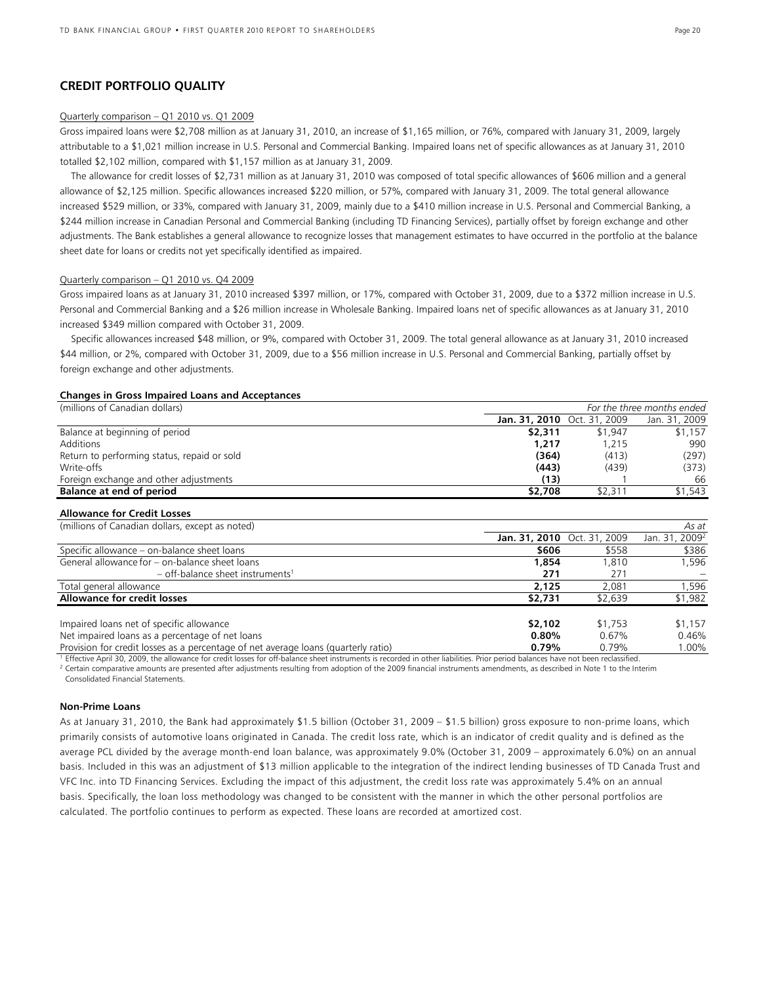### **CREDIT PORTFOLIO QUALITY**

### Quarterly comparison – Q1 2010 vs. Q1 2009

Gross impaired loans were \$2,708 million as at January 31, 2010, an increase of \$1,165 million, or 76%, compared with January 31, 2009, largely attributable to a \$1,021 million increase in U.S. Personal and Commercial Banking. Impaired loans net of specific allowances as at January 31, 2010 totalled \$2,102 million, compared with \$1,157 million as at January 31, 2009.

 The allowance for credit losses of \$2,731 million as at January 31, 2010 was composed of total specific allowances of \$606 million and a general allowance of \$2,125 million. Specific allowances increased \$220 million, or 57%, compared with January 31, 2009. The total general allowance increased \$529 million, or 33%, compared with January 31, 2009, mainly due to a \$410 million increase in U.S. Personal and Commercial Banking, a \$244 million increase in Canadian Personal and Commercial Banking (including TD Financing Services), partially offset by foreign exchange and other adjustments. The Bank establishes a general allowance to recognize losses that management estimates to have occurred in the portfolio at the balance sheet date for loans or credits not yet specifically identified as impaired.

### Quarterly comparison – Q1 2010 vs. Q4 2009

Gross impaired loans as at January 31, 2010 increased \$397 million, or 17%, compared with October 31, 2009, due to a \$372 million increase in U.S. Personal and Commercial Banking and a \$26 million increase in Wholesale Banking. Impaired loans net of specific allowances as at January 31, 2010 increased \$349 million compared with October 31, 2009.

 Specific allowances increased \$48 million, or 9%, compared with October 31, 2009. The total general allowance as at January 31, 2010 increased \$44 million, or 2%, compared with October 31, 2009, due to a \$56 million increase in U.S. Personal and Commercial Banking, partially offset by foreign exchange and other adjustments.

#### **Changes in Gross Impaired Loans and Acceptances**

| (millions of Canadian dollars)                                                     | For the three months ended |               |                            |  |
|------------------------------------------------------------------------------------|----------------------------|---------------|----------------------------|--|
|                                                                                    | Jan. 31, 2010              | Oct. 31, 2009 | Jan. 31, 2009              |  |
| Balance at beginning of period                                                     | \$2,311                    | \$1,947       | \$1,157                    |  |
| <b>Additions</b>                                                                   | 1,217                      | 1,215         | 990                        |  |
| Return to performing status, repaid or sold                                        | (364)                      | (413)         | (297)                      |  |
| Write-offs                                                                         | (443)                      | (439)         | (373)                      |  |
| Foreign exchange and other adjustments                                             | (13)                       |               | 66                         |  |
| Balance at end of period                                                           | \$2,708                    | \$2,311       | \$1,543                    |  |
| <b>Allowance for Credit Losses</b>                                                 |                            |               |                            |  |
| (millions of Canadian dollars, except as noted)                                    |                            |               | As at                      |  |
|                                                                                    | Jan. 31, 2010              | Oct. 31, 2009 | Jan. 31, 2009 <sup>2</sup> |  |
| Specific allowance - on-balance sheet loans                                        | \$606                      | \$558         | \$386                      |  |
| General allowance for – on-balance sheet loans                                     | 1,854                      | 1,810         | 1,596                      |  |
| $-$ off-balance sheet instruments <sup>1</sup>                                     | 271                        | 271           |                            |  |
| Total general allowance                                                            | 2,125                      | 2,081         | 1,596                      |  |
| <b>Allowance for credit losses</b>                                                 | \$2,731                    | \$2,639       | \$1,982                    |  |
| Impaired loans net of specific allowance                                           | \$2,102                    | \$1,753       | \$1,157                    |  |
| Net impaired loans as a percentage of net loans                                    | 0.80%                      | 0.67%         | 0.46%                      |  |
| Provision for credit losses as a percentage of net average loans (quarterly ratio) | 0.79%                      | 0.79%         | 1.00%                      |  |
|                                                                                    |                            |               |                            |  |

<sup>1</sup> Effective April 30, 2009, the allowance for credit losses for off-balance sheet instruments is recorded in other liabilities. Prior period balances have not been reclassified.<br><sup>2</sup> Certain comparative amounts are presen Consolidated Financial Statements.

#### **Non-Prime Loans**

As at January 31, 2010, the Bank had approximately \$1.5 billion (October 31, 2009 – \$1.5 billion) gross exposure to non-prime loans, which primarily consists of automotive loans originated in Canada. The credit loss rate, which is an indicator of credit quality and is defined as the average PCL divided by the average month-end loan balance, was approximately 9.0% (October 31, 2009 – approximately 6.0%) on an annual basis. Included in this was an adjustment of \$13 million applicable to the integration of the indirect lending businesses of TD Canada Trust and VFC Inc. into TD Financing Services. Excluding the impact of this adjustment, the credit loss rate was approximately 5.4% on an annual basis. Specifically, the loan loss methodology was changed to be consistent with the manner in which the other personal portfolios are calculated. The portfolio continues to perform as expected. These loans are recorded at amortized cost.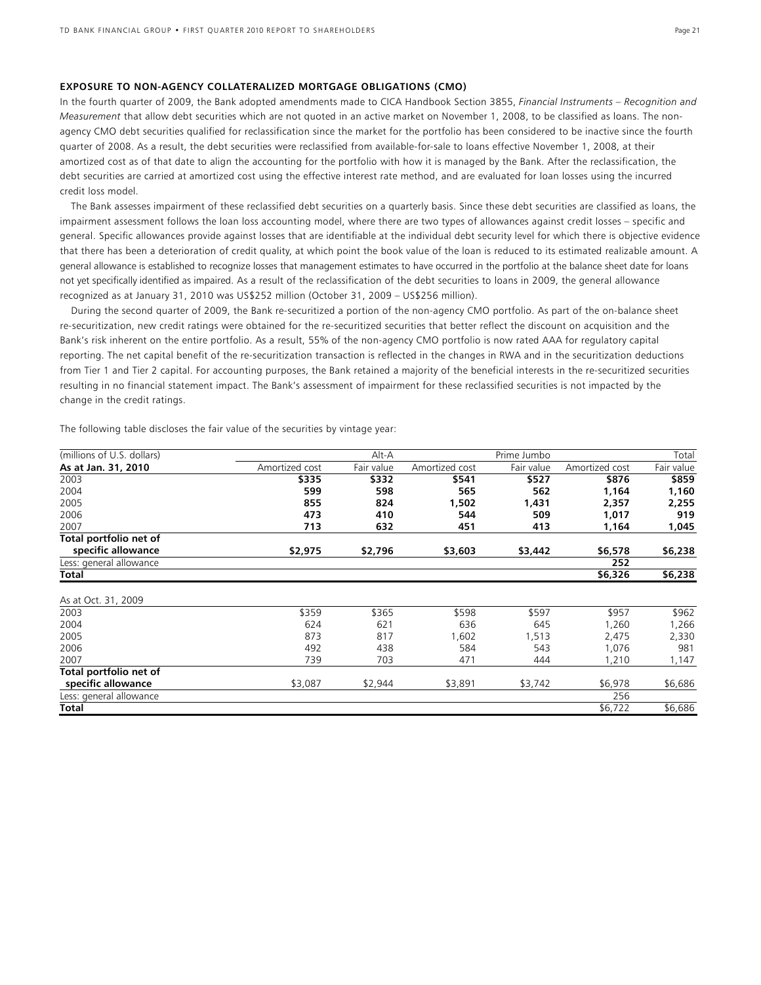#### **EXPOSURE TO NON-AGENCY COLLATERALIZED MORTGAGE OBLIGATIONS (CMO)**

In the fourth quarter of 2009, the Bank adopted amendments made to CICA Handbook Section 3855, *Financial Instruments – Recognition and Measurement* that allow debt securities which are not quoted in an active market on November 1, 2008, to be classified as loans. The nonagency CMO debt securities qualified for reclassification since the market for the portfolio has been considered to be inactive since the fourth quarter of 2008. As a result, the debt securities were reclassified from available-for-sale to loans effective November 1, 2008, at their amortized cost as of that date to align the accounting for the portfolio with how it is managed by the Bank. After the reclassification, the debt securities are carried at amortized cost using the effective interest rate method, and are evaluated for loan losses using the incurred credit loss model.

 The Bank assesses impairment of these reclassified debt securities on a quarterly basis. Since these debt securities are classified as loans, the impairment assessment follows the loan loss accounting model, where there are two types of allowances against credit losses – specific and general. Specific allowances provide against losses that are identifiable at the individual debt security level for which there is objective evidence that there has been a deterioration of credit quality, at which point the book value of the loan is reduced to its estimated realizable amount. A general allowance is established to recognize losses that management estimates to have occurred in the portfolio at the balance sheet date for loans not yet specifically identified as impaired. As a result of the reclassification of the debt securities to loans in 2009, the general allowance recognized as at January 31, 2010 was US\$252 million (October 31, 2009 – US\$256 million).

 During the second quarter of 2009, the Bank re-securitized a portion of the non-agency CMO portfolio. As part of the on-balance sheet re-securitization, new credit ratings were obtained for the re-securitized securities that better reflect the discount on acquisition and the Bank's risk inherent on the entire portfolio. As a result, 55% of the non-agency CMO portfolio is now rated AAA for regulatory capital reporting. The net capital benefit of the re-securitization transaction is reflected in the changes in RWA and in the securitization deductions from Tier 1 and Tier 2 capital. For accounting purposes, the Bank retained a majority of the beneficial interests in the re-securitized securities resulting in no financial statement impact. The Bank's assessment of impairment for these reclassified securities is not impacted by the change in the credit ratings.

The following table discloses the fair value of the securities by vintage year:

| (millions of U.S. dollars) |                | Alt-A      |                | Prime Jumbo |                | Total      |
|----------------------------|----------------|------------|----------------|-------------|----------------|------------|
| As at Jan. 31, 2010        | Amortized cost | Fair value | Amortized cost | Fair value  | Amortized cost | Fair value |
| 2003                       | \$335          | \$332      | \$541          | \$527       | \$876          | \$859      |
| 2004                       | 599            | 598        | 565            | 562         | 1,164          | 1,160      |
| 2005                       | 855            | 824        | 1,502          | 1,431       | 2,357          | 2,255      |
| 2006                       | 473            | 410        | 544            | 509         | 1,017          | 919        |
| 2007                       | 713            | 632        | 451            | 413         | 1,164          | 1,045      |
| Total portfolio net of     |                |            |                |             |                |            |
| specific allowance         | \$2,975        | \$2,796    | \$3,603        | \$3,442     | \$6,578        | \$6,238    |
| Less: general allowance    |                |            |                |             | 252            |            |
| Total                      |                |            |                |             | \$6,326        | \$6,238    |
| As at Oct. 31, 2009        |                |            |                |             |                |            |
| 2003                       | \$359          | \$365      | \$598          | \$597       | \$957          | \$962      |
| 2004                       | 624            | 621        | 636            | 645         | 1,260          | 1,266      |
| 2005                       | 873            | 817        | 1,602          | 1,513       | 2,475          | 2,330      |
| 2006                       | 492            | 438        | 584            | 543         | 1,076          | 981        |
| 2007                       | 739            | 703        | 471            | 444         | 1,210          | 1,147      |
| Total portfolio net of     |                |            |                |             |                |            |
| specific allowance         | \$3,087        | \$2,944    | \$3,891        | \$3,742     | \$6,978        | \$6,686    |
| Less: general allowance    |                |            |                |             | 256            |            |
| Total                      |                |            |                |             | \$6,722        | \$6,686    |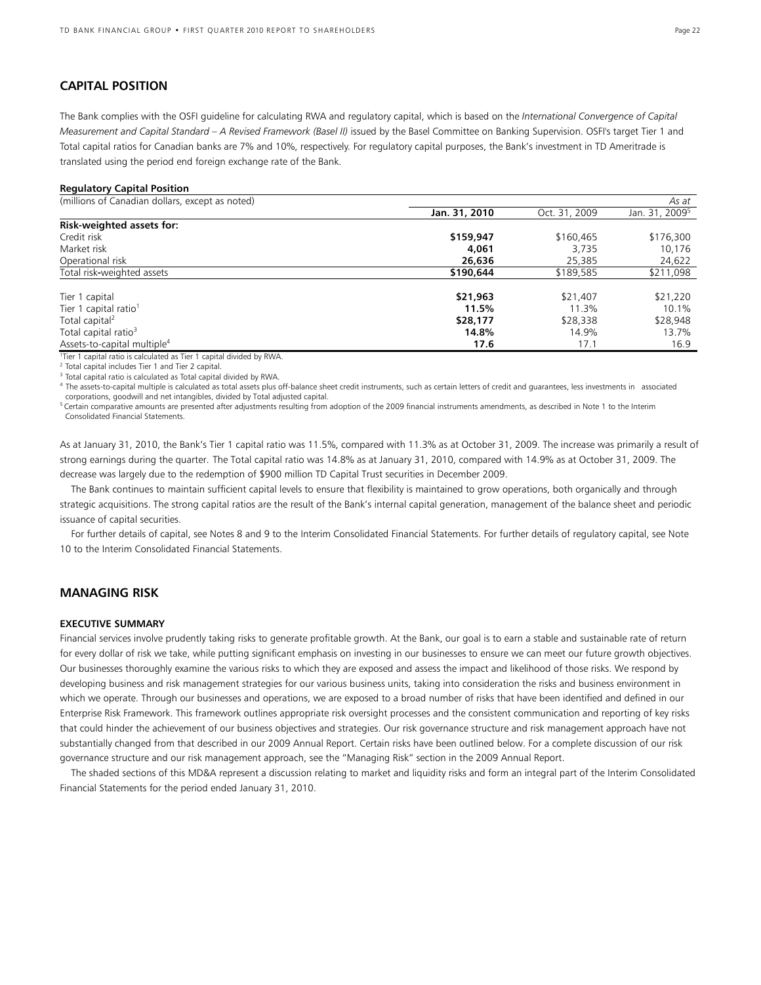### **CAPITAL POSITION**

The Bank complies with the OSFI guideline for calculating RWA and regulatory capital, which is based on the *International Convergence of Capital Measurement and Capital Standard – A Revised Framework (Basel II)* issued by the Basel Committee on Banking Supervision. OSFI's target Tier 1 and Total capital ratios for Canadian banks are 7% and 10%, respectively. For regulatory capital purposes, the Bank's investment in TD Ameritrade is translated using the period end foreign exchange rate of the Bank.

#### **Regulatory Capital Position**

| (millions of Canadian dollars, except as noted)                     |               |               | As at                      |
|---------------------------------------------------------------------|---------------|---------------|----------------------------|
|                                                                     | Jan. 31, 2010 | Oct. 31, 2009 | Jan. 31, 2009 <sup>5</sup> |
| Risk-weighted assets for:                                           |               |               |                            |
| Credit risk                                                         | \$159,947     | \$160,465     | \$176,300                  |
| Market risk                                                         | 4,061         | 3.735         | 10,176                     |
| Operational risk                                                    | 26,636        | 25,385        | 24,622                     |
| Total risk-weighted assets                                          | \$190,644     | \$189,585     | \$211,098                  |
| Tier 1 capital                                                      | \$21,963      | \$21,407      | \$21,220                   |
| Tier 1 capital ratio <sup>1</sup>                                   | 11.5%         | 11.3%         | 10.1%                      |
| Total capital <sup>2</sup>                                          | \$28,177      | \$28,338      | \$28,948                   |
| Total capital ratio <sup>3</sup>                                    | 14.8%         | 14.9%         | 13.7%                      |
| Assets-to-capital multiple <sup>4</sup>                             | 17.6          | 17.1          | 16.9                       |
| Tior 1 capital ratio is calculated as Tior 1 capital divided by PWA |               |               |                            |

Tier 1 capital ratio is calculated as Tier 1 capital divided by RWA.

<sup>2</sup> Total capital includes Tier 1 and Tier 2 capital.

<sup>3</sup> Total capital ratio is calculated as Total capital divided by RWA.

4 The assets-to-capital multiple is calculated as total assets plus off-balance sheet credit instruments, such as certain letters of credit and guarantees, less investments in associated corporations, goodwill and net intangibles, divided by Total adjusted capital.

<sup>5</sup> Certain comparative amounts are presented after adjustments resulting from adoption of the 2009 financial instruments amendments, as described in Note 1 to the Interim Consolidated Financial Statements.

As at January 31, 2010, the Bank's Tier 1 capital ratio was 11.5%, compared with 11.3% as at October 31, 2009. The increase was primarily a result of strong earnings during the quarter. The Total capital ratio was 14.8% as at January 31, 2010, compared with 14.9% as at October 31, 2009. The decrease was largely due to the redemption of \$900 million TD Capital Trust securities in December 2009.

The Bank continues to maintain sufficient capital levels to ensure that flexibility is maintained to grow operations, both organically and through strategic acquisitions. The strong capital ratios are the result of the Bank's internal capital generation, management of the balance sheet and periodic issuance of capital securities.

For further details of capital, see Notes 8 and 9 to the Interim Consolidated Financial Statements. For further details of regulatory capital, see Note 10 to the Interim Consolidated Financial Statements.

### **MANAGING RISK**

#### **EXECUTIVE SUMMARY**

Financial services involve prudently taking risks to generate profitable growth. At the Bank, our goal is to earn a stable and sustainable rate of return for every dollar of risk we take, while putting significant emphasis on investing in our businesses to ensure we can meet our future growth objectives. Our businesses thoroughly examine the various risks to which they are exposed and assess the impact and likelihood of those risks. We respond by developing business and risk management strategies for our various business units, taking into consideration the risks and business environment in which we operate. Through our businesses and operations, we are exposed to a broad number of risks that have been identified and defined in our Enterprise Risk Framework. This framework outlines appropriate risk oversight processes and the consistent communication and reporting of key risks that could hinder the achievement of our business objectives and strategies. Our risk governance structure and risk management approach have not substantially changed from that described in our 2009 Annual Report. Certain risks have been outlined below. For a complete discussion of our risk governance structure and our risk management approach, see the "Managing Risk" section in the 2009 Annual Report.

The shaded sections of this MD&A represent a discussion relating to market and liquidity risks and form an integral part of the Interim Consolidated Financial Statements for the period ended January 31, 2010.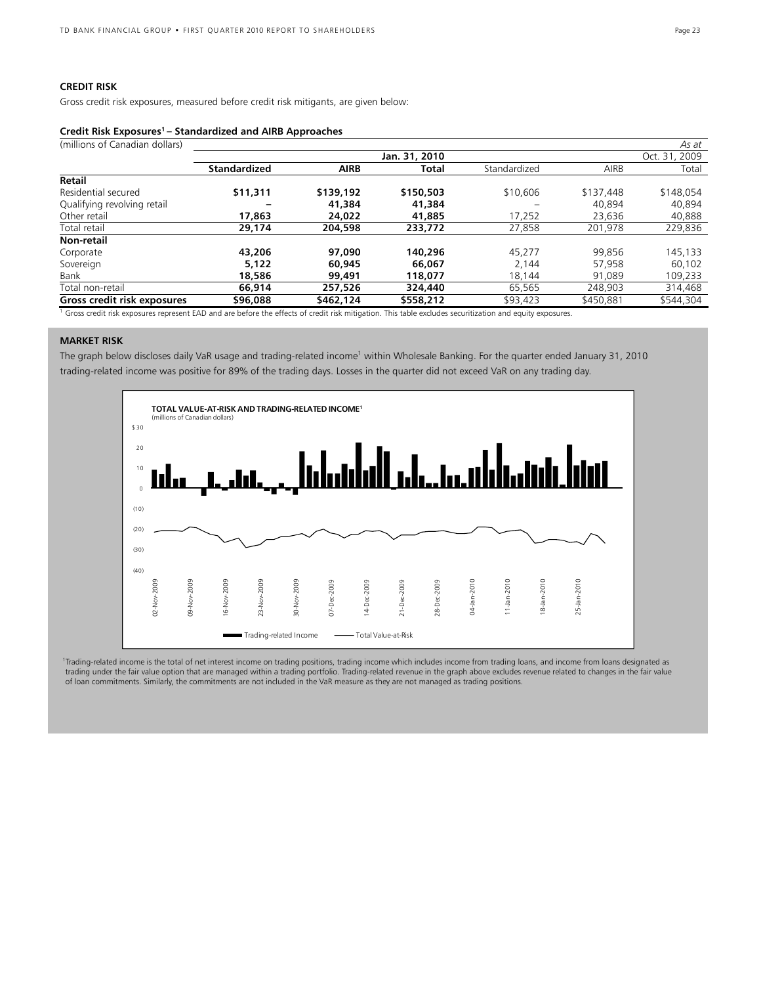### **CREDIT RISK**

Gross credit risk exposures, measured before credit risk mitigants, are given below:

### **Credit Risk Exposures1 – Standardized and AIRB Approaches**

| (millions of Canadian dollars)                                                                                                                           |                     |             |               |              |           | As at         |
|----------------------------------------------------------------------------------------------------------------------------------------------------------|---------------------|-------------|---------------|--------------|-----------|---------------|
|                                                                                                                                                          |                     |             | Jan. 31, 2010 |              |           | Oct. 31, 2009 |
|                                                                                                                                                          | <b>Standardized</b> | <b>AIRB</b> | Total         | Standardized | AIRB      | Total         |
| Retail                                                                                                                                                   |                     |             |               |              |           |               |
| Residential secured                                                                                                                                      | \$11,311            | \$139,192   | \$150,503     | \$10,606     | \$137,448 | \$148,054     |
| Qualifying revolving retail                                                                                                                              |                     | 41,384      | 41,384        |              | 40,894    | 40.894        |
| Other retail                                                                                                                                             | 17,863              | 24.022      | 41,885        | 17,252       | 23,636    | 40,888        |
| Total retail                                                                                                                                             | 29,174              | 204,598     | 233,772       | 27,858       | 201.978   | 229,836       |
| Non-retail                                                                                                                                               |                     |             |               |              |           |               |
| Corporate                                                                                                                                                | 43,206              | 97.090      | 140,296       | 45.277       | 99.856    | 145,133       |
| Sovereign                                                                                                                                                | 5.122               | 60,945      | 66,067        | 2.144        | 57,958    | 60.102        |
| Bank                                                                                                                                                     | 18,586              | 99,491      | 118,077       | 18,144       | 91.089    | 109,233       |
| Total non-retail                                                                                                                                         | 66,914              | 257.526     | 324,440       | 65,565       | 248.903   | 314,468       |
| Gross credit risk exposures                                                                                                                              | \$96,088            | \$462,124   | \$558,212     | \$93,423     | \$450.881 | \$544,304     |
| Gross credit risk exposures represent EAD and are before the effects of credit risk mitigation. This table excludes securitization and equity exposures. |                     |             |               |              |           |               |

### **MARKET RISK**

The graph below discloses daily VaR usage and trading-related income<sup>1</sup> within Wholesale Banking. For the quarter ended January 31, 2010 trading-related income was positive for 89% of the trading days. Losses in the quarter did not exceed VaR on any trading day.



 1Trading-related income is the total of net interest income on trading positions, trading income which includes income from trading loans, and income from loans designated as trading under the fair value option that are managed within a trading portfolio. Trading-related revenue in the graph above excludes revenue related to changes in the fair value of loan commitments. Similarly, the commitments are not included in the VaR measure as they are not managed as trading positions.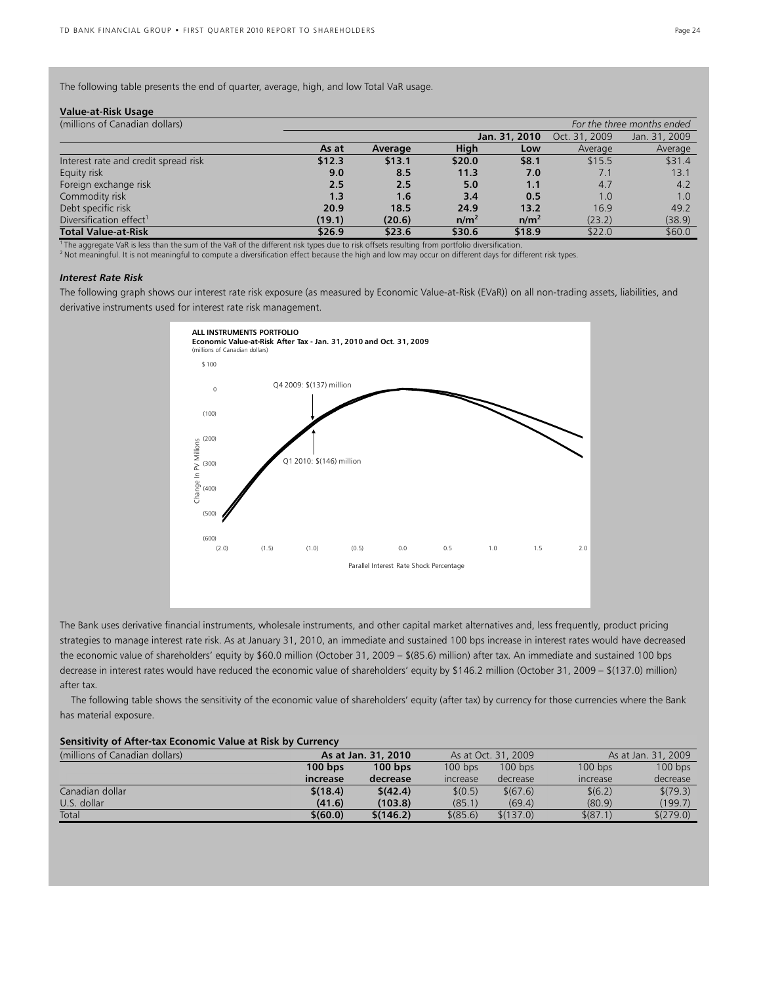The following table presents the end of quarter, average, high, and low Total VaR usage.

#### **Value-at-Risk Usage**

| (millions of Canadian dollars)       | For the three months ended |         |                  |                  |               |               |
|--------------------------------------|----------------------------|---------|------------------|------------------|---------------|---------------|
|                                      |                            |         |                  | Jan. 31, 2010    | Oct. 31, 2009 | Jan. 31, 2009 |
|                                      | As at                      | Average | High             | Low              | Average       | Average       |
| Interest rate and credit spread risk | \$12.3                     | \$13.1  | \$20.0           | \$8.1            | \$15.5        | \$31.4        |
| Equity risk                          | 9.0                        | 8.5     | 11.3             | 7.0              | 7.1           | 13.1          |
| Foreign exchange risk                | 2.5                        | 2.5     | 5.0              | 1.1              | 4.7           | 4.2           |
| Commodity risk                       | 1.3                        | 1.6     | 3.4              | 0.5              | 1.0           | 1.0           |
| Debt specific risk                   | 20.9                       | 18.5    | 24.9             | 13.2             | 16.9          | 49.2          |
| Diversification effect <sup>1</sup>  | (19.1)                     | (20.6)  | n/m <sup>2</sup> | n/m <sup>2</sup> | (23.2)        | (38.9)        |
| <b>Total Value-at-Risk</b>           | \$26.9                     | \$23.6  | \$30.6           | \$18.9           | \$22.0        | \$60.0        |

 $\frac{1}{2}$  The aggregate VaR is less than the sum of the VaR of the different risk types due to risk offsets resulting from portfolio diversification.<br><sup>2</sup> Not meaningful. It is not meaningful to compute a diversification e

#### *Interest Rate Risk*

The following graph shows our interest rate risk exposure (as measured by Economic Value-at-Risk (EVaR)) on all non-trading assets, liabilities, and derivative instruments used for interest rate risk management.



The Bank uses derivative financial instruments, wholesale instruments, and other capital market alternatives and, less frequently, product pricing strategies to manage interest rate risk. As at January 31, 2010, an immediate and sustained 100 bps increase in interest rates would have decreased the economic value of shareholders' equity by \$60.0 million (October 31, 2009 – \$(85.6) million) after tax. An immediate and sustained 100 bps decrease in interest rates would have reduced the economic value of shareholders' equity by \$146.2 million (October 31, 2009 – \$(137.0) million) after tax.

The following table shows the sensitivity of the economic value of shareholders' equity (after tax) by currency for those currencies where the Bank has material exposure.

#### **Sensitivity of After-tax Economic Value at Risk by Currency**

| (millions of Canadian dollars) | As at Jan. 31, 2010 |           | As at Oct. 31, 2009    |           | As at Jan. 31, 2009 |           |
|--------------------------------|---------------------|-----------|------------------------|-----------|---------------------|-----------|
|                                | $100$ bps           | $100$ bps | $100$ bps              | $100$ bps | $100$ bps           | $100$ bps |
|                                | increase            | decrease  | <i><b>Increase</b></i> | decrease  | <b>Increase</b>     | decrease  |
| Canadian dollar                | \$(18.4)            | \$(42.4)  | \$(0.5)                | \$(67.6)  | \$(6.2)             | \$(79.3)  |
| U.S. dollar                    | (41.6)              | (103.8)   | (85.1)                 | (69.4)    | (80.9)              | (199.7)   |
| Total                          | \$(60.0)            | \$(146.2) | \$ (85.6)              | \$(137.0) | \$ (87.1)           | \$(279.0) |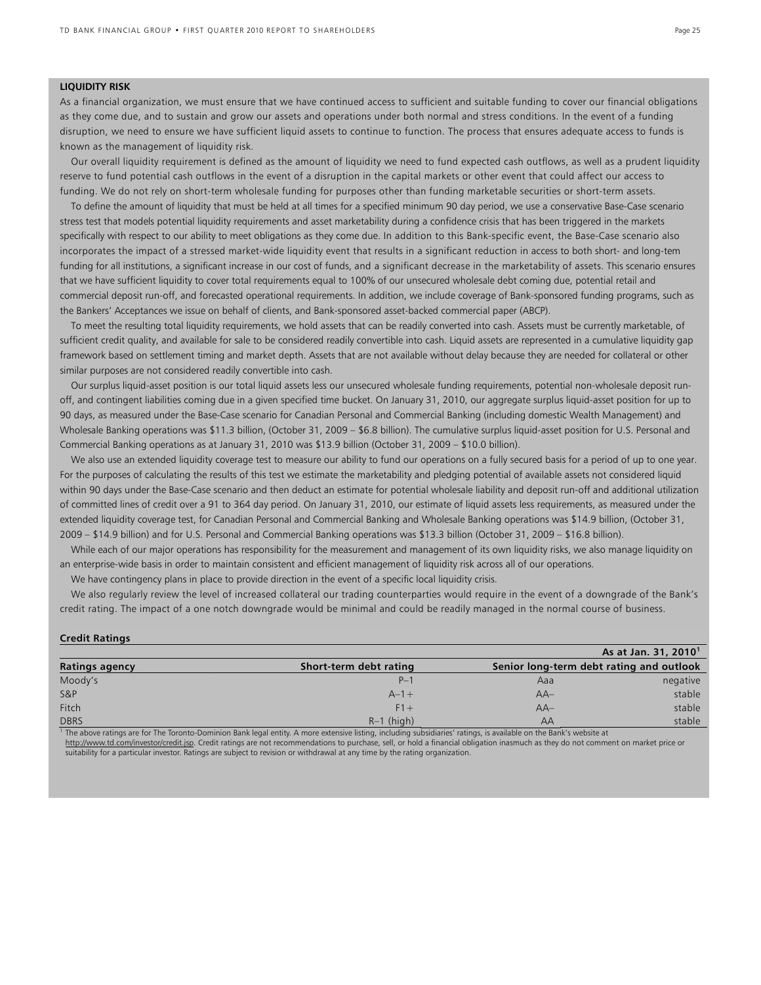#### **LIQUIDITY RISK**

**Credit Ratings** 

As a financial organization, we must ensure that we have continued access to sufficient and suitable funding to cover our financial obligations as they come due, and to sustain and grow our assets and operations under both normal and stress conditions. In the event of a funding disruption, we need to ensure we have sufficient liquid assets to continue to function. The process that ensures adequate access to funds is known as the management of liquidity risk.

 Our overall liquidity requirement is defined as the amount of liquidity we need to fund expected cash outflows, as well as a prudent liquidity reserve to fund potential cash outflows in the event of a disruption in the capital markets or other event that could affect our access to funding. We do not rely on short-term wholesale funding for purposes other than funding marketable securities or short-term assets.

 To define the amount of liquidity that must be held at all times for a specified minimum 90 day period, we use a conservative Base-Case scenario stress test that models potential liquidity requirements and asset marketability during a confidence crisis that has been triggered in the markets specifically with respect to our ability to meet obligations as they come due. In addition to this Bank-specific event, the Base-Case scenario also incorporates the impact of a stressed market-wide liquidity event that results in a significant reduction in access to both short- and long-tem funding for all institutions, a significant increase in our cost of funds, and a significant decrease in the marketability of assets. This scenario ensures that we have sufficient liquidity to cover total requirements equal to 100% of our unsecured wholesale debt coming due, potential retail and commercial deposit run-off, and forecasted operational requirements. In addition, we include coverage of Bank-sponsored funding programs, such as the Bankers' Acceptances we issue on behalf of clients, and Bank-sponsored asset-backed commercial paper (ABCP).

 To meet the resulting total liquidity requirements, we hold assets that can be readily converted into cash. Assets must be currently marketable, of sufficient credit quality, and available for sale to be considered readily convertible into cash. Liquid assets are represented in a cumulative liquidity gap framework based on settlement timing and market depth. Assets that are not available without delay because they are needed for collateral or other similar purposes are not considered readily convertible into cash.

 Our surplus liquid-asset position is our total liquid assets less our unsecured wholesale funding requirements, potential non-wholesale deposit runoff, and contingent liabilities coming due in a given specified time bucket. On January 31, 2010, our aggregate surplus liquid-asset position for up to 90 days, as measured under the Base-Case scenario for Canadian Personal and Commercial Banking (including domestic Wealth Management) and Wholesale Banking operations was \$11.3 billion, (October 31, 2009 – \$6.8 billion). The cumulative surplus liquid-asset position for U.S. Personal and Commercial Banking operations as at January 31, 2010 was \$13.9 billion (October 31, 2009 – \$10.0 billion).

 We also use an extended liquidity coverage test to measure our ability to fund our operations on a fully secured basis for a period of up to one year. For the purposes of calculating the results of this test we estimate the marketability and pledging potential of available assets not considered liquid within 90 days under the Base-Case scenario and then deduct an estimate for potential wholesale liability and deposit run-off and additional utilization of committed lines of credit over a 91 to 364 day period. On January 31, 2010, our estimate of liquid assets less requirements, as measured under the extended liquidity coverage test, for Canadian Personal and Commercial Banking and Wholesale Banking operations was \$14.9 billion, (October 31, 2009 – \$14.9 billion) and for U.S. Personal and Commercial Banking operations was \$13.3 billion (October 31, 2009 – \$16.8 billion).

 While each of our major operations has responsibility for the measurement and management of its own liquidity risks, we also manage liquidity on an enterprise-wide basis in order to maintain consistent and efficient management of liquidity risk across all of our operations.

We have contingency plans in place to provide direction in the event of a specific local liquidity crisis.

We also regularly review the level of increased collateral our trading counterparties would require in the event of a downgrade of the Bank's credit rating. The impact of a one notch downgrade would be minimal and could be readily managed in the normal course of business.

|                       |                        |       | As at Jan. 31, 2010 <sup>1</sup>         |  |  |
|-----------------------|------------------------|-------|------------------------------------------|--|--|
| <b>Ratings agency</b> | Short-term debt rating |       | Senior long-term debt rating and outlook |  |  |
| Moody's               | $P-1$                  | Aaa   | negative                                 |  |  |
| <b>S&amp;P</b>        | $A - 1 +$              | $AA-$ | stable                                   |  |  |
| <b>Fitch</b>          | $F1+$                  | $AA-$ | stable                                   |  |  |
| <b>DBRS</b>           | $R-1$ (high)           | AA    | stable                                   |  |  |

The above ratings are for The Toronto-Dominion Bank legal entity. A more extensive listing, including subsidiaries' ratings, is available on the Bank's website at http://www.td.com/investor/credit.jsp. Credit ratings are not recommendations to purchase, sell, or hold a financial obligation inasmuch as they do not comment on market price or suitability for a particular investor. Ratings are subject to revision or withdrawal at any time by the rating organization.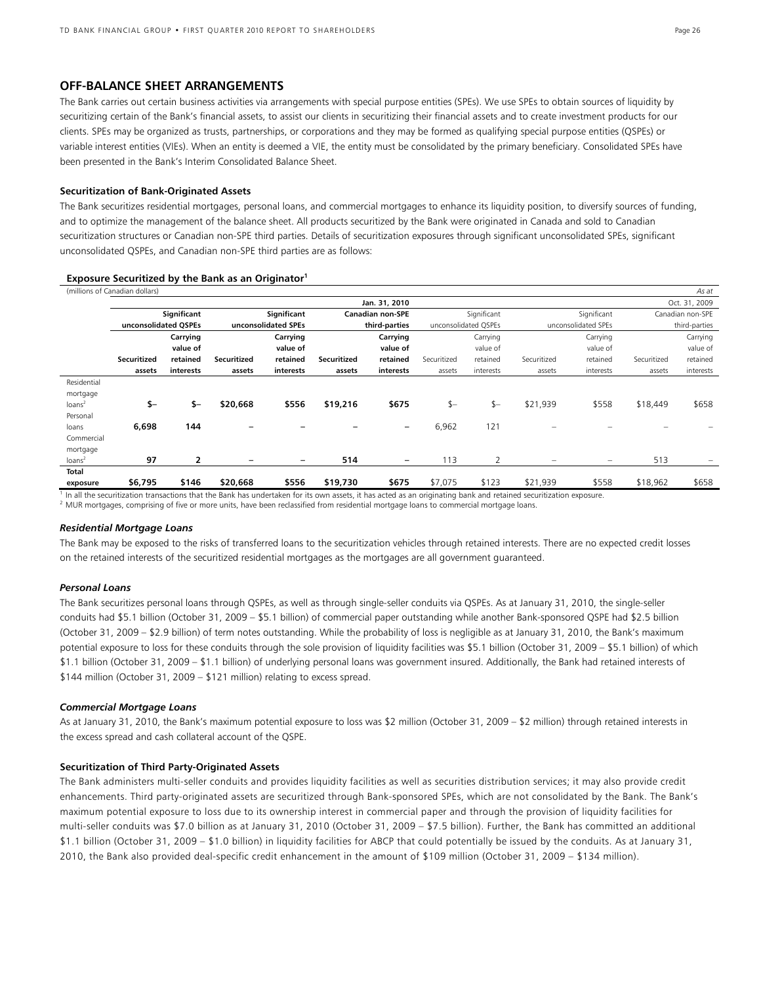#### **OFF-BALANCE SHEET ARRANGEMENTS**

The Bank carries out certain business activities via arrangements with special purpose entities (SPEs). We use SPEs to obtain sources of liquidity by securitizing certain of the Bank's financial assets, to assist our clients in securitizing their financial assets and to create investment products for our clients. SPEs may be organized as trusts, partnerships, or corporations and they may be formed as qualifying special purpose entities (QSPEs) or variable interest entities (VIEs). When an entity is deemed a VIE, the entity must be consolidated by the primary beneficiary. Consolidated SPEs have been presented in the Bank's Interim Consolidated Balance Sheet.

#### **Securitization of Bank-Originated Assets**

The Bank securitizes residential mortgages, personal loans, and commercial mortgages to enhance its liquidity position, to diversify sources of funding, and to optimize the management of the balance sheet. All products securitized by the Bank were originated in Canada and sold to Canadian securitization structures or Canadian non-SPE third parties. Details of securitization exposures through significant unconsolidated SPEs, significant unconsolidated QSPEs, and Canadian non-SPE third parties are as follows:

| (millions of Canadian dollars)<br>As at |                                |             |                          |                     |             |                         |             |                      |                          |                     |               |                  |
|-----------------------------------------|--------------------------------|-------------|--------------------------|---------------------|-------------|-------------------------|-------------|----------------------|--------------------------|---------------------|---------------|------------------|
|                                         | Jan. 31, 2010<br>Oct. 31, 2009 |             |                          |                     |             |                         |             |                      |                          |                     |               |                  |
|                                         |                                | Significant |                          | Significant         |             | <b>Canadian non-SPE</b> |             | Significant          |                          | Significant         |               | Canadian non-SPE |
|                                         | unconsolidated OSPEs           |             |                          | unconsolidated SPEs |             | third-parties           |             | unconsolidated OSPEs |                          | unconsolidated SPEs | third-parties |                  |
|                                         |                                | Carrying    |                          | Carrying            |             | Carrying                |             | Carrying             |                          | Carrying            |               | Carrying         |
|                                         |                                | value of    |                          | value of            |             | value of                |             | value of             |                          | value of            |               | value of         |
|                                         | <b>Securitized</b>             | retained    | <b>Securitized</b>       | retained            | Securitized | retained                | Securitized | retained             | Securitized              | retained            | Securitized   | retained         |
|                                         | assets                         | interests   | assets                   | interests           | assets      | interests               | assets      | interests            | assets                   | interests           | assets        | interests        |
| Residential                             |                                |             |                          |                     |             |                         |             |                      |                          |                     |               |                  |
| mortgage                                |                                |             |                          |                     |             |                         |             |                      |                          |                     |               |                  |
| loans <sup>2</sup>                      | $$-$                           | \$-         | \$20,668                 | \$556               | \$19,216    | \$675                   | $$-$        | $$-$                 | \$21,939                 | \$558               | \$18,449      | \$658            |
| Personal                                |                                |             |                          |                     |             |                         |             |                      |                          |                     |               |                  |
| loans                                   | 6,698                          | 144         |                          |                     |             | $\qquad \qquad -$       | 6,962       | 121                  |                          |                     |               |                  |
| Commercial                              |                                |             |                          |                     |             |                         |             |                      |                          |                     |               |                  |
| mortgage                                |                                |             |                          |                     |             |                         |             |                      |                          |                     |               |                  |
| loans <sup>2</sup>                      | 97                             | 2           | $\overline{\phantom{0}}$ | -                   | 514         | $\qquad \qquad -$       | 113         | $\overline{2}$       | $\overline{\phantom{0}}$ | $\qquad \qquad -$   | 513           | -                |
| <b>Total</b>                            |                                |             |                          |                     |             |                         |             |                      |                          |                     |               |                  |
| exposure                                | \$6,795                        | \$146       | \$20,668                 | \$556               | \$19,730    | \$675                   | \$7,075     | \$123                | \$21,939                 | \$558               | \$18,962      | \$658            |

#### **Exposure Securitized by the Bank as an Originator1**

 $\frac{1}{1}$  In all the securitization transactions that the Bank has undertaken for its own assets, it has acted as an originating bank and retained securitization exposure.<br><sup>2</sup> MUR mortgages, comprising of five or more uni

#### *Residential Mortgage Loans*

The Bank may be exposed to the risks of transferred loans to the securitization vehicles through retained interests. There are no expected credit losses on the retained interests of the securitized residential mortgages as the mortgages are all government guaranteed.

#### *Personal Loans*

The Bank securitizes personal loans through QSPEs, as well as through single-seller conduits via QSPEs. As at January 31, 2010, the single-seller conduits had \$5.1 billion (October 31, 2009 – \$5.1 billion) of commercial paper outstanding while another Bank-sponsored QSPE had \$2.5 billion (October 31, 2009 – \$2.9 billion) of term notes outstanding. While the probability of loss is negligible as at January 31, 2010, the Bank's maximum potential exposure to loss for these conduits through the sole provision of liquidity facilities was \$5.1 billion (October 31, 2009 – \$5.1 billion) of which \$1.1 billion (October 31, 2009 – \$1.1 billion) of underlying personal loans was government insured. Additionally, the Bank had retained interests of \$144 million (October 31, 2009 – \$121 million) relating to excess spread.

#### *Commercial Mortgage Loans*

As at January 31, 2010, the Bank's maximum potential exposure to loss was \$2 million (October 31, 2009 – \$2 million) through retained interests in the excess spread and cash collateral account of the QSPE.

#### **Securitization of Third Party-Originated Assets**

The Bank administers multi-seller conduits and provides liquidity facilities as well as securities distribution services; it may also provide credit enhancements. Third party-originated assets are securitized through Bank-sponsored SPEs, which are not consolidated by the Bank. The Bank's maximum potential exposure to loss due to its ownership interest in commercial paper and through the provision of liquidity facilities for multi-seller conduits was \$7.0 billion as at January 31, 2010 (October 31, 2009 – \$7.5 billion). Further, the Bank has committed an additional \$1.1 billion (October 31, 2009 – \$1.0 billion) in liquidity facilities for ABCP that could potentially be issued by the conduits. As at January 31, 2010, the Bank also provided deal-specific credit enhancement in the amount of \$109 million (October 31, 2009 – \$134 million).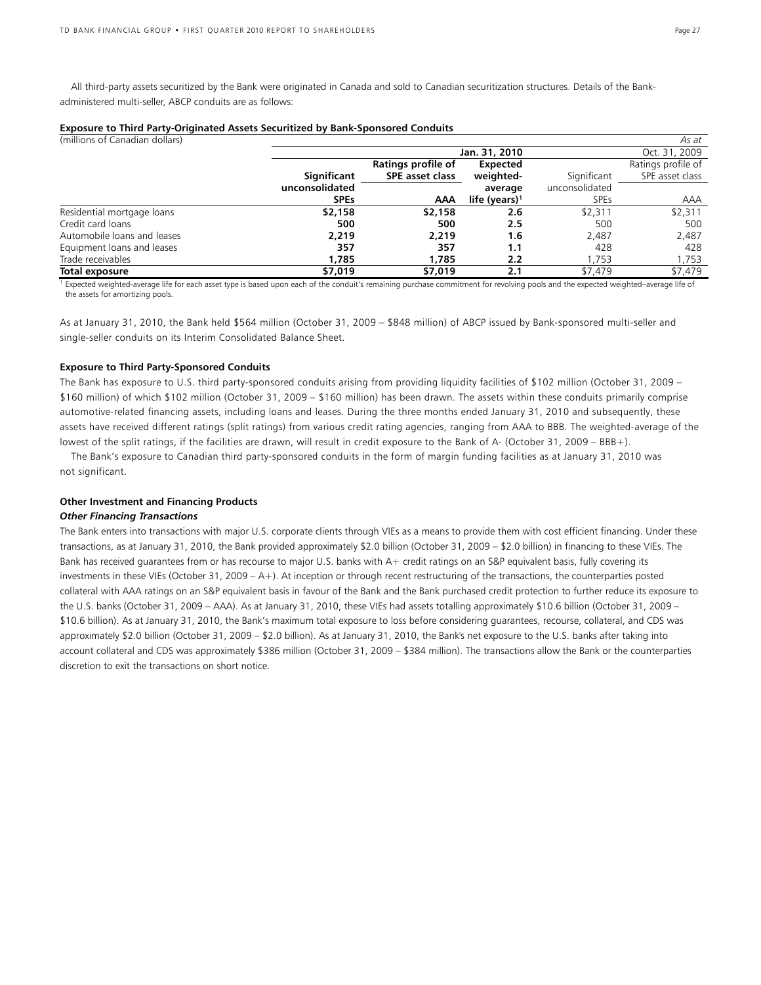All third-party assets securitized by the Bank were originated in Canada and sold to Canadian securitization structures. Details of the Bankadministered multi-seller, ABCP conduits are as follows:

|  |  |  | Exposure to Third Party-Originated Assets Securitized by Bank-Sponsored Conduits |
|--|--|--|----------------------------------------------------------------------------------|
|  |  |  |                                                                                  |

| (millions of Canadian dollars) |                |                    |                           |                | As at              |
|--------------------------------|----------------|--------------------|---------------------------|----------------|--------------------|
|                                |                |                    | Jan. 31, 2010             |                | Oct. 31, 2009      |
|                                |                | Ratings profile of | Expected                  |                | Ratings profile of |
|                                | Significant    | SPE asset class    | weighted-                 | Significant    | SPE asset class    |
|                                | unconsolidated |                    | average                   | unconsolidated |                    |
|                                | <b>SPEs</b>    | AAA                | life (years) <sup>1</sup> | <b>SPEs</b>    | AAA                |
| Residential mortgage loans     | \$2,158        | \$2,158            | 2.6                       | \$2,311        | \$2,311            |
| Credit card loans              | 500            | 500                | 2.5                       | 500            | 500                |
| Automobile loans and leases    | 2.219          | 2,219              | 1.6                       | 2,487          | 2,487              |
| Equipment loans and leases     | 357            | 357                | 1.1                       | 428            | 428                |
| Trade receivables              | 1.785          | 1.785              | 2.2                       | 1.753          | 1,753              |
| Total exposure                 | \$7,019        | \$7,019            | 2.1                       | \$7.479        | \$7,479            |

<sup>1</sup> Expected weighted-average life for each asset type is based upon each of the conduit's remaining purchase commitment for revolving pools and the expected weighted-average life of the assets for amortizing pools.

As at January 31, 2010, the Bank held \$564 million (October 31, 2009 – \$848 million) of ABCP issued by Bank-sponsored multi-seller and single-seller conduits on its Interim Consolidated Balance Sheet.

#### **Exposure to Third Party-Sponsored Conduits**

The Bank has exposure to U.S. third party-sponsored conduits arising from providing liquidity facilities of \$102 million (October 31, 2009 – \$160 million) of which \$102 million (October 31, 2009 – \$160 million) has been drawn. The assets within these conduits primarily comprise automotive-related financing assets, including loans and leases. During the three months ended January 31, 2010 and subsequently, these assets have received different ratings (split ratings) from various credit rating agencies, ranging from AAA to BBB. The weighted-average of the lowest of the split ratings, if the facilities are drawn, will result in credit exposure to the Bank of A- (October 31, 2009 – BBB+).

 The Bank's exposure to Canadian third party-sponsored conduits in the form of margin funding facilities as at January 31, 2010 was not significant.

#### **Other Investment and Financing Products**

#### *Other Financing Transactions*

The Bank enters into transactions with major U.S. corporate clients through VIEs as a means to provide them with cost efficient financing. Under these transactions, as at January 31, 2010, the Bank provided approximately \$2.0 billion (October 31, 2009 – \$2.0 billion) in financing to these VIEs. The Bank has received guarantees from or has recourse to major U.S. banks with A+ credit ratings on an S&P equivalent basis, fully covering its investments in these VIEs (October 31, 2009 – A+). At inception or through recent restructuring of the transactions, the counterparties posted collateral with AAA ratings on an S&P equivalent basis in favour of the Bank and the Bank purchased credit protection to further reduce its exposure to the U.S. banks (October 31, 2009 – AAA). As at January 31, 2010, these VIEs had assets totalling approximately \$10.6 billion (October 31, 2009 – \$10.6 billion). As at January 31, 2010, the Bank's maximum total exposure to loss before considering guarantees, recourse, collateral, and CDS was approximately \$2.0 billion (October 31, 2009 – \$2.0 billion). As at January 31, 2010, the Bank's net exposure to the U.S. banks after taking into account collateral and CDS was approximately \$386 million (October 31, 2009 – \$384 million). The transactions allow the Bank or the counterparties discretion to exit the transactions on short notice.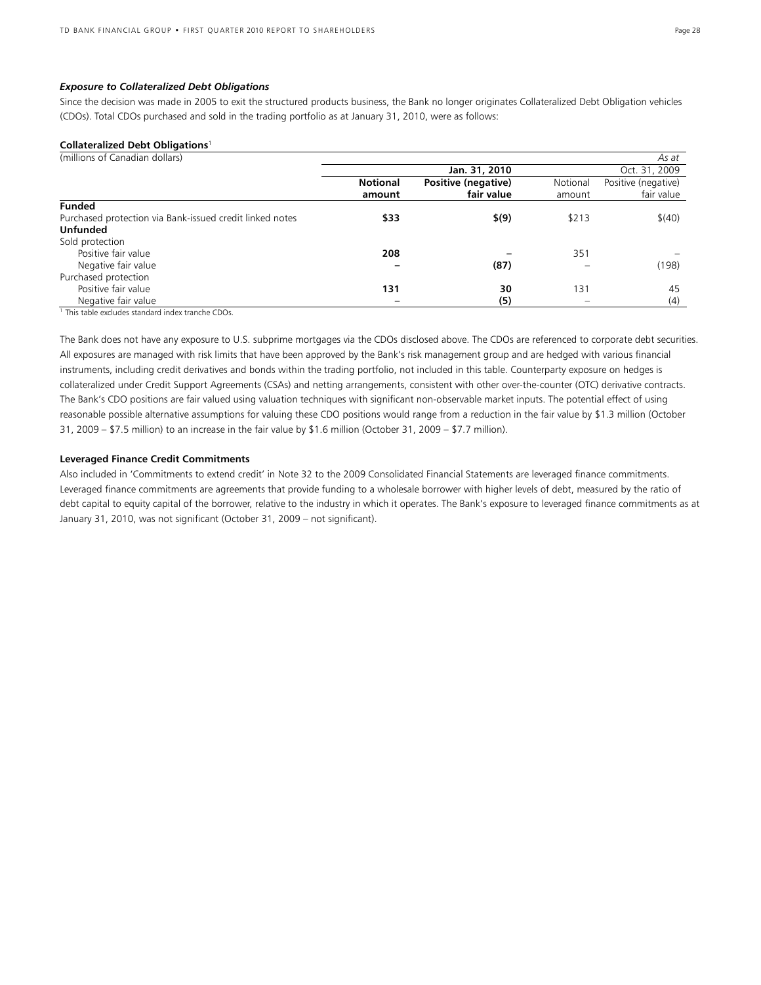#### *Exposure to Collateralized Debt Obligations*

Since the decision was made in 2005 to exit the structured products business, the Bank no longer originates Collateralized Debt Obligation vehicles (CDOs). Total CDOs purchased and sold in the trading portfolio as at January 31, 2010, were as follows:

#### **Collateralized Debt Obligations**<sup>1</sup>

| (millions of Canadian dollars)                           |                 |                     |          | As at               |
|----------------------------------------------------------|-----------------|---------------------|----------|---------------------|
|                                                          |                 | Oct. 31, 2009       |          |                     |
|                                                          | <b>Notional</b> | Positive (negative) | Notional | Positive (negative) |
|                                                          | amount          | fair value          | amount   | fair value          |
| <b>Funded</b>                                            |                 |                     |          |                     |
| Purchased protection via Bank-issued credit linked notes | \$33            | \$(9)               | \$213    | \$(40)              |
| <b>Unfunded</b>                                          |                 |                     |          |                     |
| Sold protection                                          |                 |                     |          |                     |
| Positive fair value                                      | 208             |                     | 351      |                     |
| Negative fair value                                      |                 | (87)                |          | (198)               |
| Purchased protection                                     |                 |                     |          |                     |
| Positive fair value                                      | 131             | 30                  | 131      | 45                  |
| Negative fair value                                      |                 | (5)                 |          | (4)                 |

<sup>1</sup> This table excludes standard index tranche CDOs.

The Bank does not have any exposure to U.S. subprime mortgages via the CDOs disclosed above. The CDOs are referenced to corporate debt securities. All exposures are managed with risk limits that have been approved by the Bank's risk management group and are hedged with various financial instruments, including credit derivatives and bonds within the trading portfolio, not included in this table. Counterparty exposure on hedges is collateralized under Credit Support Agreements (CSAs) and netting arrangements, consistent with other over-the-counter (OTC) derivative contracts. The Bank's CDO positions are fair valued using valuation techniques with significant non-observable market inputs. The potential effect of using reasonable possible alternative assumptions for valuing these CDO positions would range from a reduction in the fair value by \$1.3 million (October 31, 2009 – \$7.5 million) to an increase in the fair value by \$1.6 million (October 31, 2009 – \$7.7 million).

#### **Leveraged Finance Credit Commitments**

Also included in 'Commitments to extend credit' in Note 32 to the 2009 Consolidated Financial Statements are leveraged finance commitments. Leveraged finance commitments are agreements that provide funding to a wholesale borrower with higher levels of debt, measured by the ratio of debt capital to equity capital of the borrower, relative to the industry in which it operates. The Bank's exposure to leveraged finance commitments as at January 31, 2010, was not significant (October 31, 2009 – not significant).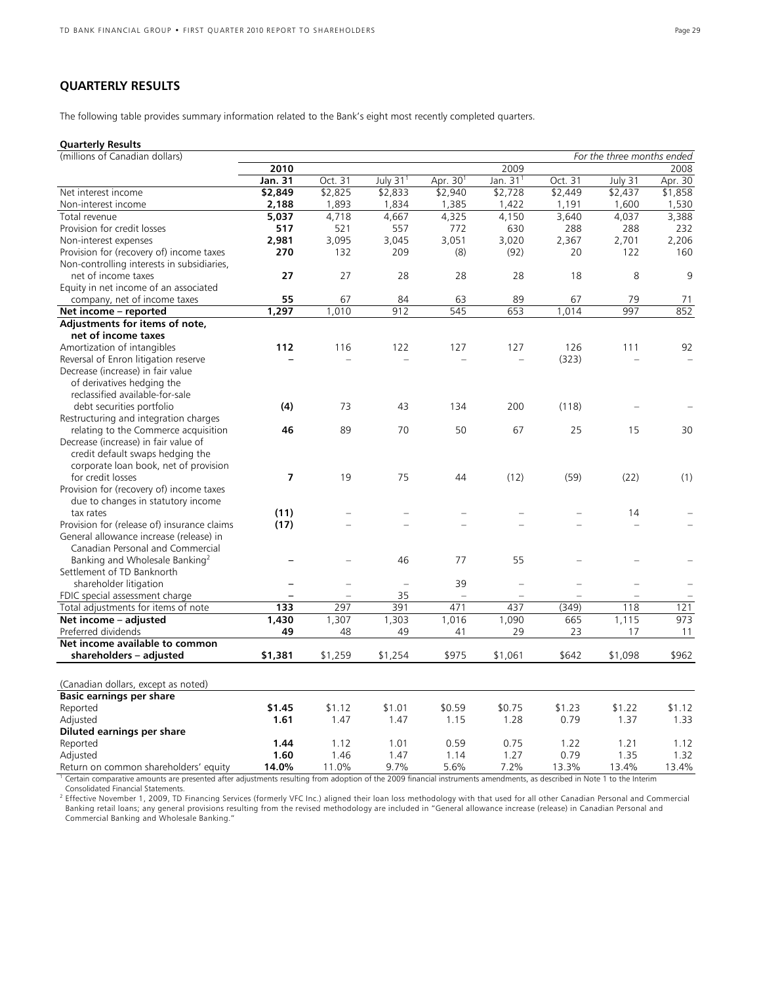### **QUARTERLY RESULTS**

The following table provides summary information related to the Bank's eight most recently completed quarters.

### **Quarterly Results**

| (millions of Canadian dollars)              | For the three months ended |         |                      |                      |                |                          |         |         |
|---------------------------------------------|----------------------------|---------|----------------------|----------------------|----------------|--------------------------|---------|---------|
|                                             | 2010                       |         |                      |                      | 2009           |                          |         | 2008    |
|                                             | Jan. 31                    | Oct. 31 | July 31 <sup>1</sup> | Apr. 30 <sup>1</sup> | Jan. $311$     | Oct. 31                  | July 31 | Apr. 30 |
| Net interest income                         | \$2,849                    | \$2,825 | \$2,833              | \$2,940              | \$2,728        | \$2,449                  | \$2,437 | \$1,858 |
| Non-interest income                         | 2,188                      | 1,893   | 1,834                | 1,385                | 1,422          | 1,191                    | 1,600   | 1,530   |
| Total revenue                               | 5,037                      | 4,718   | 4,667                | 4,325                | 4,150          | 3,640                    | 4,037   | 3,388   |
| Provision for credit losses                 | 517                        | 521     | 557                  | 772                  | 630            | 288                      | 288     | 232     |
| Non-interest expenses                       | 2,981                      | 3,095   | 3,045                | 3,051                | 3,020          | 2,367                    | 2,701   | 2,206   |
| Provision for (recovery of) income taxes    | 270                        | 132     | 209                  | (8)                  | (92)           | 20                       | 122     | 160     |
| Non-controlling interests in subsidiaries,  |                            |         |                      |                      |                |                          |         |         |
| net of income taxes                         | 27                         | 27      | 28                   | 28                   | 28             | 18                       | 8       | 9       |
| Equity in net income of an associated       |                            |         |                      |                      |                |                          |         |         |
| company, net of income taxes                | 55                         | 67      | 84                   | 63                   | 89             | 67                       | 79      | 71      |
| Net income - reported                       | 1,297                      | 1,010   | 912                  | 545                  | 653            | 1,014                    | 997     | 852     |
| Adjustments for items of note,              |                            |         |                      |                      |                |                          |         |         |
| net of income taxes                         |                            |         |                      |                      |                |                          |         |         |
| Amortization of intangibles                 | 112                        | 116     | 122                  | 127                  | 127            | 126                      | 111     | 92      |
| Reversal of Enron litigation reserve        |                            |         |                      |                      |                | (323)                    |         |         |
| Decrease (increase) in fair value           |                            |         |                      |                      |                |                          |         |         |
| of derivatives hedging the                  |                            |         |                      |                      |                |                          |         |         |
| reclassified available-for-sale             |                            |         |                      |                      |                |                          |         |         |
| debt securities portfolio                   | (4)                        | 73      | 43                   | 134                  | 200            | (118)                    |         |         |
| Restructuring and integration charges       |                            |         |                      |                      |                |                          |         |         |
| relating to the Commerce acquisition        | 46                         | 89      | 70                   | 50                   | 67             | 25                       | 15      | 30      |
| Decrease (increase) in fair value of        |                            |         |                      |                      |                |                          |         |         |
| credit default swaps hedging the            |                            |         |                      |                      |                |                          |         |         |
| corporate loan book, net of provision       |                            |         |                      |                      |                |                          |         |         |
| for credit losses                           | $\overline{ }$             | 19      | 75                   | 44                   | (12)           | (59)                     | (22)    | (1)     |
| Provision for (recovery of) income taxes    |                            |         |                      |                      |                |                          |         |         |
| due to changes in statutory income          |                            |         |                      |                      |                |                          |         |         |
| tax rates                                   | (11)                       |         |                      |                      |                |                          | 14      |         |
| Provision for (release of) insurance claims | (17)                       |         |                      |                      |                |                          |         |         |
| General allowance increase (release) in     |                            |         |                      |                      |                |                          |         |         |
| Canadian Personal and Commercial            |                            |         |                      |                      |                |                          |         |         |
| Banking and Wholesale Banking <sup>2</sup>  |                            |         | 46                   | 77                   | 55             |                          |         |         |
| Settlement of TD Banknorth                  |                            |         |                      |                      |                |                          |         |         |
| shareholder litigation                      | $\overline{\phantom{0}}$   |         | $\qquad \qquad -$    | 39                   | $\overline{a}$ | $\overline{\phantom{0}}$ |         |         |
| FDIC special assessment charge              |                            |         | 35                   |                      | $=$            |                          |         |         |
| Total adjustments for items of note         | 133                        | 297     | 391                  | 471                  | 437            | (349)                    | 118     | 121     |
| Net income - adjusted                       | 1,430                      | 1,307   | 1,303                | 1,016                | 1,090          | 665                      | 1,115   | 973     |
| Preferred dividends                         | 49                         | 48      | 49                   | 41                   | 29             | 23                       | 17      | 11      |
| Net income available to common              |                            |         |                      |                      |                |                          |         |         |
| shareholders - adjusted                     | \$1,381                    | \$1,259 | \$1,254              | \$975                | \$1,061        | \$642                    | \$1,098 | \$962   |
|                                             |                            |         |                      |                      |                |                          |         |         |
| (Canadian dollars, except as noted)         |                            |         |                      |                      |                |                          |         |         |
| <b>Basic earnings per share</b>             |                            |         |                      |                      |                |                          |         |         |
| Reported                                    | \$1.45                     | \$1.12  | \$1.01               | \$0.59               | \$0.75         | \$1.23                   | \$1.22  | \$1.12  |
| Adjusted                                    | 1.61                       | 1.47    | 1.47                 | 1.15                 | 1.28           | 0.79                     | 1.37    | 1.33    |
| Diluted earnings per share                  |                            |         |                      |                      |                |                          |         |         |
| Reported                                    | 1.44                       | 1.12    | 1.01                 | 0.59                 | 0.75           | 1.22                     | 1.21    | 1.12    |
| Adjusted                                    | 1.60                       | 1.46    | 1.47                 | 1.14                 | 1.27           | 0.79                     | 1.35    | 1.32    |
| Return on common shareholders' equity       | 14.0%                      | 11.0%   | 9.7%                 | 5.6%                 | 7.2%           | 13.3%                    | 13.4%   | 13.4%   |

1 Certain comparative amounts are presented after adjustments resulting from adoption of the 2009 financial instruments amendments, as described in Note 1 to the Interim Consolidated Financial Statements.

<sup>2</sup> Effective November 1, 2009, TD Financing Services (formerly VFC Inc.) aligned their loan loss methodology with that used for all other Canadian Personal and Commercial Banking retail loans; any general provisions resulting from the revised methodology are included in "General allowance increase (release) in Canadian Personal and Commercial Banking and Wholesale Banking."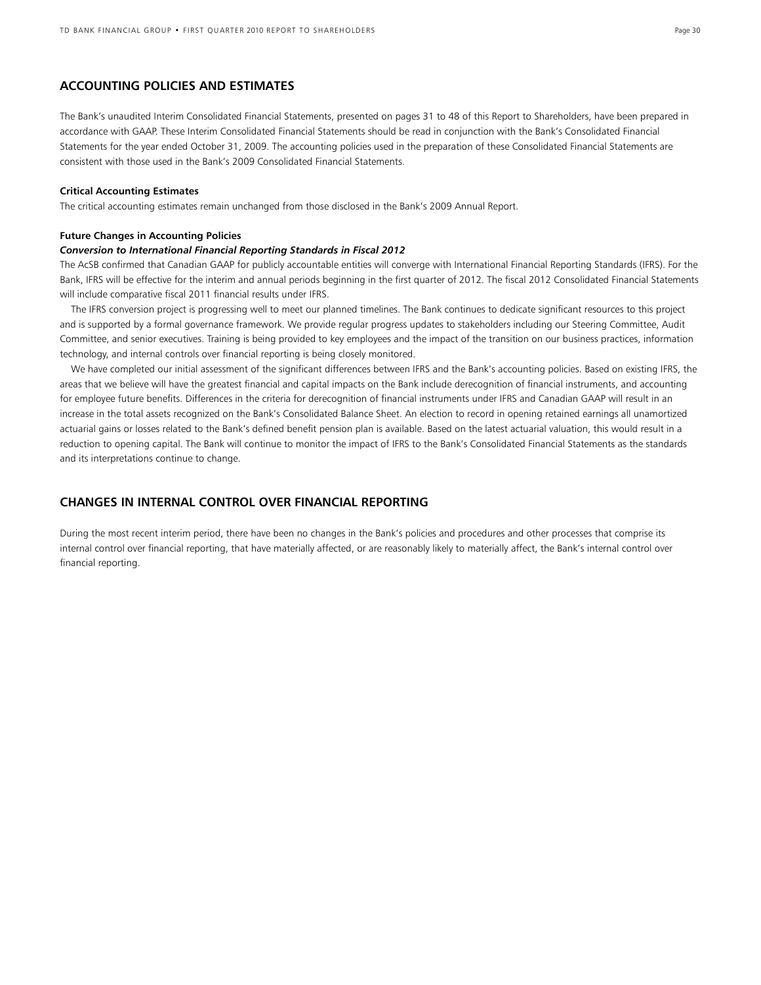### **ACCOUNTING POLICIES AND ESTIMATES**

The Bank's unaudited Interim Consolidated Financial Statements, presented on pages 31 to 48 of this Report to Shareholders, have been prepared in accordance with GAAP. These Interim Consolidated Financial Statements should be read in conjunction with the Bank's Consolidated Financial Statements for the year ended October 31, 2009. The accounting policies used in the preparation of these Consolidated Financial Statements are consistent with those used in the Bank's 2009 Consolidated Financial Statements.

#### **Critical Accounting Estimates**

The critical accounting estimates remain unchanged from those disclosed in the Bank's 2009 Annual Report.

#### **Future Changes in Accounting Policies**

#### *Conversion to International Financial Reporting Standards in Fiscal 2012*

The AcSB confirmed that Canadian GAAP for publicly accountable entities will converge with International Financial Reporting Standards (IFRS). For the Bank, IFRS will be effective for the interim and annual periods beginning in the first quarter of 2012. The fiscal 2012 Consolidated Financial Statements will include comparative fiscal 2011 financial results under IFRS.

 The IFRS conversion project is progressing well to meet our planned timelines. The Bank continues to dedicate significant resources to this project and is supported by a formal governance framework. We provide regular progress updates to stakeholders including our Steering Committee, Audit Committee, and senior executives. Training is being provided to key employees and the impact of the transition on our business practices, information technology, and internal controls over financial reporting is being closely monitored.

 We have completed our initial assessment of the significant differences between IFRS and the Bank's accounting policies. Based on existing IFRS, the areas that we believe will have the greatest financial and capital impacts on the Bank include derecognition of financial instruments, and accounting for employee future benefits. Differences in the criteria for derecognition of financial instruments under IFRS and Canadian GAAP will result in an increase in the total assets recognized on the Bank's Consolidated Balance Sheet. An election to record in opening retained earnings all unamortized actuarial gains or losses related to the Bank's defined benefit pension plan is available. Based on the latest actuarial valuation, this would result in a reduction to opening capital. The Bank will continue to monitor the impact of IFRS to the Bank's Consolidated Financial Statements as the standards and its interpretations continue to change.

### **CHANGES IN INTERNAL CONTROL OVER FINANCIAL REPORTING**

During the most recent interim period, there have been no changes in the Bank's policies and procedures and other processes that comprise its internal control over financial reporting, that have materially affected, or are reasonably likely to materially affect, the Bank's internal control over financial reporting.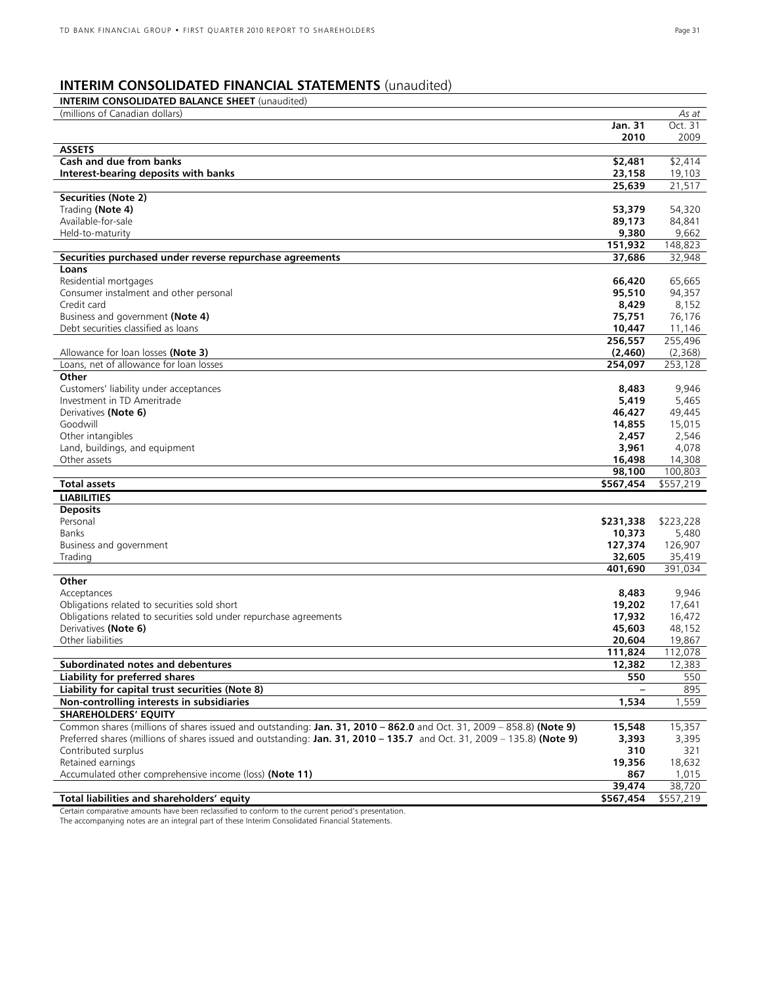## **INTERIM CONSOLIDATED FINANCIAL STATEMENTS** (unaudited)

| <b>INTERIM CONSOLIDATED BALANCE SHEET</b> (unaudited)                                                                           |                   |
|---------------------------------------------------------------------------------------------------------------------------------|-------------------|
| (millions of Canadian dollars)                                                                                                  | As at             |
| Jan. 31                                                                                                                         | Oct. 31           |
| 2010                                                                                                                            | 2009              |
| <b>ASSETS</b>                                                                                                                   |                   |
| Cash and due from banks<br>\$2,481<br>Interest-bearing deposits with banks                                                      | \$2,414           |
| 23,158<br>25,639                                                                                                                | 19,103<br>21,517  |
| Securities (Note 2)                                                                                                             |                   |
| Trading (Note 4)<br>53,379                                                                                                      | 54,320            |
| Available-for-sale<br>89,173                                                                                                    | 84,841            |
| 9,380<br>Held-to-maturity                                                                                                       | 9,662             |
| 151,932                                                                                                                         | 148,823           |
| Securities purchased under reverse repurchase agreements<br>37,686                                                              | 32,948            |
| Loans                                                                                                                           |                   |
| Residential mortgages<br>66,420<br>Consumer instalment and other personal<br>95,510                                             | 65,665            |
| Credit card<br>8,429                                                                                                            | 94,357<br>8,152   |
| Business and government (Note 4)<br>75,751                                                                                      | 76,176            |
| Debt securities classified as loans<br>10,447                                                                                   | 11,146            |
| 256,557                                                                                                                         | 255,496           |
| (2,460)<br>Allowance for loan losses (Note 3)                                                                                   | (2,368)           |
| Loans, net of allowance for loan losses<br>254,097                                                                              | 253,128           |
| Other                                                                                                                           |                   |
| Customers' liability under acceptances<br>8,483                                                                                 | 9,946             |
| Investment in TD Ameritrade<br>5,419<br>Derivatives (Note 6)                                                                    | 5,465             |
| 46,427<br>Goodwill<br>14,855                                                                                                    | 49,445<br>15,015  |
| Other intangibles<br>2,457                                                                                                      | 2,546             |
| Land, buildings, and equipment<br>3,961                                                                                         | 4,078             |
| Other assets<br>16,498                                                                                                          | 14,308            |
| 98,100                                                                                                                          | 100,803           |
| <b>Total assets</b><br>\$567,454                                                                                                | \$557,219         |
| <b>LIABILITIES</b>                                                                                                              |                   |
| <b>Deposits</b>                                                                                                                 |                   |
| Personal<br>\$231,338                                                                                                           | \$223,228         |
| Banks<br>10,373<br>127,374<br>Business and government                                                                           | 5,480<br>126,907  |
| 32,605<br>Trading                                                                                                               | 35,419            |
| 401,690                                                                                                                         | 391,034           |
| Other                                                                                                                           |                   |
| Acceptances<br>8,483                                                                                                            | 9,946             |
| Obligations related to securities sold short<br>19,202                                                                          | 17,641            |
| Obligations related to securities sold under repurchase agreements<br>17,932                                                    | 16,472            |
| Derivatives (Note 6)<br>45,603<br>Other liabilities                                                                             | 48,152            |
| 20,604                                                                                                                          | 19,867            |
| 111,824<br>12,382<br>Subordinated notes and debentures                                                                          | 112,078<br>12,383 |
| 550<br>Liability for preferred shares                                                                                           | 550               |
| Liability for capital trust securities (Note 8)                                                                                 | 895               |
| Non-controlling interests in subsidiaries<br>1,534                                                                              | 1,559             |
| <b>SHAREHOLDERS' EQUITY</b>                                                                                                     |                   |
| Common shares (millions of shares issued and outstanding: Jan. 31, 2010 - 862.0 and Oct. 31, 2009 - 858.8) (Note 9)<br>15,548   | 15,357            |
| Preferred shares (millions of shares issued and outstanding: Jan. 31, 2010 - 135.7 and Oct. 31, 2009 - 135.8) (Note 9)<br>3,393 | 3,395             |
| Contributed surplus                                                                                                             | 310<br>321        |
| Retained earnings<br>19,356<br>Accumulated other comprehensive income (loss) (Note 11)                                          | 18,632<br>1,015   |
| 867<br>39,474                                                                                                                   | 38,720            |
| Total liabilities and shareholders' equity<br>\$567,454                                                                         | \$557,219         |

Certain comparative amounts have been reclassified to conform to the current period's presentation.

The accompanying notes are an integral part of these Interim Consolidated Financial Statements.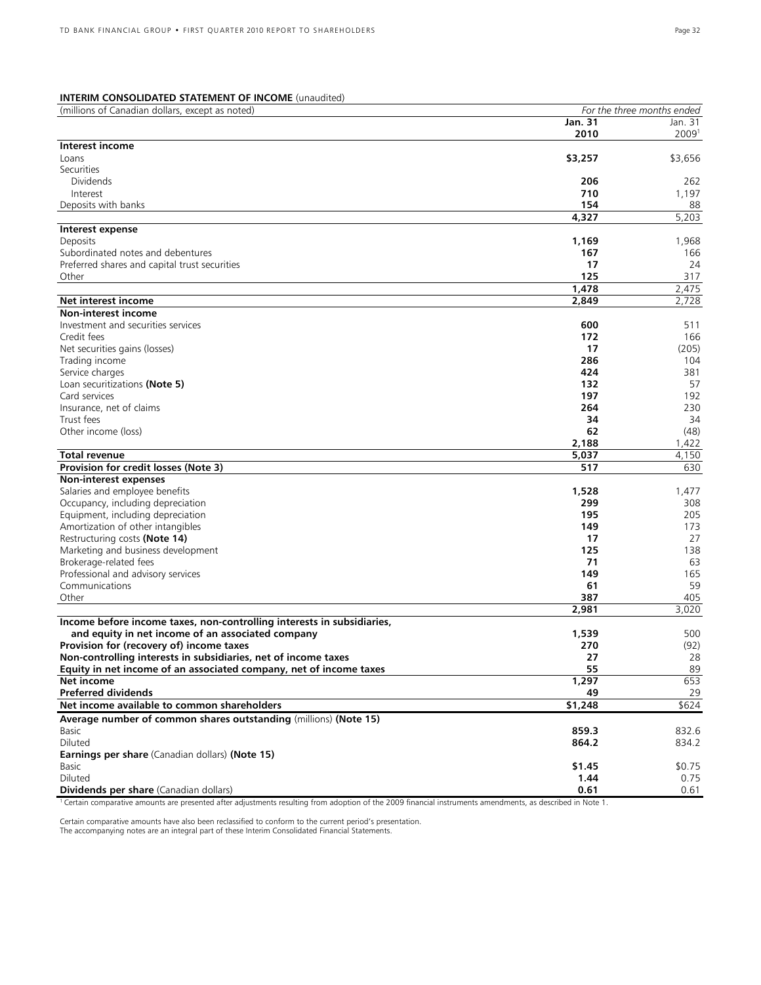### **INTERIM CONSOLIDATED STATEMENT OF INCOME** (unaudited)

| (millions of Canadian dollars, except as noted)                                  | For the three months ended |                   |  |
|----------------------------------------------------------------------------------|----------------------------|-------------------|--|
|                                                                                  | <b>Jan. 31</b>             | Jan. 31           |  |
|                                                                                  | 2010                       | 2009 <sup>1</sup> |  |
| Interest income                                                                  |                            |                   |  |
| Loans                                                                            | \$3,257                    | \$3,656           |  |
| Securities                                                                       |                            |                   |  |
| <b>Dividends</b>                                                                 | 206                        | 262               |  |
| Interest                                                                         | 710                        | 1,197             |  |
| Deposits with banks                                                              | 154                        | 88                |  |
|                                                                                  | 4,327                      | 5,203             |  |
| Interest expense                                                                 |                            |                   |  |
| Deposits                                                                         | 1,169                      | 1,968             |  |
| Subordinated notes and debentures                                                | 167                        | 166               |  |
| Preferred shares and capital trust securities                                    | 17                         | 24                |  |
| Other                                                                            | 125                        | 317               |  |
|                                                                                  | 1,478                      | 2,475             |  |
| Net interest income                                                              | 2,849                      | 2,728             |  |
| <b>Non-interest income</b>                                                       |                            |                   |  |
| Investment and securities services                                               | 600                        | 511               |  |
| Credit fees                                                                      | 172                        | 166               |  |
| Net securities gains (losses)                                                    | 17                         | (205)             |  |
| Trading income                                                                   | 286                        | 104               |  |
| Service charges                                                                  | 424                        | 381               |  |
| Loan securitizations (Note 5)                                                    | 132                        | 57                |  |
| Card services                                                                    | 197                        | 192               |  |
| Insurance, net of claims                                                         | 264                        | 230               |  |
| Trust fees                                                                       | 34                         | 34                |  |
| Other income (loss)                                                              | 62                         | (48)              |  |
|                                                                                  | 2,188                      | 1,422             |  |
| <b>Total revenue</b>                                                             | 5,037                      | 4,150             |  |
| Provision for credit losses (Note 3)                                             | 517                        | 630               |  |
| Non-interest expenses                                                            |                            |                   |  |
| Salaries and employee benefits                                                   | 1,528                      | 1,477             |  |
| Occupancy, including depreciation                                                | 299                        | 308               |  |
| Equipment, including depreciation                                                | 195                        | 205               |  |
| Amortization of other intangibles                                                | 149                        | 173               |  |
| Restructuring costs (Note 14)                                                    | 17                         | 27                |  |
| Marketing and business development                                               | 125                        | 138               |  |
| Brokerage-related fees                                                           | 71                         | 63                |  |
| Professional and advisory services                                               | 149                        | 165               |  |
| Communications                                                                   | 61                         | 59                |  |
| Other                                                                            | 387                        | 405               |  |
|                                                                                  | 2,981                      | 3,020             |  |
| Income before income taxes, non-controlling interests in subsidiaries,           |                            |                   |  |
| and equity in net income of an associated company                                | 1,539                      | 500               |  |
| Provision for (recovery of) income taxes                                         | 270                        | (92)              |  |
| Non-controlling interests in subsidiaries, net of income taxes                   | 27                         | 28                |  |
| Equity in net income of an associated company, net of income taxes<br>Net income | 55                         | 89<br>653         |  |
| <b>Preferred dividends</b>                                                       | 1,297                      |                   |  |
|                                                                                  | 49                         | 29                |  |
| Net income available to common shareholders                                      | $\sqrt{51,248}$            | \$624             |  |
| Average number of common shares outstanding (millions) (Note 15)                 |                            |                   |  |
| Basic                                                                            | 859.3                      | 832.6             |  |
| Diluted                                                                          | 864.2                      | 834.2             |  |
| Earnings per share (Canadian dollars) (Note 15)                                  |                            |                   |  |
| Basic                                                                            | \$1.45                     | \$0.75            |  |
| Diluted                                                                          | 1.44                       | 0.75              |  |
| Dividends per share (Canadian dollars)                                           | 0.61                       | 0.61              |  |

<sup>1</sup> Certain comparative amounts are presented after adjustments resulting from adoption of the 2009 financial instruments amendments, as described in Note 1.

Certain comparative amounts have also been reclassified to conform to the current period's presentation. The accompanying notes are an integral part of these Interim Consolidated Financial Statements.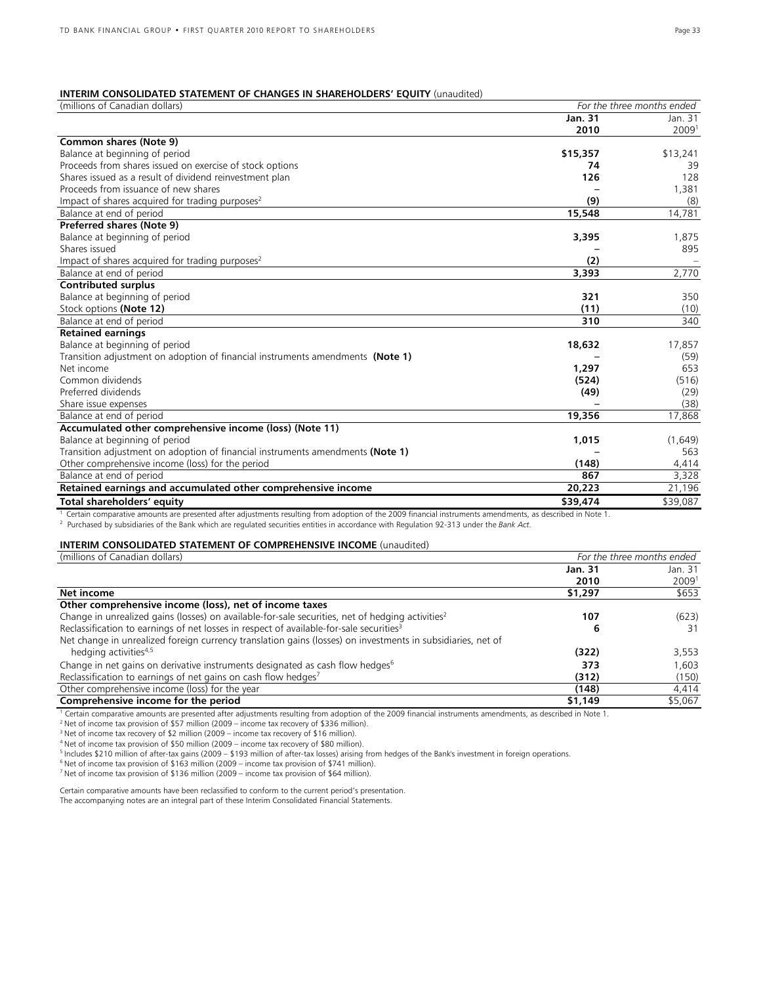### **INTERIM CONSOLIDATED STATEMENT OF CHANGES IN SHAREHOLDERS' EQUITY** (unaudited)

| (millions of Canadian dollars)                                                 | For the three months ended |          |  |
|--------------------------------------------------------------------------------|----------------------------|----------|--|
|                                                                                | Jan. 31                    | Jan. 31  |  |
|                                                                                | 2010                       | 20091    |  |
| Common shares (Note 9)                                                         |                            |          |  |
| Balance at beginning of period                                                 | \$15,357                   | \$13,241 |  |
| Proceeds from shares issued on exercise of stock options                       | 74                         | 39       |  |
| Shares issued as a result of dividend reinvestment plan                        | 126                        | 128      |  |
| Proceeds from issuance of new shares                                           |                            | 1,381    |  |
| Impact of shares acquired for trading purposes <sup>2</sup>                    | (9)                        | (8)      |  |
| Balance at end of period                                                       | 15,548                     | 14,781   |  |
| Preferred shares (Note 9)                                                      |                            |          |  |
| Balance at beginning of period                                                 | 3,395                      | 1,875    |  |
| Shares issued                                                                  |                            | 895      |  |
| Impact of shares acquired for trading purposes <sup>2</sup>                    | (2)                        |          |  |
| Balance at end of period                                                       | 3,393                      | 2,770    |  |
| <b>Contributed surplus</b>                                                     |                            |          |  |
| Balance at beginning of period                                                 | 321                        | 350      |  |
| Stock options (Note 12)                                                        | (11)                       | (10)     |  |
| Balance at end of period                                                       | 310                        | 340      |  |
| <b>Retained earnings</b>                                                       |                            |          |  |
| Balance at beginning of period                                                 | 18,632                     | 17,857   |  |
| Transition adjustment on adoption of financial instruments amendments (Note 1) |                            | (59)     |  |
| Net income                                                                     | 1,297                      | 653      |  |
| Common dividends                                                               | (524)                      | (516)    |  |
| Preferred dividends                                                            | (49)                       | (29)     |  |
| Share issue expenses                                                           |                            | (38)     |  |
| Balance at end of period                                                       | 19,356                     | 17.868   |  |
| Accumulated other comprehensive income (loss) (Note 11)                        |                            |          |  |
| Balance at beginning of period                                                 | 1,015                      | (1,649)  |  |
| Transition adjustment on adoption of financial instruments amendments (Note 1) |                            | 563      |  |
| Other comprehensive income (loss) for the period                               | (148)                      | 4,414    |  |
| Balance at end of period                                                       | 867                        | 3,328    |  |
| Retained earnings and accumulated other comprehensive income                   | 20,223                     | 21,196   |  |
| Total shareholders' equity                                                     | \$39,474                   | \$39,087 |  |
| $\mathbf{r}$<br>20000                                                          |                            |          |  |

Certain comparative amounts are presented after adjustments resulting from adoption of the 2009 financial instruments amendments, as described in Note 1.

Purchased by subsidiaries of the Bank which are regulated securities entities in accordance with Regulation 92-313 under the *Bank Act.* 

#### **INTERIM CONSOLIDATED STATEMENT OF COMPREHENSIVE INCOME** (unaudited)

| (millions of Canadian dollars)                                                                               | For the three months ended |         |  |
|--------------------------------------------------------------------------------------------------------------|----------------------------|---------|--|
|                                                                                                              | Jan. 31                    | Jan. 31 |  |
|                                                                                                              | 2010                       | 20091   |  |
| Net income                                                                                                   | \$1,297                    | \$653   |  |
| Other comprehensive income (loss), net of income taxes                                                       |                            |         |  |
| Change in unrealized gains (losses) on available-for-sale securities, net of hedging activities <sup>2</sup> | 107                        | (623)   |  |
| Reclassification to earnings of net losses in respect of available-for-sale securities <sup>3</sup>          | 6                          | 31      |  |
| Net change in unrealized foreign currency translation gains (losses) on investments in subsidiaries, net of  |                            |         |  |
| hedging activities <sup>4,5</sup>                                                                            | (322)                      | 3,553   |  |
| Change in net gains on derivative instruments designated as cash flow hedges <sup>6</sup>                    | 373                        | 1,603   |  |
| Reclassification to earnings of net gains on cash flow hedges <sup>7</sup>                                   | (312)                      | (150)   |  |
| Other comprehensive income (loss) for the year                                                               | (148)                      | 4,414   |  |
| Comprehensive income for the period                                                                          | \$1,149                    | \$5,067 |  |

<sup>1</sup> Certain comparative amounts are presented after adjustments resulting from adoption of the 2009 financial instruments amendments, as described in Note 1.<br><sup>2</sup> Net of income tax provision of \$57 million (2009 – income ta

<sup>4</sup> Net of income tax provision of \$50 million (2009 – income tax recovery of \$80 million).<br><sup>5</sup> Includes \$210 million of after-tax gains (2009 – \$193 million of after-tax losses) arising from hedges of the Bank's investme

Certain comparative amounts have been reclassified to conform to the current period's presentation.

The accompanying notes are an integral part of these Interim Consolidated Financial Statements.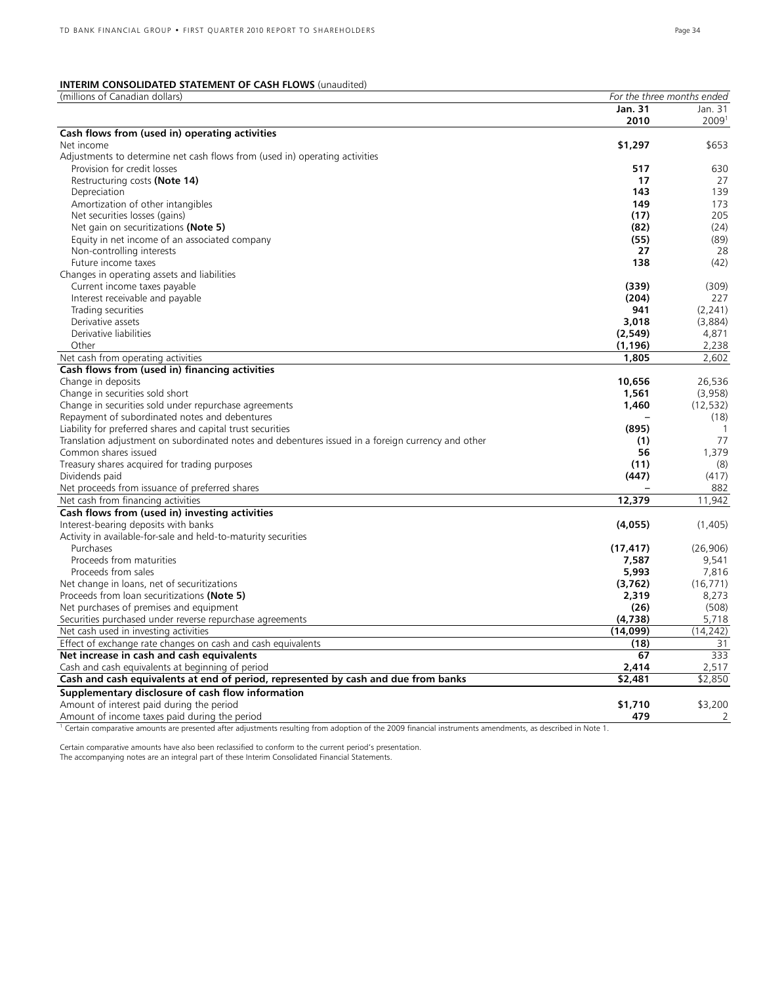### **INTERIM CONSOLIDATED STATEMENT OF CASH FLOWS** (unaudited)

| (millions of Canadian dollars)                                                                     | For the three months ended |              |  |
|----------------------------------------------------------------------------------------------------|----------------------------|--------------|--|
|                                                                                                    | Jan. 31                    | Jan. 31      |  |
|                                                                                                    | 2010                       | 20091        |  |
| Cash flows from (used in) operating activities                                                     |                            |              |  |
| Net income                                                                                         | \$1,297                    | \$653        |  |
| Adjustments to determine net cash flows from (used in) operating activities                        |                            |              |  |
| Provision for credit losses                                                                        | 517                        | 630          |  |
| Restructuring costs (Note 14)                                                                      | 17                         | 27           |  |
| Depreciation                                                                                       | 143                        | 139          |  |
| Amortization of other intangibles                                                                  | 149                        | 173          |  |
| Net securities losses (gains)                                                                      | (17)                       | 205          |  |
| Net gain on securitizations (Note 5)                                                               | (82)                       | (24)         |  |
| Equity in net income of an associated company                                                      | (55)                       | (89)         |  |
| Non-controlling interests                                                                          | 27                         | 28           |  |
| Future income taxes                                                                                | 138                        | (42)         |  |
| Changes in operating assets and liabilities                                                        |                            |              |  |
| Current income taxes payable                                                                       | (339)                      | (309)        |  |
| Interest receivable and payable                                                                    | (204)                      | 227          |  |
| Trading securities                                                                                 | 941                        | (2, 241)     |  |
| Derivative assets                                                                                  | 3,018                      | (3,884)      |  |
| Derivative liabilities                                                                             | (2,549)                    | 4,871        |  |
| Other                                                                                              | (1, 196)                   | 2,238        |  |
| Net cash from operating activities                                                                 | 1,805                      | 2,602        |  |
| Cash flows from (used in) financing activities                                                     |                            |              |  |
| Change in deposits                                                                                 | 10,656                     | 26,536       |  |
| Change in securities sold short                                                                    | 1,561                      | (3,958)      |  |
| Change in securities sold under repurchase agreements                                              | 1,460                      | (12, 532)    |  |
| Repayment of subordinated notes and debentures                                                     |                            | (18)         |  |
| Liability for preferred shares and capital trust securities                                        | (895)                      | $\mathbf{1}$ |  |
| Translation adjustment on subordinated notes and debentures issued in a foreign currency and other | (1)                        | 77           |  |
| Common shares issued                                                                               | 56                         | 1,379        |  |
| Treasury shares acquired for trading purposes                                                      | (11)                       | (8)          |  |
| Dividends paid                                                                                     | (447)                      | (417)        |  |
| Net proceeds from issuance of preferred shares                                                     |                            | 882          |  |
| Net cash from financing activities                                                                 | 12,379                     | 11,942       |  |
| Cash flows from (used in) investing activities                                                     |                            |              |  |
| Interest-bearing deposits with banks                                                               | (4,055)                    | (1,405)      |  |
| Activity in available-for-sale and held-to-maturity securities                                     |                            |              |  |
| Purchases                                                                                          | (17, 417)                  | (26,906)     |  |
| Proceeds from maturities                                                                           | 7,587                      | 9,541        |  |
| Proceeds from sales                                                                                | 5,993                      | 7,816        |  |
| Net change in loans, net of securitizations                                                        | (3,762)                    | (16, 771)    |  |
| Proceeds from loan securitizations (Note 5)                                                        | 2,319                      | 8,273        |  |
| Net purchases of premises and equipment                                                            | (26)                       | (508)        |  |
| Securities purchased under reverse repurchase agreements                                           | (4,738)                    | 5,718        |  |
| Net cash used in investing activities                                                              | (14,099)                   | (14, 242)    |  |
| Effect of exchange rate changes on cash and cash equivalents                                       | (18)                       | 31           |  |
| Net increase in cash and cash equivalents                                                          | 67                         | 333          |  |
| Cash and cash equivalents at beginning of period                                                   | 2,414                      | 2,517        |  |
| Cash and cash equivalents at end of period, represented by cash and due from banks                 | \$2,481                    | \$2,850      |  |
| Supplementary disclosure of cash flow information                                                  |                            |              |  |
| Amount of interest paid during the period                                                          | \$1,710                    | \$3,200      |  |
| Amount of income taxes paid during the period                                                      | 479                        | 2            |  |

<sup>1</sup> Certain comparative amounts are presented after adjustments resulting from adoption of the 2009 financial instruments amendments, as described in Note 1.

Certain comparative amounts have also been reclassified to conform to the current period's presentation.

The accompanying notes are an integral part of these Interim Consolidated Financial Statements.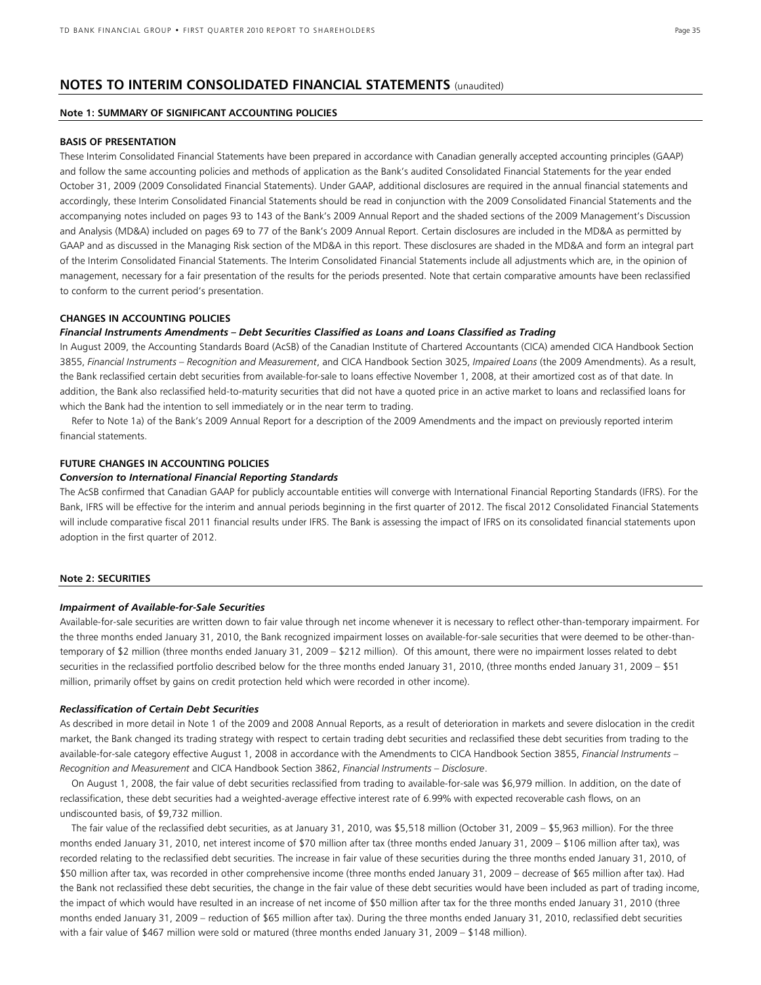### **NOTES TO INTERIM CONSOLIDATED FINANCIAL STATEMENTS** (unaudited)

#### **Note 1: SUMMARY OF SIGNIFICANT ACCOUNTING POLICIES**

#### **BASIS OF PRESENTATION**

These Interim Consolidated Financial Statements have been prepared in accordance with Canadian generally accepted accounting principles (GAAP) and follow the same accounting policies and methods of application as the Bank's audited Consolidated Financial Statements for the year ended October 31, 2009 (2009 Consolidated Financial Statements). Under GAAP, additional disclosures are required in the annual financial statements and accordingly, these Interim Consolidated Financial Statements should be read in conjunction with the 2009 Consolidated Financial Statements and the accompanying notes included on pages 93 to 143 of the Bank's 2009 Annual Report and the shaded sections of the 2009 Management's Discussion and Analysis (MD&A) included on pages 69 to 77 of the Bank's 2009 Annual Report. Certain disclosures are included in the MD&A as permitted by GAAP and as discussed in the Managing Risk section of the MD&A in this report. These disclosures are shaded in the MD&A and form an integral part of the Interim Consolidated Financial Statements. The Interim Consolidated Financial Statements include all adjustments which are, in the opinion of management, necessary for a fair presentation of the results for the periods presented. Note that certain comparative amounts have been reclassified to conform to the current period's presentation.

#### **CHANGES IN ACCOUNTING POLICIES**

#### *Financial Instruments Amendments – Debt Securities Classified as Loans and Loans Classified as Trading*

In August 2009, the Accounting Standards Board (AcSB) of the Canadian Institute of Chartered Accountants (CICA) amended CICA Handbook Section 3855, *Financial Instruments – Recognition and Measurement*, and CICA Handbook Section 3025, *Impaired Loans* (the 2009 Amendments). As a result, the Bank reclassified certain debt securities from available-for-sale to loans effective November 1, 2008, at their amortized cost as of that date. In addition, the Bank also reclassified held-to-maturity securities that did not have a quoted price in an active market to loans and reclassified loans for which the Bank had the intention to sell immediately or in the near term to trading.

Refer to Note 1a) of the Bank's 2009 Annual Report for a description of the 2009 Amendments and the impact on previously reported interim financial statements.

#### **FUTURE CHANGES IN ACCOUNTING POLICIES**

#### *Conversion to International Financial Reporting Standards*

The AcSB confirmed that Canadian GAAP for publicly accountable entities will converge with International Financial Reporting Standards (IFRS). For the Bank, IFRS will be effective for the interim and annual periods beginning in the first quarter of 2012. The fiscal 2012 Consolidated Financial Statements will include comparative fiscal 2011 financial results under IFRS. The Bank is assessing the impact of IFRS on its consolidated financial statements upon adoption in the first quarter of 2012.

#### **Note 2: SECURITIES**

#### *Impairment of Available-for-Sale Securities*

Available-for-sale securities are written down to fair value through net income whenever it is necessary to reflect other-than-temporary impairment. For the three months ended January 31, 2010, the Bank recognized impairment losses on available-for-sale securities that were deemed to be other-thantemporary of \$2 million (three months ended January 31, 2009 – \$212 million). Of this amount, there were no impairment losses related to debt securities in the reclassified portfolio described below for the three months ended January 31, 2010, (three months ended January 31, 2009 – \$51 million, primarily offset by gains on credit protection held which were recorded in other income).

#### *Reclassification of Certain Debt Securities*

As described in more detail in Note 1 of the 2009 and 2008 Annual Reports, as a result of deterioration in markets and severe dislocation in the credit market, the Bank changed its trading strategy with respect to certain trading debt securities and reclassified these debt securities from trading to the available-for-sale category effective August 1, 2008 in accordance with the Amendments to CICA Handbook Section 3855, *Financial Instruments – Recognition and Measurement* and CICA Handbook Section 3862, *Financial Instruments – Disclosure*.

On August 1, 2008, the fair value of debt securities reclassified from trading to available-for-sale was \$6,979 million. In addition, on the date of reclassification, these debt securities had a weighted-average effective interest rate of 6.99% with expected recoverable cash flows, on an undiscounted basis, of \$9,732 million.

The fair value of the reclassified debt securities, as at January 31, 2010, was \$5,518 million (October 31, 2009 – \$5,963 million). For the three months ended January 31, 2010, net interest income of \$70 million after tax (three months ended January 31, 2009 – \$106 million after tax), was recorded relating to the reclassified debt securities. The increase in fair value of these securities during the three months ended January 31, 2010, of \$50 million after tax, was recorded in other comprehensive income (three months ended January 31, 2009 – decrease of \$65 million after tax). Had the Bank not reclassified these debt securities, the change in the fair value of these debt securities would have been included as part of trading income, the impact of which would have resulted in an increase of net income of \$50 million after tax for the three months ended January 31, 2010 (three months ended January 31, 2009 – reduction of \$65 million after tax). During the three months ended January 31, 2010, reclassified debt securities with a fair value of \$467 million were sold or matured (three months ended January 31, 2009 – \$148 million).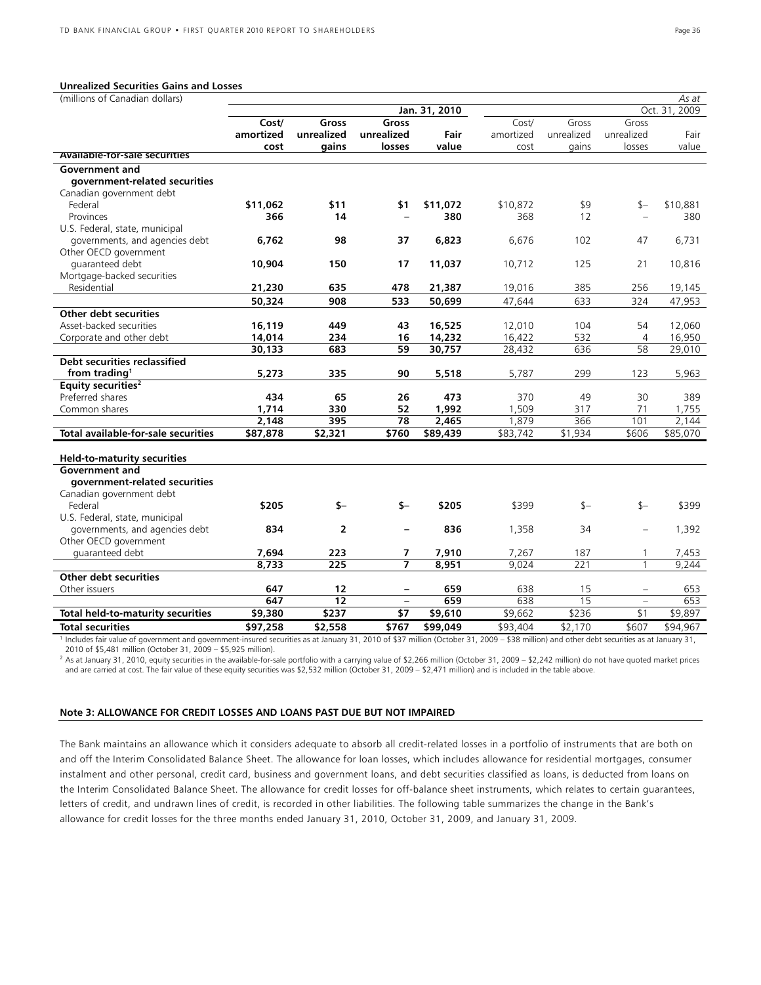#### **Unrealized Securities Gains and Losses**

| (millions of Canadian dollars)                                                                                                                                                             |           |                 |                          |               |           |            |                   | As at            |
|--------------------------------------------------------------------------------------------------------------------------------------------------------------------------------------------|-----------|-----------------|--------------------------|---------------|-----------|------------|-------------------|------------------|
|                                                                                                                                                                                            |           |                 |                          | Jan. 31, 2010 |           |            |                   | 2009<br>Oct. 31, |
|                                                                                                                                                                                            | Cost/     | Gross           | Gross                    |               | Cost/     | Gross      | Gross             |                  |
|                                                                                                                                                                                            | amortized | unrealized      | unrealized               | Fair          | amortized | unrealized | unrealized        | Fair             |
| <b>Available-for-sale securities</b>                                                                                                                                                       | cost      | gains           | losses                   | value         | cost      | gains      | losses            | value            |
|                                                                                                                                                                                            |           |                 |                          |               |           |            |                   |                  |
| <b>Government and</b>                                                                                                                                                                      |           |                 |                          |               |           |            |                   |                  |
| government-related securities                                                                                                                                                              |           |                 |                          |               |           |            |                   |                  |
| Canadian government debt                                                                                                                                                                   |           |                 |                          |               |           |            |                   |                  |
| Federal                                                                                                                                                                                    | \$11,062  | \$11            | \$1                      | \$11,072      | \$10,872  | \$9        | $$-$              | \$10,881         |
| Provinces                                                                                                                                                                                  | 366       | 14              |                          | 380           | 368       | 12         |                   | 380              |
| U.S. Federal, state, municipal                                                                                                                                                             |           |                 |                          |               |           |            |                   |                  |
| governments, and agencies debt                                                                                                                                                             | 6,762     | 98              | 37                       | 6,823         | 6,676     | 102        | 47                | 6,731            |
| Other OECD government                                                                                                                                                                      |           |                 |                          |               |           |            |                   |                  |
| guaranteed debt                                                                                                                                                                            | 10,904    | 150             | 17                       | 11,037        | 10,712    | 125        | 21                | 10,816           |
| Mortgage-backed securities                                                                                                                                                                 |           |                 |                          |               |           |            |                   |                  |
| Residential                                                                                                                                                                                | 21,230    | 635             | 478                      | 21,387        | 19,016    | 385        | 256               | 19,145           |
|                                                                                                                                                                                            | 50,324    | 908             | 533                      | 50,699        | 47,644    | 633        | 324               | 47,953           |
| Other debt securities                                                                                                                                                                      |           |                 |                          |               |           |            |                   |                  |
| Asset-backed securities                                                                                                                                                                    | 16,119    | 449             | 43                       | 16,525        | 12,010    | 104        | 54                | 12,060           |
| Corporate and other debt                                                                                                                                                                   | 14,014    | 234             | 16                       | 14,232        | 16,422    | 532        | $\overline{4}$    | 16,950           |
|                                                                                                                                                                                            | 30,133    | 683             | 59                       | 30,757        | 28,432    | 636        | 58                | 29,010           |
| <b>Debt securities reclassified</b>                                                                                                                                                        |           |                 |                          |               |           |            |                   |                  |
| from trading <sup>1</sup>                                                                                                                                                                  | 5,273     | 335             | 90                       | 5,518         | 5,787     | 299        | 123               | 5,963            |
| Equity securities <sup>2</sup>                                                                                                                                                             |           |                 |                          |               |           |            |                   |                  |
| Preferred shares                                                                                                                                                                           | 434       | 65              | 26                       | 473           | 370       | 49         | 30                | 389              |
| Common shares                                                                                                                                                                              | 1,714     | 330             | 52                       | 1,992         | 1,509     | 317        | 71                | 1,755            |
|                                                                                                                                                                                            | 2.148     | 395             | 78                       | 2,465         | 1.879     | 366        | 101               | 2.144            |
| Total available-for-sale securities                                                                                                                                                        | \$87,878  | \$2,321         | \$760                    | \$89,439      | \$83,742  | \$1,934    | \$606             | \$85,070         |
|                                                                                                                                                                                            |           |                 |                          |               |           |            |                   |                  |
| <b>Held-to-maturity securities</b>                                                                                                                                                         |           |                 |                          |               |           |            |                   |                  |
| Government and                                                                                                                                                                             |           |                 |                          |               |           |            |                   |                  |
| government-related securities                                                                                                                                                              |           |                 |                          |               |           |            |                   |                  |
| Canadian government debt                                                                                                                                                                   |           |                 |                          |               |           |            |                   |                  |
| Federal                                                                                                                                                                                    | \$205     | $$-$            | \$-                      | \$205         | \$399     | $$-$       | $$-$              | \$399            |
| U.S. Federal, state, municipal                                                                                                                                                             |           |                 |                          |               |           |            |                   |                  |
| governments, and agencies debt                                                                                                                                                             | 834       | $\overline{2}$  |                          | 836           | 1,358     | 34         | $\equiv$          | 1,392            |
| Other OECD government                                                                                                                                                                      |           |                 |                          |               |           |            |                   |                  |
| guaranteed debt                                                                                                                                                                            | 7,694     | 223             | 7                        | 7,910         | 7,267     | 187        | 1                 | 7,453            |
|                                                                                                                                                                                            | 8,733     | 225             | $\overline{7}$           | 8,951         | 9,024     | 221        | $\mathbf{1}$      | 9,244            |
| Other debt securities                                                                                                                                                                      |           |                 |                          |               |           |            |                   |                  |
| Other issuers                                                                                                                                                                              | 647       | 12              | $\overline{\phantom{a}}$ | 659           | 638       | 15         | $\qquad \qquad -$ | 653              |
|                                                                                                                                                                                            | 647       | $\overline{12}$ | $\overline{\phantom{0}}$ | 659           | 638       | 15         | $\qquad \qquad -$ | 653              |
| <b>Total held-to-maturity securities</b>                                                                                                                                                   | \$9,380   | \$237           | \$7                      | \$9,610       | \$9,662   | \$236      | \$1               | \$9,897          |
| <b>Total securities</b>                                                                                                                                                                    | \$97,258  | \$2,558         | \$767                    | \$99,049      | \$93,404  | \$2,170    | \$607             | \$94.967         |
| I Includes fair value of government and government-insured securities as at January 31, 2010 of \$37 million (October 31, 2009 - \$38 million) and other debt securities as at January 31, |           |                 |                          |               |           |            |                   |                  |

2010 of \$5,481 million (October 31, 2009 – \$5,925 million).

 $^2$  As at January 31, 2010, equity securities in the available-for-sale portfolio with a carrying value of \$2,266 million (October 31, 2009 – \$2,242 million) do not have quoted market prices and are carried at cost. The fair value of these equity securities was \$2,532 million (October 31, 2009 – \$2,471 million) and is included in the table above.

#### **Note 3: ALLOWANCE FOR CREDIT LOSSES AND LOANS PAST DUE BUT NOT IMPAIRED**

The Bank maintains an allowance which it considers adequate to absorb all credit-related losses in a portfolio of instruments that are both on and off the Interim Consolidated Balance Sheet. The allowance for loan losses, which includes allowance for residential mortgages, consumer instalment and other personal, credit card, business and government loans, and debt securities classified as loans, is deducted from loans on the Interim Consolidated Balance Sheet. The allowance for credit losses for off-balance sheet instruments, which relates to certain guarantees, letters of credit, and undrawn lines of credit, is recorded in other liabilities. The following table summarizes the change in the Bank's allowance for credit losses for the three months ended January 31, 2010, October 31, 2009, and January 31, 2009.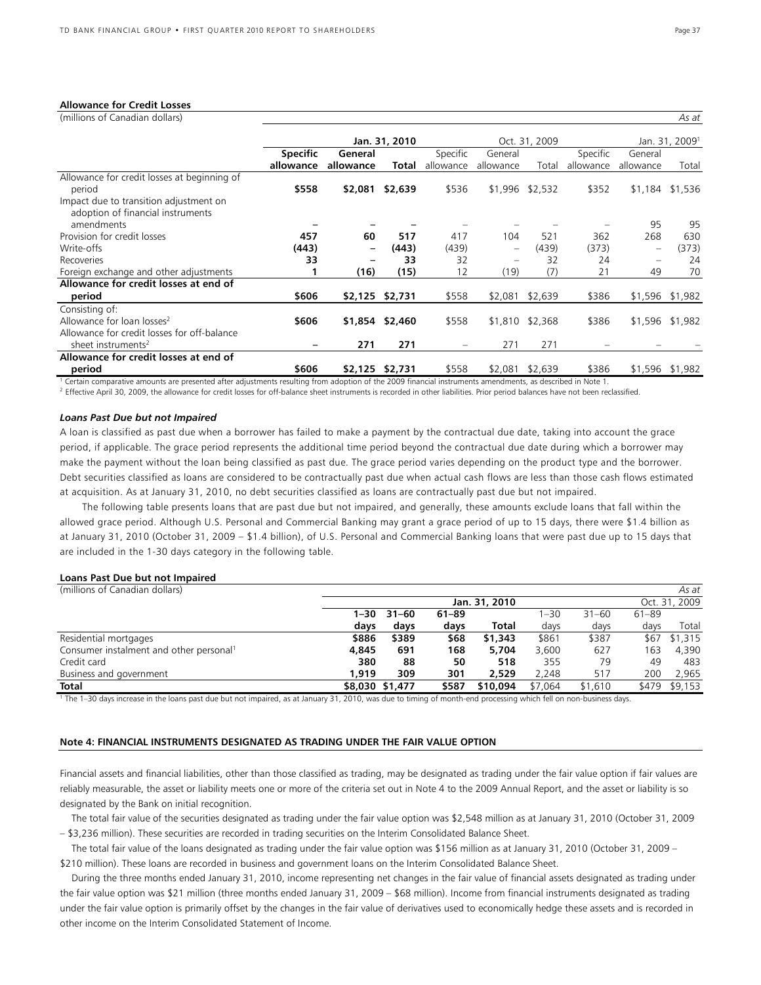#### **Allowance for Credit Losses**

| (millions of Canadian dollars)              |                 |                          |                 |                   |                          |                 |           |                          | As at                      |
|---------------------------------------------|-----------------|--------------------------|-----------------|-------------------|--------------------------|-----------------|-----------|--------------------------|----------------------------|
|                                             |                 |                          | Jan. 31, 2010   |                   |                          | Oct. 31, 2009   |           |                          | Jan. 31, 2009 <sup>1</sup> |
|                                             | <b>Specific</b> | General                  |                 | Specific          | General                  |                 | Specific  | General                  |                            |
|                                             | allowance       | allowance                | Total           | allowance         | allowance                | Total           | allowance | allowance                | Total                      |
| Allowance for credit losses at beginning of |                 |                          |                 |                   |                          |                 |           |                          |                            |
| period                                      | \$558           | \$2,081                  | \$2,639         | \$536             |                          | \$1,996 \$2,532 | \$352     |                          | \$1,184 \$1,536            |
| Impact due to transition adjustment on      |                 |                          |                 |                   |                          |                 |           |                          |                            |
| adoption of financial instruments           |                 |                          |                 |                   |                          |                 |           |                          |                            |
| amendments                                  |                 |                          |                 |                   |                          |                 |           | 95                       | 95                         |
| Provision for credit losses                 | 457             | 60                       | 517             | 417               | 104                      | 521             | 362       | 268                      | 630                        |
| Write-offs                                  | (443)           | $\overline{\phantom{0}}$ | (443)           | (439)             | $\overline{\phantom{0}}$ | (439)           | (373)     | $\overline{\phantom{m}}$ | (373)                      |
| Recoveries                                  | 33              |                          | 33              | 32                |                          | 32              | 24        | $\overline{\phantom{m}}$ | 24                         |
| Foreign exchange and other adjustments      |                 | (16)                     | (15)            | 12                | (19)                     | (7)             | 21        | 49                       | 70                         |
| Allowance for credit losses at end of       |                 |                          |                 |                   |                          |                 |           |                          |                            |
| period                                      | \$606           |                          | \$2,125 \$2,731 | \$558             | \$2,081                  | \$2,639         | \$386     |                          | \$1,596 \$1,982            |
| Consisting of:                              |                 |                          |                 |                   |                          |                 |           |                          |                            |
| Allowance for loan losses <sup>2</sup>      | \$606           |                          | \$1,854 \$2,460 | \$558             |                          | \$1,810 \$2,368 | \$386     |                          | \$1,596 \$1,982            |
| Allowance for credit losses for off-balance |                 |                          |                 |                   |                          |                 |           |                          |                            |
| sheet instruments <sup>2</sup>              |                 | 271                      | 271             | $\qquad \qquad =$ | 271                      | 271             |           |                          |                            |
| Allowance for credit losses at end of       |                 |                          |                 |                   |                          |                 |           |                          |                            |
| period                                      | \$606           |                          | \$2,125 \$2,731 | \$558             | \$2,081                  | \$2,639         | \$386     |                          | \$1,596 \$1,982            |

Certain comparative amounts are presented after adjustments resulting from adoption of the 2009 financial instruments amendments, as described in Note 1.

<sup>2</sup> Effective April 30, 2009, the allowance for credit losses for off-balance sheet instruments is recorded in other liabilities. Prior period balances have not been reclassified.

#### *Loans Past Due but not Impaired*

A loan is classified as past due when a borrower has failed to make a payment by the contractual due date, taking into account the grace period, if applicable. The grace period represents the additional time period beyond the contractual due date during which a borrower may make the payment without the loan being classified as past due. The grace period varies depending on the product type and the borrower. Debt securities classified as loans are considered to be contractually past due when actual cash flows are less than those cash flows estimated at acquisition. As at January 31, 2010, no debt securities classified as loans are contractually past due but not impaired.

 The following table presents loans that are past due but not impaired, and generally, these amounts exclude loans that fall within the allowed grace period. Although U.S. Personal and Commercial Banking may grant a grace period of up to 15 days, there were \$1.4 billion as at January 31, 2010 (October 31, 2009 – \$1.4 billion), of U.S. Personal and Commercial Banking loans that were past due up to 15 days that are included in the 1-30 days category in the following table.

#### **Loans Past Due but not Impaired**

| (millions of Canadian dollars)                      |                 |           |           |               |          |           |           | As at         |
|-----------------------------------------------------|-----------------|-----------|-----------|---------------|----------|-----------|-----------|---------------|
|                                                     |                 |           |           | Jan. 31, 2010 |          |           |           | Oct. 31, 2009 |
|                                                     | 1–30            | $31 - 60$ | $61 - 89$ |               | $1 - 30$ | $31 - 60$ | $61 - 89$ |               |
|                                                     | days            | days      | days      | Total         | davs     | days      | davs      | Total         |
| Residential mortgages                               | \$886           | \$389     | \$68      | \$1,343       | \$861    | \$387     | \$67      | \$1.315       |
| Consumer instalment and other personal <sup>1</sup> | 4,845           | 691       | 168       | 5.704         | 3,600    | 627       | 163       | 4.390         |
| Credit card                                         | 380             | 88        | 50        | 518           | 355      | 79        | 49        | 483           |
| Business and government                             | 1.919           | 309       | 301       | 2.529         | 2.248    | 517       | 200       | 2,965         |
| <b>Total</b>                                        | \$8,030 \$1,477 |           | \$587     | \$10,094      | \$7.064  | \$1,610   | \$479     | \$9,153       |

1 The 1–30 days increase in the loans past due but not impaired, as at January 31, 2010, was due to timing of month-end processing which fell on non-business days.

#### **Note 4: FINANCIAL INSTRUMENTS DESIGNATED AS TRADING UNDER THE FAIR VALUE OPTION**

Financial assets and financial liabilities, other than those classified as trading, may be designated as trading under the fair value option if fair values are reliably measurable, the asset or liability meets one or more of the criteria set out in Note 4 to the 2009 Annual Report, and the asset or liability is so designated by the Bank on initial recognition.

The total fair value of the securities designated as trading under the fair value option was \$2,548 million as at January 31, 2010 (October 31, 2009 – \$3,236 million). These securities are recorded in trading securities on the Interim Consolidated Balance Sheet.

The total fair value of the loans designated as trading under the fair value option was \$156 million as at January 31, 2010 (October 31, 2009 – \$210 million). These loans are recorded in business and government loans on the Interim Consolidated Balance Sheet.

During the three months ended January 31, 2010, income representing net changes in the fair value of financial assets designated as trading under the fair value option was \$21 million (three months ended January 31, 2009 – \$68 million). Income from financial instruments designated as trading under the fair value option is primarily offset by the changes in the fair value of derivatives used to economically hedge these assets and is recorded in other income on the Interim Consolidated Statement of Income.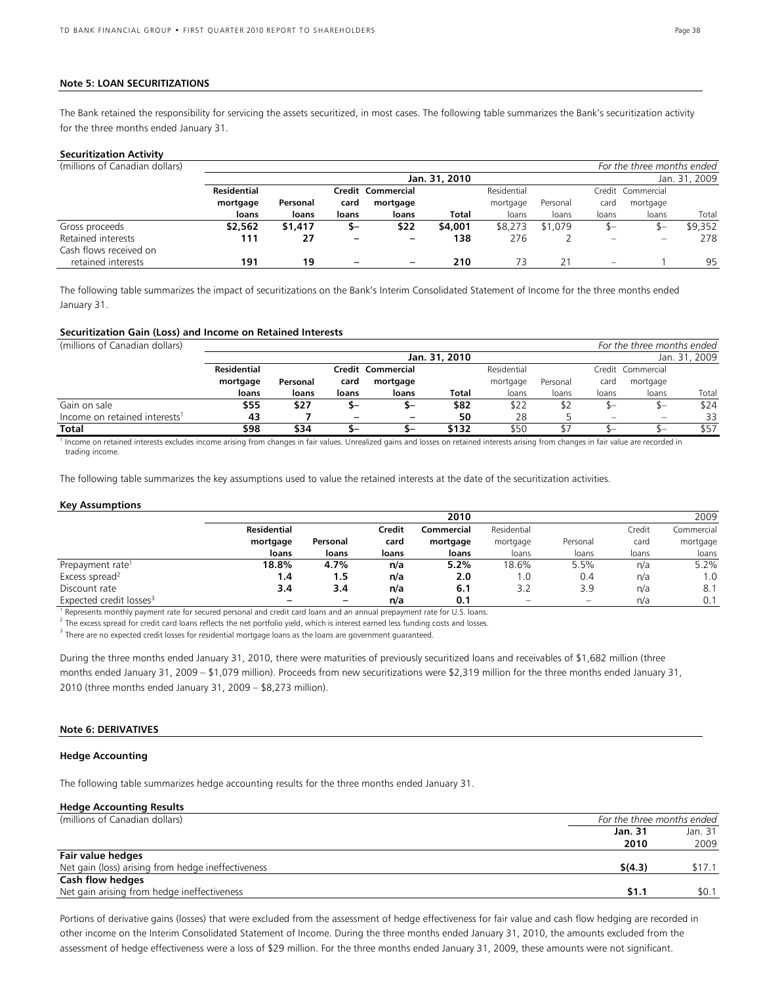#### **Note 5: LOAN SECURITIZATIONS**

The Bank retained the responsibility for servicing the assets securitized, in most cases. The following table summarizes the Bank's securitization activity for the three months ended January 31.

#### **Securitization Activity**

| (millions of Canadian dollars) |                    |          |       |                   |               |             |          |       | For the three months ended     |               |
|--------------------------------|--------------------|----------|-------|-------------------|---------------|-------------|----------|-------|--------------------------------|---------------|
|                                |                    |          |       |                   | Jan. 31, 2010 |             |          |       |                                | Jan. 31, 2009 |
|                                | <b>Residential</b> |          |       | Credit Commercial |               | Residential |          |       | Credit Commercial              |               |
|                                | mortgage           | Personal | card  | mortgage          |               | mortgage    | Personal | card  | mortgage                       |               |
|                                | loans              | loans    | loans | loans             | <b>Total</b>  | loans       | loans    | loans | loans                          | Total         |
| Gross proceeds                 | \$2,562            | \$1,417  | S-    | \$22              | \$4,001       | \$8,273     | \$1,079  | \$—   | $S-$                           | \$9,352       |
| Retained interests             | 111                | 27       |       | -                 | 138           | 276         |          |       | $\qquad \qquad \longleftarrow$ | 278           |
| Cash flows received on         |                    |          |       |                   |               |             |          |       |                                |               |
| retained interests             | 191                | 19       |       | -                 | 210           | 73          |          |       |                                | 95            |

The following table summarizes the impact of securitizations on the Bank's Interim Consolidated Statement of Income for the three months ended January 31.

#### **Securitization Gain (Loss) and Income on Retained Interests**

(millions of Canadian dollars) *For the three months ended*

|                    | Jan. 31, 2010 |       |          |                   |             |          |       |                          |                                    |
|--------------------|---------------|-------|----------|-------------------|-------------|----------|-------|--------------------------|------------------------------------|
| <b>Residential</b> |               |       |          |                   | Residential |          |       |                          |                                    |
| mortgage           | Personal      | card  | mortgage |                   | mortgage    | Personal | card  | mortgage                 |                                    |
| loans              | loans         | loans | loans    | <b>Total</b>      | loans       | loans    | loans | loans                    | Total                              |
| \$55               | \$27          |       | ъ–       | \$82              | \$22        |          |       |                          | \$24                               |
| 43                 |               |       | -        | 50                | 28          |          |       | $\overline{\phantom{0}}$ | 33                                 |
| \$98               | \$34          |       | ъ-       | \$132             | \$50        |          |       |                          | \$57                               |
|                    |               |       |          | Credit Commercial |             |          |       |                          | Jan. 31, 2009<br>Credit Commercial |

<sup>1</sup> Income on retained interests excludes income arising from changes in fair values. Unrealized gains and losses on retained interests arising from changes in fair value are recorded in trading income.

The following table summarizes the key assumptions used to value the retained interests at the date of the securitization activities.

#### **Key Assumptions**

|                                     |                          |                          |        | 2010       |                          |          |        | 2009       |
|-------------------------------------|--------------------------|--------------------------|--------|------------|--------------------------|----------|--------|------------|
|                                     | <b>Residential</b>       |                          | Credit | Commercial | Residential              |          | Credit | Commercial |
|                                     | mortgage                 | Personal                 | card   | mortgage   | mortgage                 | Personal | card   | mortgage   |
|                                     | loans                    | loans                    | loans  | loans      | loans                    | loans    | loans  | loans      |
| Prepayment rate <sup>1</sup>        | 18.8%                    | 4.7%                     | n/a    | 5.2%       | 18.6%                    | 5.5%     | n/a    | 5.2%       |
| Excess spread <sup>2</sup>          | 1.4                      | 1.5                      | n/a    | 2.0        | . .0                     | 0.4      | n/a    | 1.0        |
| Discount rate                       | 3.4                      | 3.4                      | n/a    | 6.1        | 3.2                      | 3.9      | n/a    | 8.1        |
| Expected credit losses <sup>3</sup> | $\overline{\phantom{0}}$ | $\overline{\phantom{m}}$ | n/a    | 0.1        | $\overline{\phantom{0}}$ | $\equiv$ | n/a    | 0.1        |

<sup>1</sup> Represents monthly payment rate for secured personal and credit card loans and an annual prepayment rate for U.S. loans.

 $^2$  The excess spread for credit card loans reflects the net portfolio yield, which is interest earned less funding costs and losses.<br><sup>3</sup>

 $3$  There are no expected credit losses for residential mortgage loans as the loans are government guaranteed.

During the three months ended January 31, 2010, there were maturities of previously securitized loans and receivables of \$1,682 million (three months ended January 31, 2009 – \$1,079 million). Proceeds from new securitizations were \$2,319 million for the three months ended January 31, 2010 (three months ended January 31, 2009 – \$8,273 million).

#### **Note 6: DERIVATIVES**

#### **Hedge Accounting**

The following table summarizes hedge accounting results for the three months ended January 31.

#### **Hedge Accounting Results**

| For the three months ended |                 |  |  |  |
|----------------------------|-----------------|--|--|--|
| Jan. 31                    | Jan. 31<br>2009 |  |  |  |
|                            |                 |  |  |  |
| \$(4.3)                    | \$17.1          |  |  |  |
|                            |                 |  |  |  |
| \$1.1                      | \$0.1           |  |  |  |
|                            | 2010            |  |  |  |

Portions of derivative gains (losses) that were excluded from the assessment of hedge effectiveness for fair value and cash flow hedging are recorded in other income on the Interim Consolidated Statement of Income. During the three months ended January 31, 2010, the amounts excluded from the assessment of hedge effectiveness were a loss of \$29 million. For the three months ended January 31, 2009, these amounts were not significant.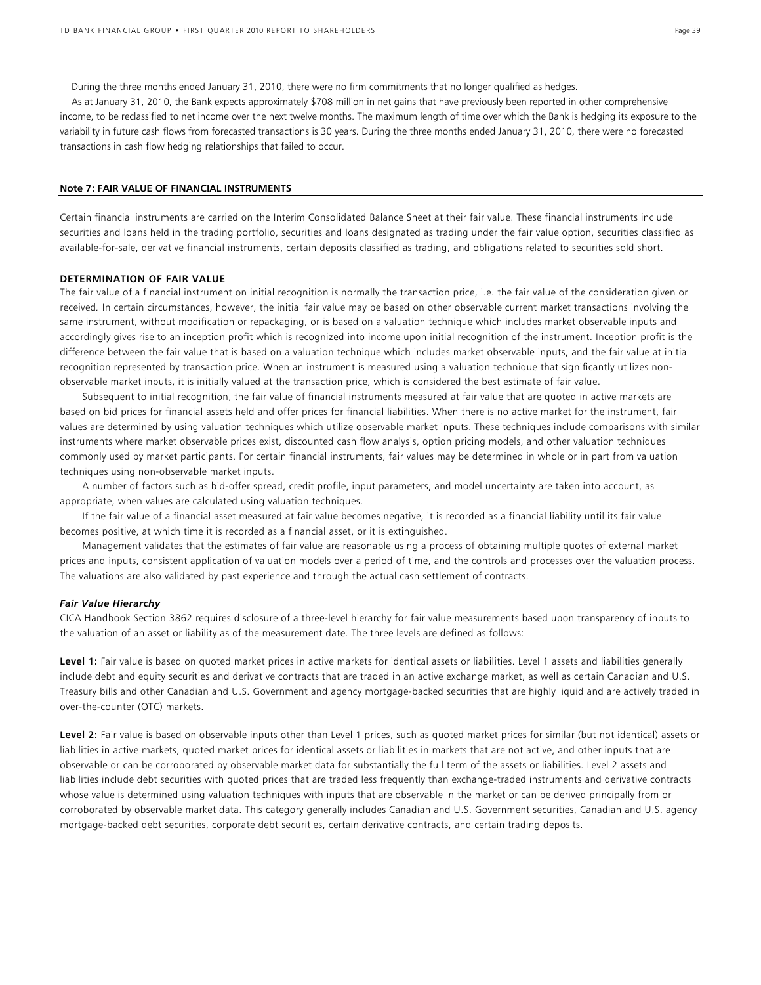During the three months ended January 31, 2010, there were no firm commitments that no longer qualified as hedges.

As at January 31, 2010, the Bank expects approximately \$708 million in net gains that have previously been reported in other comprehensive income, to be reclassified to net income over the next twelve months. The maximum length of time over which the Bank is hedging its exposure to the variability in future cash flows from forecasted transactions is 30 years. During the three months ended January 31, 2010, there were no forecasted transactions in cash flow hedging relationships that failed to occur.

#### **Note 7: FAIR VALUE OF FINANCIAL INSTRUMENTS**

Certain financial instruments are carried on the Interim Consolidated Balance Sheet at their fair value. These financial instruments include securities and loans held in the trading portfolio, securities and loans designated as trading under the fair value option, securities classified as available-for-sale, derivative financial instruments, certain deposits classified as trading, and obligations related to securities sold short.

#### **DETERMINATION OF FAIR VALUE**

The fair value of a financial instrument on initial recognition is normally the transaction price, i.e. the fair value of the consideration given or received*.* In certain circumstances, however, the initial fair value may be based on other observable current market transactions involving the same instrument, without modification or repackaging, or is based on a valuation technique which includes market observable inputs and accordingly gives rise to an inception profit which is recognized into income upon initial recognition of the instrument. Inception profit is the difference between the fair value that is based on a valuation technique which includes market observable inputs, and the fair value at initial recognition represented by transaction price. When an instrument is measured using a valuation technique that significantly utilizes nonobservable market inputs, it is initially valued at the transaction price, which is considered the best estimate of fair value.

 Subsequent to initial recognition, the fair value of financial instruments measured at fair value that are quoted in active markets are based on bid prices for financial assets held and offer prices for financial liabilities. When there is no active market for the instrument, fair values are determined by using valuation techniques which utilize observable market inputs. These techniques include comparisons with similar instruments where market observable prices exist, discounted cash flow analysis, option pricing models, and other valuation techniques commonly used by market participants. For certain financial instruments, fair values may be determined in whole or in part from valuation techniques using non-observable market inputs.

 A number of factors such as bid-offer spread, credit profile, input parameters, and model uncertainty are taken into account, as appropriate, when values are calculated using valuation techniques.

 If the fair value of a financial asset measured at fair value becomes negative, it is recorded as a financial liability until its fair value becomes positive, at which time it is recorded as a financial asset, or it is extinguished.

 Management validates that the estimates of fair value are reasonable using a process of obtaining multiple quotes of external market prices and inputs, consistent application of valuation models over a period of time, and the controls and processes over the valuation process. The valuations are also validated by past experience and through the actual cash settlement of contracts.

#### *Fair Value Hierarchy*

CICA Handbook Section 3862 requires disclosure of a three-level hierarchy for fair value measurements based upon transparency of inputs to the valuation of an asset or liability as of the measurement date. The three levels are defined as follows:

Level 1: Fair value is based on quoted market prices in active markets for identical assets or liabilities. Level 1 assets and liabilities generally include debt and equity securities and derivative contracts that are traded in an active exchange market, as well as certain Canadian and U.S. Treasury bills and other Canadian and U.S. Government and agency mortgage-backed securities that are highly liquid and are actively traded in over-the-counter (OTC) markets.

Level 2: Fair value is based on observable inputs other than Level 1 prices, such as quoted market prices for similar (but not identical) assets or liabilities in active markets, quoted market prices for identical assets or liabilities in markets that are not active, and other inputs that are observable or can be corroborated by observable market data for substantially the full term of the assets or liabilities. Level 2 assets and liabilities include debt securities with quoted prices that are traded less frequently than exchange-traded instruments and derivative contracts whose value is determined using valuation techniques with inputs that are observable in the market or can be derived principally from or corroborated by observable market data. This category generally includes Canadian and U.S. Government securities, Canadian and U.S. agency mortgage-backed debt securities, corporate debt securities, certain derivative contracts, and certain trading deposits.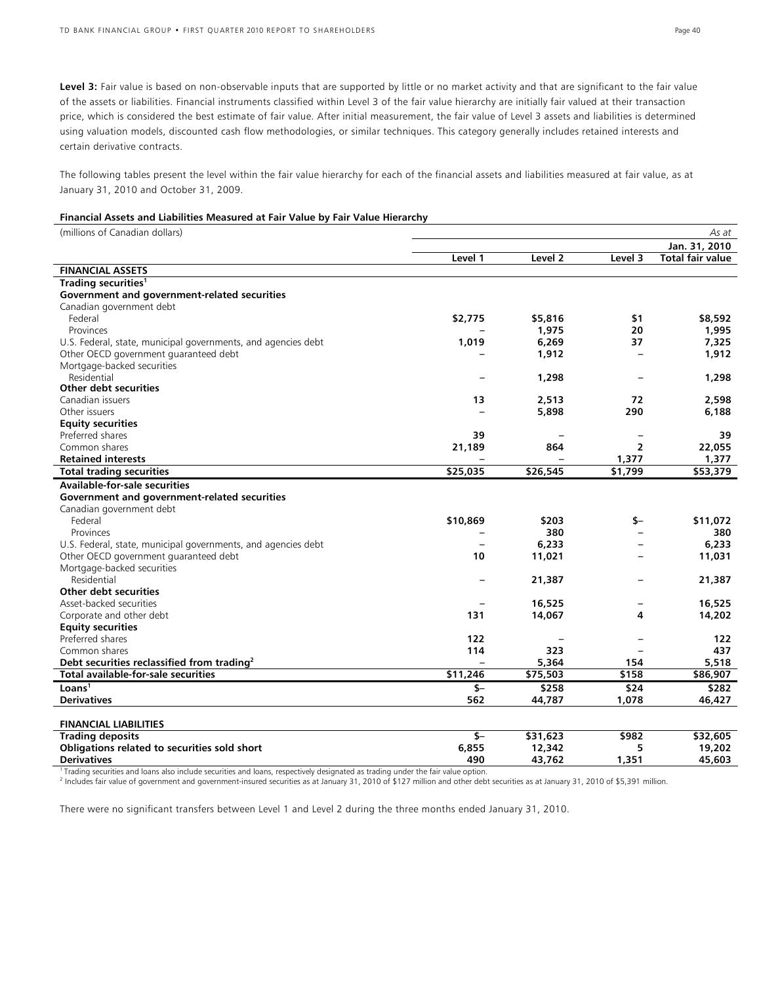Level 3: Fair value is based on non-observable inputs that are supported by little or no market activity and that are significant to the fair value of the assets or liabilities. Financial instruments classified within Level 3 of the fair value hierarchy are initially fair valued at their transaction price, which is considered the best estimate of fair value. After initial measurement, the fair value of Level 3 assets and liabilities is determined using valuation models, discounted cash flow methodologies, or similar techniques. This category generally includes retained interests and certain derivative contracts.

The following tables present the level within the fair value hierarchy for each of the financial assets and liabilities measured at fair value, as at January 31, 2010 and October 31, 2009.

#### **Financial Assets and Liabilities Measured at Fair Value by Fair Value Hierarchy**

| (millions of Canadian dollars)                                |            |          |                          | As at                   |
|---------------------------------------------------------------|------------|----------|--------------------------|-------------------------|
|                                                               |            |          |                          | Jan. 31, 2010           |
|                                                               | Level 1    | Level 2  | Level 3                  | <b>Total fair value</b> |
| <b>FINANCIAL ASSETS</b>                                       |            |          |                          |                         |
| Trading securities <sup>1</sup>                               |            |          |                          |                         |
| Government and government-related securities                  |            |          |                          |                         |
| Canadian government debt                                      |            |          |                          |                         |
| Federal                                                       | \$2,775    | \$5,816  | \$1                      | \$8,592                 |
| Provinces                                                     |            | 1,975    | 20                       | 1,995                   |
| U.S. Federal, state, municipal governments, and agencies debt | 1,019      | 6,269    | 37                       | 7,325                   |
| Other OECD government guaranteed debt                         |            | 1,912    | $\overline{\phantom{0}}$ | 1,912                   |
| Mortgage-backed securities                                    |            |          |                          |                         |
| Residential                                                   |            | 1,298    |                          | 1,298                   |
| Other debt securities                                         |            |          |                          |                         |
| Canadian issuers                                              | 13         | 2,513    | 72                       | 2,598                   |
| Other issuers                                                 |            | 5,898    | 290                      | 6,188                   |
| <b>Equity securities</b>                                      |            |          |                          |                         |
| Preferred shares                                              | 39         |          | $\overline{\phantom{0}}$ | 39                      |
| Common shares                                                 | 21,189     | 864      | $\overline{2}$           | 22,055                  |
| <b>Retained interests</b>                                     |            |          | 1,377                    | 1,377                   |
| <b>Total trading securities</b>                               | \$25,035   | \$26,545 | \$1,799                  | \$53,379                |
| Available-for-sale securities                                 |            |          |                          |                         |
| Government and government-related securities                  |            |          |                          |                         |
| Canadian government debt                                      |            |          |                          |                         |
| Federal                                                       | \$10,869   | \$203    | \$-                      | \$11,072                |
| Provinces                                                     |            | 380      |                          | 380                     |
| U.S. Federal, state, municipal governments, and agencies debt |            | 6,233    |                          | 6,233                   |
| Other OECD government guaranteed debt                         | 10         | 11,021   |                          | 11,031                  |
| Mortgage-backed securities                                    |            |          |                          |                         |
| Residential                                                   |            | 21,387   |                          | 21,387                  |
| Other debt securities                                         |            |          |                          |                         |
| Asset-backed securities                                       |            | 16,525   |                          | 16,525                  |
| Corporate and other debt                                      | 131        | 14,067   | 4                        | 14,202                  |
| <b>Equity securities</b>                                      |            |          |                          |                         |
| Preferred shares                                              | 122        |          |                          | 122                     |
| Common shares                                                 | 114        | 323      |                          | 437                     |
| Debt securities reclassified from trading <sup>2</sup>        |            | 5,364    | 154                      | 5,518                   |
| <b>Total available-for-sale securities</b>                    | \$11,246   | \$75,503 | \$158                    | \$86,907                |
| Loans <sup>1</sup>                                            |            |          | \$24                     |                         |
| <b>Derivatives</b>                                            | \$-<br>562 | \$258    |                          | \$282                   |
|                                                               |            | 44,787   | 1,078                    | 46,427                  |
| <b>FINANCIAL LIABILITIES</b>                                  |            |          |                          |                         |
| <b>Trading deposits</b>                                       | $S-$       | \$31,623 | \$982                    | \$32,605                |
| Obligations related to securities sold short                  | 6,855      | 12,342   | 5                        | 19,202                  |
| <b>Derivatives</b>                                            | 490        | 43,762   | 1,351                    | 45,603                  |
|                                                               |            |          |                          |                         |

1 Trading securities and loans also include securities and loans, respectively designated as trading under the fair value option.

2 Includes fair value of government and government-insured securities as at January 31, 2010 of \$127 million and other debt securities as at January 31, 2010 of \$5,391 million.

There were no significant transfers between Level 1 and Level 2 during the three months ended January 31, 2010.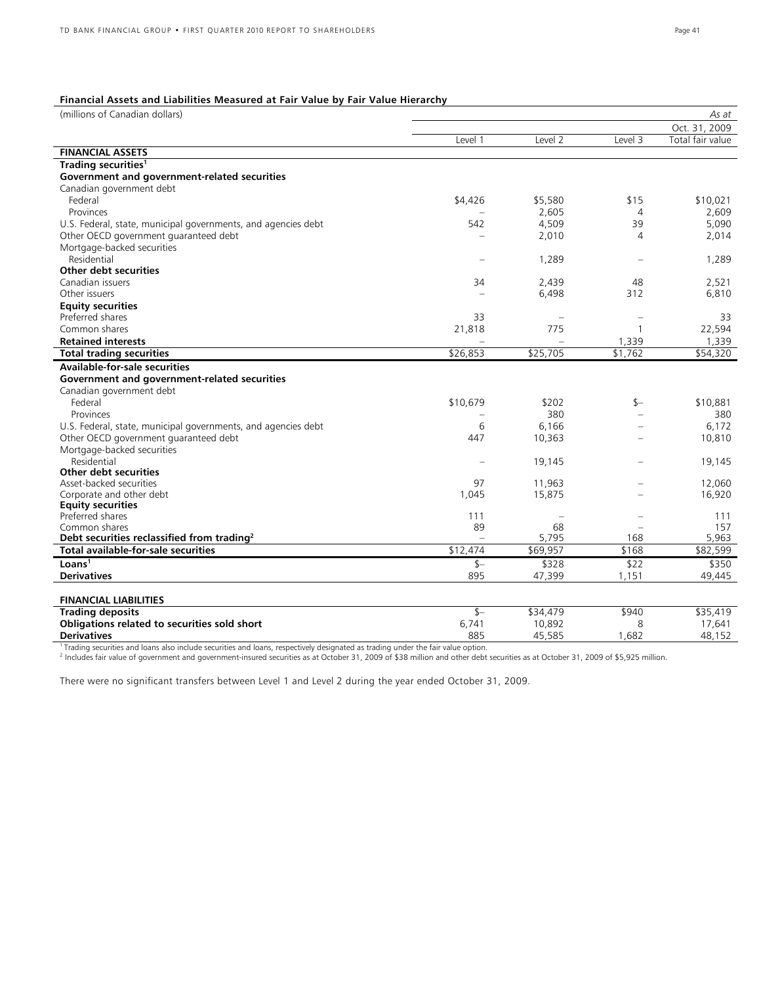### **Financial Assets and Liabilities Measured at Fair Value by Fair Value Hierarchy**

| (millions of Canadian dollars)                                |          |                      |         | As at                |
|---------------------------------------------------------------|----------|----------------------|---------|----------------------|
|                                                               |          |                      |         | Oct. 31, 2009        |
|                                                               | Level 1  | Level 2              | Level 3 | Total fair value     |
| <b>FINANCIAL ASSETS</b>                                       |          |                      |         |                      |
| Trading securities <sup>1</sup>                               |          |                      |         |                      |
| Government and government-related securities                  |          |                      |         |                      |
| Canadian government debt                                      |          |                      |         |                      |
| Federal                                                       | \$4,426  | \$5,580              | \$15    | \$10,021             |
| Provinces                                                     |          | 2,605                | 4       | 2,609                |
| U.S. Federal, state, municipal governments, and agencies debt | 542      | 4,509                | 39      | 5,090                |
| Other OECD government guaranteed debt                         |          | 2,010                | 4       | 2,014                |
| Mortgage-backed securities                                    |          |                      |         |                      |
| Residential                                                   |          | 1,289                |         | 1,289                |
| Other debt securities                                         |          |                      |         |                      |
| Canadian issuers                                              | 34       | 2,439                | 48      | 2,521                |
| Other issuers                                                 | $\sim$   | 6,498                | 312     | 6,810                |
| <b>Equity securities</b>                                      |          |                      |         |                      |
| Preferred shares                                              | 33       |                      |         | 33                   |
| Common shares                                                 | 21,818   | 775                  | 1       | 22,594               |
| <b>Retained interests</b>                                     |          |                      | 1,339   | 1,339                |
| <b>Total trading securities</b>                               | \$26,853 | \$25,705             | \$1,762 | \$54,320             |
| <b>Available-for-sale securities</b>                          |          |                      |         |                      |
| Government and government-related securities                  |          |                      |         |                      |
| Canadian government debt                                      |          |                      |         |                      |
| Federal                                                       | \$10,679 | \$202                | \$—     | \$10,881             |
| Provinces                                                     |          | 380                  |         | 380                  |
| U.S. Federal, state, municipal governments, and agencies debt | 6        | 6,166                |         | 6,172                |
| Other OECD government guaranteed debt                         | 447      | 10,363               |         | 10,810               |
| Mortgage-backed securities                                    |          |                      |         |                      |
| Residential                                                   |          | 19,145               |         | 19,145               |
| Other debt securities                                         |          |                      |         |                      |
| Asset-backed securities                                       | 97       | 11,963               |         | 12,060               |
| Corporate and other debt                                      | 1,045    | 15,875               |         | 16,920               |
| <b>Equity securities</b>                                      |          |                      |         |                      |
| Preferred shares                                              | 111      |                      |         | 111                  |
| Common shares                                                 | 89       | 68                   |         | 157                  |
| Debt securities reclassified from trading <sup>2</sup>        |          | 5,795                | 168     | 5,963                |
| Total available-for-sale securities                           | \$12,474 | $\overline{$69,957}$ | \$168   | \$82,599             |
| Loans <sup>1</sup>                                            | $S-$     | \$328                | \$22    | \$350                |
| <b>Derivatives</b>                                            | 895      | 47,399               | 1,151   | 49,445               |
|                                                               |          |                      |         |                      |
| <b>FINANCIAL LIABILITIES</b>                                  |          |                      |         |                      |
| <b>Trading deposits</b>                                       | $$-$     | \$34,479             | \$940   | $\overline{$}35,419$ |
| Obligations related to securities sold short                  | 6,741    | 10,892               | 8       | 17,641               |
| <b>Derivatives</b>                                            | 885      | 15525                | 1687    | 18 15 2              |

**Derivatives** 885 45,585 1,682 48,152 1 Trading securities and loans also include securities and loans, respectively designated as trading under the fair value option. 2 Includes fair value of government and government-insured securities as at October 31, 2009 of \$38 million and other debt securities as at October 31, 2009 of \$5,925 million.

There were no significant transfers between Level 1 and Level 2 during the year ended October 31, 2009.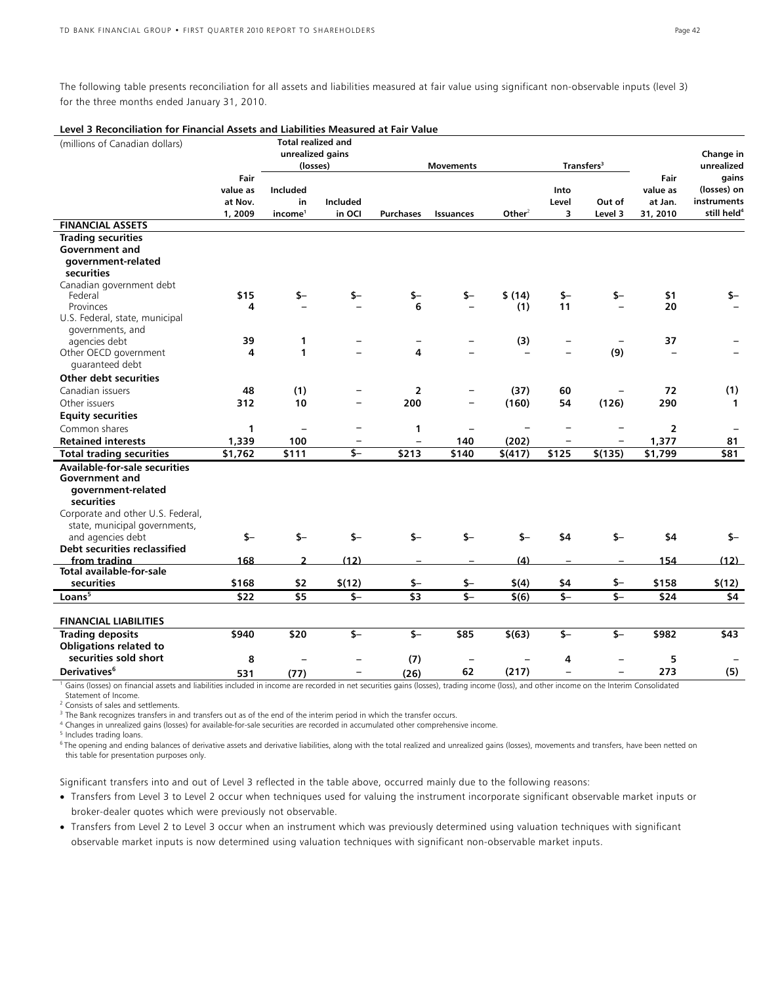The following table presents reconciliation for all assets and liabilities measured at fair value using significant non-observable inputs (level 3) for the three months ended January 31, 2010.

| Level 3 Reconciliation for Financial Assets and Liabilities Measured at Fair Value |                               |                                       |                           |                           |                          |                    |                         |                         |                                 |                                                       |
|------------------------------------------------------------------------------------|-------------------------------|---------------------------------------|---------------------------|---------------------------|--------------------------|--------------------|-------------------------|-------------------------|---------------------------------|-------------------------------------------------------|
| (millions of Canadian dollars)                                                     |                               | <b>Total realized and</b>             |                           |                           |                          |                    |                         |                         |                                 |                                                       |
|                                                                                    |                               | unrealized gains<br>(losses)          |                           |                           | Transfers <sup>3</sup>   |                    |                         | Change in<br>unrealized |                                 |                                                       |
|                                                                                    | Fair                          |                                       |                           |                           | <b>Movements</b>         |                    |                         |                         | Fair                            | gains                                                 |
|                                                                                    | value as<br>at Nov.<br>1,2009 | Included<br>in<br>income <sup>1</sup> | <b>Included</b><br>in OCI | <b>Purchases</b>          | Issuances                | Other <sup>2</sup> | Into<br>Level<br>3      | Out of<br>Level 3       | value as<br>at Jan.<br>31, 2010 | (losses) on<br>instruments<br>still held <sup>4</sup> |
| <b>FINANCIAL ASSETS</b>                                                            |                               |                                       |                           |                           |                          |                    |                         |                         |                                 |                                                       |
| <b>Trading securities</b><br>Government and<br>government-related                  |                               |                                       |                           |                           |                          |                    |                         |                         |                                 |                                                       |
| securities                                                                         |                               |                                       |                           |                           |                          |                    |                         |                         |                                 |                                                       |
| Canadian government debt<br>Federal<br>Provinces                                   | \$15<br>4                     | \$-                                   |                           | \$-<br>6                  | $$-$                     | \$(14)<br>(1)      | \$-<br>11               | \$-                     | \$1<br>20                       | \$–                                                   |
| U.S. Federal, state, municipal<br>governments, and                                 |                               |                                       |                           |                           |                          |                    |                         |                         |                                 |                                                       |
| agencies debt                                                                      | 39                            | 1                                     |                           |                           |                          | (3)                |                         |                         | 37                              |                                                       |
| Other OECD government                                                              | 4                             | 1                                     |                           | 4                         |                          |                    |                         | (9)                     | L.                              |                                                       |
| quaranteed debt                                                                    |                               |                                       |                           |                           |                          |                    |                         |                         |                                 |                                                       |
| <b>Other debt securities</b>                                                       |                               |                                       |                           |                           |                          |                    |                         |                         |                                 |                                                       |
| Canadian issuers                                                                   | 48<br>312                     | (1)<br>10                             | $\overline{\phantom{0}}$  | $\overline{2}$<br>200     | ÷                        | (37)               | 60<br>54                |                         | 72                              | (1)                                                   |
| Other issuers                                                                      |                               |                                       |                           |                           |                          | (160)              |                         | (126)                   | 290                             | $\mathbf{1}$                                          |
| <b>Equity securities</b><br>Common shares                                          | 1                             | $\qquad \qquad -$                     | $\overline{\phantom{0}}$  | 1                         | $\overline{\phantom{a}}$ |                    |                         |                         | $\overline{2}$                  |                                                       |
| <b>Retained interests</b>                                                          | 1,339                         | 100                                   | -                         | $\overline{\phantom{0}}$  | 140                      | (202)              |                         |                         | 1,377                           | 81                                                    |
| <b>Total trading securities</b>                                                    | \$1,762                       | \$111                                 | \$-                       | \$213                     | \$140                    | \$(417)            | \$125                   | \$(135)                 | \$1,799                         | \$81                                                  |
| <b>Available-for-sale securities</b>                                               |                               |                                       |                           |                           |                          |                    |                         |                         |                                 |                                                       |
| Government and                                                                     |                               |                                       |                           |                           |                          |                    |                         |                         |                                 |                                                       |
| government-related                                                                 |                               |                                       |                           |                           |                          |                    |                         |                         |                                 |                                                       |
| securities                                                                         |                               |                                       |                           |                           |                          |                    |                         |                         |                                 |                                                       |
| Corporate and other U.S. Federal,                                                  |                               |                                       |                           |                           |                          |                    |                         |                         |                                 |                                                       |
| state, municipal governments,                                                      |                               |                                       |                           | $S-$                      | $s-$                     |                    |                         |                         |                                 |                                                       |
| and agencies debt<br>Debt securities reclassified                                  | $S-$                          | $S-$                                  | $S-$                      |                           |                          | $$-$               | \$4                     | $S-$                    | \$4                             | \$-                                                   |
| from trading                                                                       | 168                           | $\overline{2}$                        | (12)                      |                           |                          | (4)                |                         |                         | 154                             | (12)                                                  |
| Total available-for-sale                                                           |                               |                                       |                           |                           |                          |                    |                         |                         |                                 |                                                       |
| securities                                                                         | \$168                         | \$2                                   | \$(12)                    | \$–                       | \$-                      | \$(4)              | \$4                     | $$-$                    | \$158                           | \$(12)                                                |
| Loans <sup>5</sup>                                                                 | \$22                          | \$5                                   | $$-$                      | $\overline{\overline{3}}$ | $\overline{\mathsf{s}}$  | $\sqrt[5]{6}$      | $\overline{\mathsf{S}}$ | $\overline{\mathsf{s}}$ | \$24                            | $\overline{54}$                                       |
| <b>FINANCIAL LIABILITIES</b>                                                       |                               |                                       |                           |                           |                          |                    |                         |                         |                                 |                                                       |
| <b>Trading deposits</b>                                                            | \$940                         | \$20                                  | $$-$                      | \$-                       | \$85                     | \$(63)             | $S-$                    | $S-$                    | \$982                           | \$43                                                  |
| <b>Obligations related to</b>                                                      |                               |                                       |                           |                           |                          |                    |                         |                         |                                 |                                                       |
| securities sold short                                                              | 8                             |                                       |                           | (7)                       | $\overline{\phantom{0}}$ |                    | 4                       |                         | 5                               |                                                       |
| Derivatives <sup>6</sup>                                                           | 531                           | (77)                                  | $\overline{\phantom{m}}$  | (26)                      | 62                       | (217)              | $\overline{a}$          | $\equiv$                | 273                             | (5)                                                   |

<sup>1</sup> Gains (losses) on financial assets and liabilities included in income are recorded in net securities gains (losses), trading income (loss), and other income on the Interim Consolidated Statement of Income.

2 Consists of sales and settlements.

<sup>3</sup> The Bank recognizes transfers in and transfers out as of the end of the interim period in which the transfer occurs.

4 Changes in unrealized gains (losses) for available-for-sale securities are recorded in accumulated other comprehensive income.

5 Includes trading loans.

<sup>6</sup> The opening and ending balances of derivative assets and derivative liabilities, along with the total realized and unrealized gains (losses), movements and transfers, have been netted on this table for presentation purposes only.

Significant transfers into and out of Level 3 reflected in the table above, occurred mainly due to the following reasons:

• Transfers from Level 3 to Level 2 occur when techniques used for valuing the instrument incorporate significant observable market inputs or broker-dealer quotes which were previously not observable.

• Transfers from Level 2 to Level 3 occur when an instrument which was previously determined using valuation techniques with significant observable market inputs is now determined using valuation techniques with significant non-observable market inputs.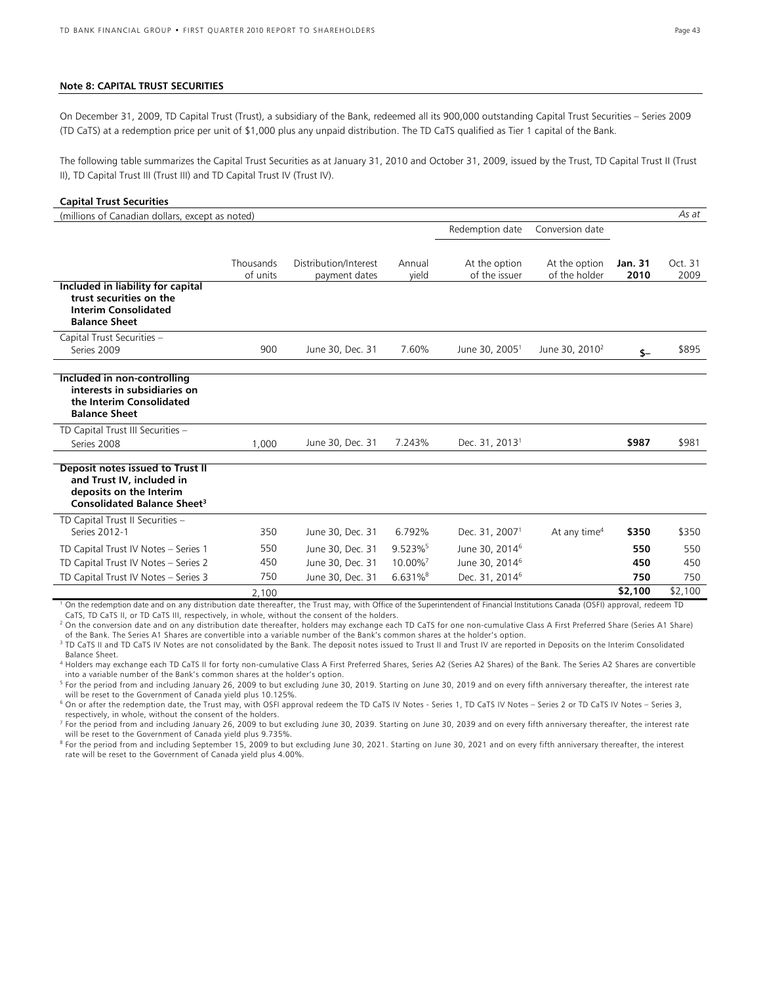#### **Note 8: CAPITAL TRUST SECURITIES**

On December 31, 2009, TD Capital Trust (Trust), a subsidiary of the Bank, redeemed all its 900,000 outstanding Capital Trust Securities – Series 2009 (TD CaTS) at a redemption price per unit of \$1,000 plus any unpaid distribution. The TD CaTS qualified as Tier 1 capital of the Bank.

The following table summarizes the Capital Trust Securities as at January 31, 2010 and October 31, 2009, issued by the Trust, TD Capital Trust II (Trust II), TD Capital Trust III (Trust III) and TD Capital Trust IV (Trust IV).

#### **Capital Trust Securities**

| (millions of Canadian dollars, except as noted)                                                                                     |           |                       |                        |                            |                            |                | As at   |
|-------------------------------------------------------------------------------------------------------------------------------------|-----------|-----------------------|------------------------|----------------------------|----------------------------|----------------|---------|
|                                                                                                                                     |           |                       |                        | Redemption date            | Conversion date            |                |         |
|                                                                                                                                     |           |                       |                        |                            |                            |                |         |
|                                                                                                                                     | Thousands | Distribution/Interest | Annual                 | At the option              | At the option              | <b>Jan. 31</b> | Oct. 31 |
|                                                                                                                                     | of units  | payment dates         | vield                  | of the issuer              | of the holder              | 2010           | 2009    |
| Included in liability for capital<br>trust securities on the<br><b>Interim Consolidated</b><br><b>Balance Sheet</b>                 |           |                       |                        |                            |                            |                |         |
| Capital Trust Securities -                                                                                                          |           |                       |                        |                            |                            |                |         |
| Series 2009                                                                                                                         | 900       | June 30, Dec. 31      | 7.60%                  | June 30, 2005 <sup>1</sup> | June 30, 2010 <sup>2</sup> | $S-$           | \$895   |
| Included in non-controlling<br>interests in subsidiaries on<br>the Interim Consolidated<br><b>Balance Sheet</b>                     |           |                       |                        |                            |                            |                |         |
| TD Capital Trust III Securities -                                                                                                   |           |                       |                        |                            |                            |                |         |
| Series 2008                                                                                                                         | 1,000     | June 30, Dec. 31      | 7.243%                 | Dec. 31, 2013 <sup>1</sup> |                            | \$987          | \$981   |
| Deposit notes issued to Trust II<br>and Trust IV, included in<br>deposits on the Interim<br>Consolidated Balance Sheet <sup>3</sup> |           |                       |                        |                            |                            |                |         |
| TD Capital Trust II Securities -                                                                                                    |           |                       |                        |                            |                            |                |         |
| Series 2012-1                                                                                                                       | 350       | June 30, Dec. 31      | 6.792%                 | Dec. 31, 2007 <sup>1</sup> | At any time <sup>4</sup>   | \$350          | \$350   |
| TD Capital Trust IV Notes - Series 1                                                                                                | 550       | June 30, Dec. 31      | 9.523%                 | June 30, 2014 <sup>6</sup> |                            | 550            | 550     |
| TD Capital Trust IV Notes - Series 2                                                                                                | 450       | June 30, Dec. 31      | 10.00%                 | June 30, 2014 <sup>6</sup> |                            | 450            | 450     |
| TD Capital Trust IV Notes - Series 3                                                                                                | 750       | June 30, Dec. 31      | $6.631\%$ <sup>8</sup> | Dec. 31, 2014 <sup>6</sup> |                            | 750            | 750     |
|                                                                                                                                     | 2.100     |                       |                        |                            |                            | \$2,100        | \$2,100 |

2,100 **\$2,100** \$2,100 1 On the redemption date and on any distribution date thereafter, the Trust may, with Office of the Superintendent of Financial Institutions Canada (OSFI) approval, redeem TD CaTS, TD CaTS II, or TD CaTS III, respectively, in whole, without the consent of the holders.

2 On the conversion date and on any distribution date thereafter, holders may exchange each TD CaTS for one non-cumulative Class A First Preferred Share (Series A1 Share) of the Bank. The Series A1 Shares are convertible into a variable number of the Bank's common shares at the holder's option.

<sup>3</sup> TD CaTS II and TD CaTS IV Notes are not consolidated by the Bank. The deposit notes issued to Trust II and Trust IV are reported in Deposits on the Interim Consolidated

Balance Sheet. 4 Holders may exchange each TD CaTS II for forty non-cumulative Class A First Preferred Shares, Series A2 (Series A2 Shares) of the Bank. The Series A2 Shares are convertible into a variable number of the Bank's common shares at the holder's option.

<sup>5</sup> For the period from and including January 26, 2009 to but excluding June 30, 2019. Starting on June 30, 2019 and on every fifth anniversary thereafter, the interest rate will be reset to the Government of Canada yield plus 10.125%.

 $^6$  On or after the redemption date, the Trust may, with OSFI approval redeem the TD CaTS IV Notes - Series 1, TD CaTS IV Notes – Series 2 or TD CaTS IV Notes – Series 3, respectively, in whole, without the consent of the holders.

 $^7$  For the period from and including January 26, 2009 to but excluding June 30, 2039. Starting on June 30, 2039 and on every fifth anniversary thereafter, the interest rate will be reset to the Government of Canada yield plus 9.735%.

<sup>8</sup> For the period from and including September 15, 2009 to but excluding June 30, 2021. Starting on June 30, 2021 and on every fifth anniversary thereafter, the interest rate will be reset to the Government of Canada yield plus 4.00%.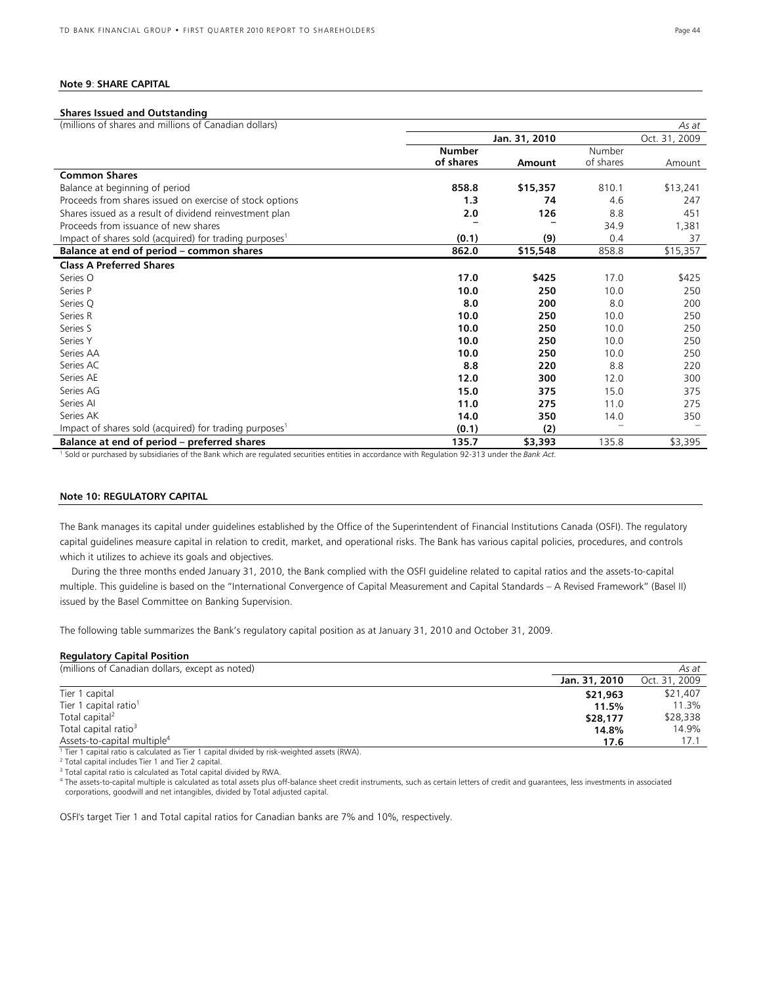#### **Note 9**: **SHARE CAPITAL**

#### **Shares Issued and Outstanding**  *As at*  **Jan. 31, 2010** Oct. 31, 2009 (millions of shares and millions of Canadian dollars) **Number of shares Amount**  Number of shares Amount **Common Shares**  Balance at beginning of period **858.8 \$15,357** 810.1 \$13,241 Proceeds from shares issued on exercise of stock options **1.3 74** 4.6 247 Shares issued as a result of dividend reinvestment plan **20 126 2.0 126 126 8.8** 451 Proceeds from issuance of new shares **– –** 34.9 1,381 Impact of shares sold (acquired) for trading purposes1 **(0.1) (9)** 0.4 37 **Balance at end of period – common shares 862.0 \$15,548** 858.8 \$15,357 **Class A Preferred Shares**  Series O **17.0 \$425** 17.0 \$425 Series P **10.0 250** 10.0 250 Series Q **8.0 200** 8.0 200 Series R **10.0 250** 10.0 250 Series S **10.0 250** 10.0 250 Series Y **10.0 250** 10.0 250 Series AA **10.0 250** 10.0 250 Series AC **8.8 220** 8.8 220 Series AE **12.0 300** 12.0 300 Series AG **15.0 375** 15.0 375 Series AI **11.0 275** 11.0 275 Series AK **14.0 350** 14.0 350 Impact of shares sold (acquired) for trading purposes<sup>1</sup> **(0.1)** (2) **(2)**

**Balance at end of period – preferred shares**<br>I Sold or purchased by subsidiaries of the Bank which are regulated securities entities in accordance with Regulation 92-313 under the Bank Act.

#### **Note 10: REGULATORY CAPITAL**

The Bank manages its capital under guidelines established by the Office of the Superintendent of Financial Institutions Canada (OSFI). The regulatory capital guidelines measure capital in relation to credit, market, and operational risks. The Bank has various capital policies, procedures, and controls which it utilizes to achieve its goals and objectives.

During the three months ended January 31, 2010, the Bank complied with the OSFI guideline related to capital ratios and the assets-to-capital multiple. This guideline is based on the "International Convergence of Capital Measurement and Capital Standards – A Revised Framework" (Basel II) issued by the Basel Committee on Banking Supervision.

The following table summarizes the Bank's regulatory capital position as at January 31, 2010 and October 31, 2009.

#### **Regulatory Capital Position**

| (millions of Canadian dollars, except as noted)                                                 |               |               |  |  |  |  |
|-------------------------------------------------------------------------------------------------|---------------|---------------|--|--|--|--|
|                                                                                                 | Jan. 31, 2010 | Oct. 31, 2009 |  |  |  |  |
| Tier 1 capital                                                                                  | \$21,963      | \$21,407      |  |  |  |  |
| Tier 1 capital ratio <sup>1</sup>                                                               | 11.5%         | 11.3%         |  |  |  |  |
| Total capital <sup>2</sup>                                                                      | \$28,177      | \$28,338      |  |  |  |  |
| Total capital ratio <sup>3</sup>                                                                | 14.8%         | 14.9%         |  |  |  |  |
| Assets-to-capital multiple <sup>4</sup>                                                         | 17.6          | 17.1          |  |  |  |  |
| $1$ Tier 1 capital ratio is calculated as Tier 1 capital divided by risk-weighted assets (RWA). |               |               |  |  |  |  |
| <sup>2</sup> Total capital includes Tier 1 and Tier 2 capital                                   |               |               |  |  |  |  |

<sup>2</sup> Total capital includes Tier 1 and Tier 2 capital.

<sup>3</sup> Total capital ratio is calculated as Total capital divided by RWA.

4 The assets-to-capital multiple is calculated as total assets plus off-balance sheet credit instruments, such as certain letters of credit and guarantees, less investments in associated corporations, goodwill and net intangibles, divided by Total adjusted capital.

OSFI's target Tier 1 and Total capital ratios for Canadian banks are 7% and 10%, respectively.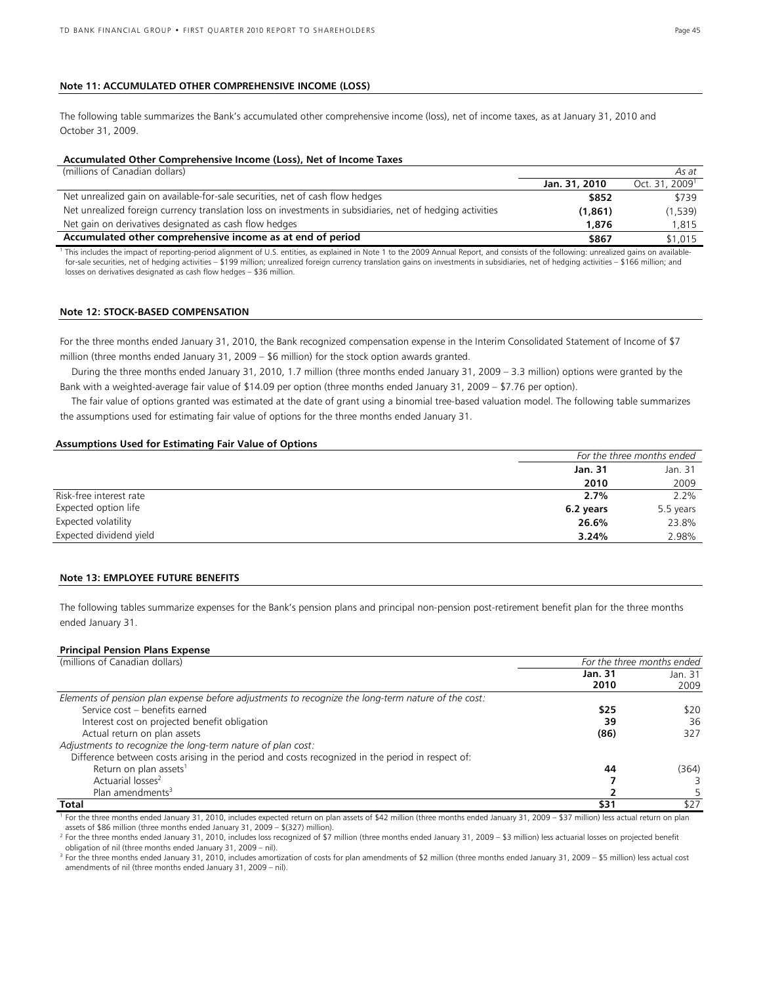#### **Note 11: ACCUMULATED OTHER COMPREHENSIVE INCOME (LOSS)**

The following table summarizes the Bank's accumulated other comprehensive income (loss), net of income taxes, as at January 31, 2010 and October 31, 2009.

#### **Accumulated Other Comprehensive Income (Loss), Net of Income Taxes**

(millions of Canadian dollars) *As at*

|                                                                                                                                                                                                       | Jan. 31, 2010 | Oct. 31, 2009 <sup>1</sup> |
|-------------------------------------------------------------------------------------------------------------------------------------------------------------------------------------------------------|---------------|----------------------------|
| Net unrealized gain on available-for-sale securities, net of cash flow hedges                                                                                                                         | \$852         | \$739                      |
| Net unrealized foreign currency translation loss on investments in subsidiaries, net of hedging activities                                                                                            | (1, 861)      | (1,539)                    |
| Net gain on derivatives designated as cash flow hedges                                                                                                                                                | 1,876         | 1.815                      |
| Accumulated other comprehensive income as at end of period                                                                                                                                            | \$867         | \$1,015                    |
| <sup>1</sup> This includes the impact of reporting-period alignment of U.S. entities, as explained in Note 1 to the 2009 Annual Report, and consists of the following: unrealized gains on available- |               |                            |

for-sale securities, net of hedging activities – \$199 million; unrealized foreign currency translation gains on investments in subsidiaries, net of hedging activities – \$166 million; and losses on derivatives designated as cash flow hedges – \$36 million.

#### **Note 12: STOCK-BASED COMPENSATION**

For the three months ended January 31, 2010, the Bank recognized compensation expense in the Interim Consolidated Statement of Income of \$7 million (three months ended January 31, 2009 – \$6 million) for the stock option awards granted.

During the three months ended January 31, 2010, 1.7 million (three months ended January 31, 2009 – 3.3 million) options were granted by the Bank with a weighted-average fair value of \$14.09 per option (three months ended January 31, 2009 – \$7.76 per option).

The fair value of options granted was estimated at the date of grant using a binomial tree-based valuation model. The following table summarizes the assumptions used for estimating fair value of options for the three months ended January 31.

#### **Assumptions Used for Estimating Fair Value of Options**

|                         | For the three months ended |           |
|-------------------------|----------------------------|-----------|
|                         | <b>Jan. 31</b>             | Jan. 31   |
|                         | 2010                       | 2009      |
| Risk-free interest rate | 2.7%                       | 2.2%      |
| Expected option life    | 6.2 years                  | 5.5 years |
| Expected volatility     | 26.6%                      | 23.8%     |
| Expected dividend yield | 3.24%                      | 2.98%     |

#### **Note 13: EMPLOYEE FUTURE BENEFITS**

The following tables summarize expenses for the Bank's pension plans and principal non-pension post-retirement benefit plan for the three months ended January 31.

#### **Principal Pension Plans Expense**

| (millions of Canadian dollars)                                                                     | For the three months ended |                 |  |
|----------------------------------------------------------------------------------------------------|----------------------------|-----------------|--|
|                                                                                                    | Jan. 31<br>2010            | Jan. 31<br>2009 |  |
| Elements of pension plan expense before adjustments to recognize the long-term nature of the cost: |                            |                 |  |
| Service cost - benefits earned                                                                     | \$25                       | \$20            |  |
| Interest cost on projected benefit obligation                                                      | 39                         | 36              |  |
| Actual return on plan assets                                                                       | (86)                       | 327             |  |
| Adjustments to recognize the long-term nature of plan cost:                                        |                            |                 |  |
| Difference between costs arising in the period and costs recognized in the period in respect of:   |                            |                 |  |
| Return on plan assets <sup>1</sup>                                                                 | 44                         | (364)           |  |
| Actuarial losses <sup>2</sup>                                                                      |                            |                 |  |
| Plan amendments <sup>3</sup>                                                                       |                            |                 |  |
| Total                                                                                              | \$31                       | \$27            |  |

<sup>1</sup> For the three months ended January 31, 2010, includes expected return on plan assets of \$42 million (three months ended January 31, 2009 – \$37 million) less actual return on plan assets of \$86 million (three months ended January 31, 2009 – \$(327) million). 2

<sup>2</sup> For the three months ended January 31, 2010, includes loss recognized of \$7 million (three months ended January 31, 2009 – \$3 million) less actuarial losses on projected benefit obligation of nil (three months ended January 31, 2009 – nil).

<sup>3</sup> For the three months ended January 31, 2010, includes amortization of costs for plan amendments of \$2 million (three months ended January 31, 2009 – \$5 million) less actual cost amendments of nil (three months ended January 31, 2009 – nil).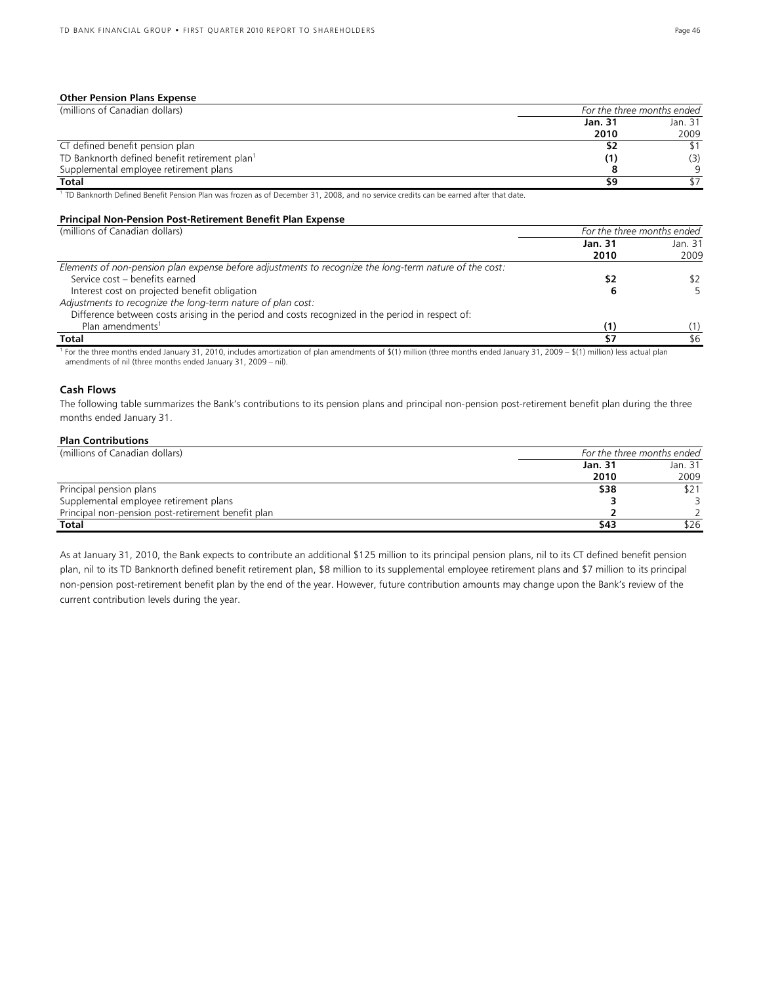#### **Other Pension Plans Expense**

| (millions of Canadian dollars)                            |                | For the three months ended |
|-----------------------------------------------------------|----------------|----------------------------|
|                                                           | <b>Jan. 31</b> | Jan. 31                    |
|                                                           | 2010           | 2009                       |
| CT defined benefit pension plan                           | 52             |                            |
| TD Banknorth defined benefit retirement plan <sup>1</sup> | (1)            | (3)                        |
| Supplemental employee retirement plans                    |                | Q                          |
| <b>Total</b>                                              | 59             |                            |

<sup>1</sup> TD Banknorth Defined Benefit Pension Plan was frozen as of December 31, 2008, and no service credits can be earned after that date.

#### **Principal Non-Pension Post-Retirement Benefit Plan Expense**

| (millions of Canadian dollars)                                                                         | For the three months ended |                 |  |
|--------------------------------------------------------------------------------------------------------|----------------------------|-----------------|--|
|                                                                                                        | <b>Jan. 31</b><br>2010     | Jan. 31<br>2009 |  |
| Elements of non-pension plan expense before adjustments to recognize the long-term nature of the cost: |                            |                 |  |
| Service cost - benefits earned                                                                         | \$2                        | \$2             |  |
| Interest cost on projected benefit obligation                                                          |                            |                 |  |
| Adjustments to recognize the long-term nature of plan cost:                                            |                            |                 |  |
| Difference between costs arising in the period and costs recognized in the period in respect of:       |                            |                 |  |
| Plan amendments <sup>1</sup>                                                                           | (1)                        |                 |  |
| Total                                                                                                  | \$7                        | \$6             |  |

<sup>1</sup> For the three months ended January 31, 2010, includes amortization of plan amendments of \$(1) million (three months ended January 31, 2009 – \$(1) million) less actual plan amendments of nil (three months ended January 31, 2009 – nil).

#### **Cash Flows**

The following table summarizes the Bank's contributions to its pension plans and principal non-pension post-retirement benefit plan during the three months ended January 31.

#### **Plan Contributions**

| (millions of Canadian dollars)                     | For the three months ended |         |  |  |
|----------------------------------------------------|----------------------------|---------|--|--|
|                                                    | Jan. 31                    | Jan. 31 |  |  |
|                                                    | 2010                       | 2009    |  |  |
| Principal pension plans                            | \$38                       | \$21    |  |  |
| Supplemental employee retirement plans             |                            |         |  |  |
| Principal non-pension post-retirement benefit plan |                            |         |  |  |
| Total                                              | \$43                       | \$26    |  |  |

As at January 31, 2010, the Bank expects to contribute an additional \$125 million to its principal pension plans, nil to its CT defined benefit pension plan, nil to its TD Banknorth defined benefit retirement plan, \$8 million to its supplemental employee retirement plans and \$7 million to its principal non-pension post-retirement benefit plan by the end of the year. However, future contribution amounts may change upon the Bank's review of the current contribution levels during the year.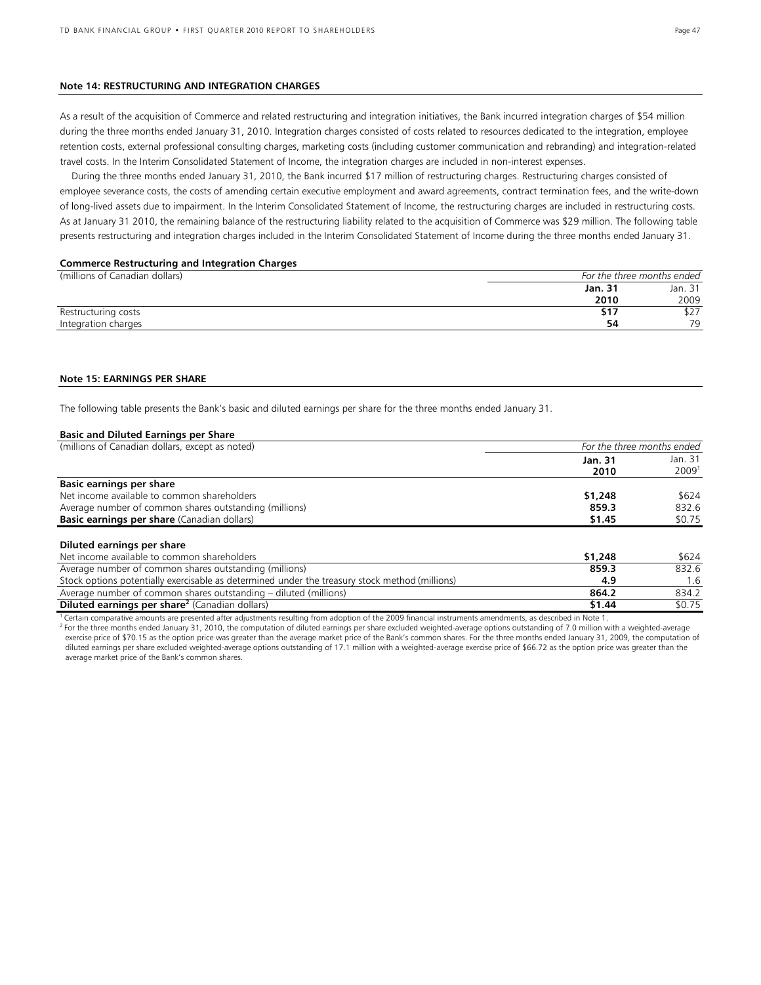#### **Note 14: RESTRUCTURING AND INTEGRATION CHARGES**

As a result of the acquisition of Commerce and related restructuring and integration initiatives, the Bank incurred integration charges of \$54 million during the three months ended January 31, 2010. Integration charges consisted of costs related to resources dedicated to the integration, employee retention costs, external professional consulting charges, marketing costs (including customer communication and rebranding) and integration-related travel costs. In the Interim Consolidated Statement of Income, the integration charges are included in non-interest expenses.

During the three months ended January 31, 2010, the Bank incurred \$17 million of restructuring charges. Restructuring charges consisted of employee severance costs, the costs of amending certain executive employment and award agreements, contract termination fees, and the write-down of long-lived assets due to impairment. In the Interim Consolidated Statement of Income, the restructuring charges are included in restructuring costs. As at January 31 2010, the remaining balance of the restructuring liability related to the acquisition of Commerce was \$29 million. The following table presents restructuring and integration charges included in the Interim Consolidated Statement of Income during the three months ended January 31.

#### **Commerce Restructuring and Integration Charges**

| (millions of Canadian dollars) | For the three months ended |         |  |
|--------------------------------|----------------------------|---------|--|
|                                | Jan. 31                    | Jan. 31 |  |
|                                | 2010                       | 2009    |  |
| Restructuring costs            | 517                        | DZ 1    |  |
| Integration charges            | 54                         | 70      |  |

#### **Note 15: EARNINGS PER SHARE**

The following table presents the Bank's basic and diluted earnings per share for the three months ended January 31.

| <b>Basic and Diluted Earnings per Share</b>                                                    |                            |                   |  |
|------------------------------------------------------------------------------------------------|----------------------------|-------------------|--|
| (millions of Canadian dollars, except as noted)                                                | For the three months ended |                   |  |
|                                                                                                | Jan. 31                    | Jan. 31           |  |
|                                                                                                | 2010                       | 2009 <sup>1</sup> |  |
| <b>Basic earnings per share</b>                                                                |                            |                   |  |
| Net income available to common shareholders                                                    | \$1,248                    | \$624             |  |
| Average number of common shares outstanding (millions)                                         | 859.3                      | 832.6             |  |
| Basic earnings per share (Canadian dollars)                                                    | \$1.45                     | \$0.75            |  |
| Diluted earnings per share                                                                     |                            |                   |  |
| Net income available to common shareholders                                                    | \$1,248                    | \$624             |  |
| Average number of common shares outstanding (millions)                                         | 859.3                      | 832.6             |  |
| Stock options potentially exercisable as determined under the treasury stock method (millions) | 4.9                        | 1.6               |  |
| Average number of common shares outstanding – diluted (millions)                               | 864.2                      | 834.2             |  |
| Diluted earnings per share <sup>2</sup> (Canadian dollars)                                     | \$1.44                     | \$0.75            |  |

Certain comparative amounts are presented after adjustments resulting from adoption of the 2009 financial instruments amendments, as described in Note 1.

<sup>2</sup> For the three months ended January 31, 2010, the computation of diluted earnings per share excluded weighted-average options outstanding of 7.0 million with a weighted-average exercise price of \$70.15 as the option price was greater than the average market price of the Bank's common shares. For the three months ended January 31, 2009, the computation of diluted earnings per share excluded weighted-average options outstanding of 17.1 million with a weighted-average exercise price of \$66.72 as the option price was greater than the average market price of the Bank's common shares.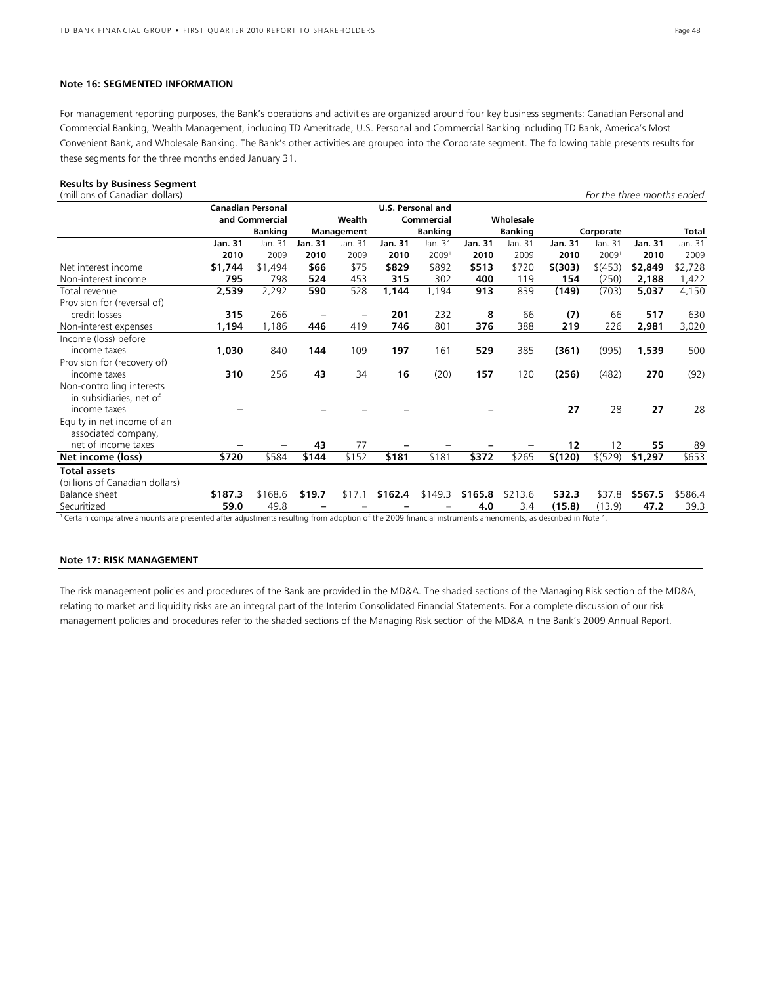#### **Note 16: SEGMENTED INFORMATION**

For management reporting purposes, the Bank's operations and activities are organized around four key business segments: Canadian Personal and Commercial Banking, Wealth Management, including TD Ameritrade, U.S. Personal and Commercial Banking including TD Bank, America's Most Convenient Bank, and Wholesale Banking. The Bank's other activities are grouped into the Corporate segment. The following table presents results for these segments for the three months ended January 31.

#### **Results by Business Segment**

| (millions of Canadian dollars)                                                                                                                            |                          |                |                |                              |         |                   |                |           |         |                   | For the three months ended |           |  |              |
|-----------------------------------------------------------------------------------------------------------------------------------------------------------|--------------------------|----------------|----------------|------------------------------|---------|-------------------|----------------|-----------|---------|-------------------|----------------------------|-----------|--|--------------|
|                                                                                                                                                           | <b>Canadian Personal</b> |                |                |                              |         | U.S. Personal and |                |           |         |                   |                            |           |  |              |
|                                                                                                                                                           |                          | and Commercial |                | Wealth                       |         | Commercial        |                | Wholesale |         |                   |                            |           |  |              |
|                                                                                                                                                           | <b>Banking</b>           |                |                | <b>Banking</b><br>Management |         |                   |                |           |         | <b>Banking</b>    |                            | Corporate |  | <b>Total</b> |
|                                                                                                                                                           | <b>Jan. 31</b>           | Jan. 31        | <b>Jan. 31</b> | Jan. 31                      | Jan. 31 | Jan. 31           | <b>Jan. 31</b> | Jan. 31   | Jan. 31 | Jan. 31           | Jan. 31                    | Jan. 31   |  |              |
|                                                                                                                                                           | 2010                     | 2009           | 2010           | 2009                         | 2010    | 2009 <sup>1</sup> | 2010           | 2009      | 2010    | 2009 <sup>1</sup> | 2010                       | 2009      |  |              |
| Net interest income                                                                                                                                       | \$1,744                  | \$1,494        | \$66           | \$75                         | \$829   | \$892             | \$513          | \$720     | \$(303) | \$(453)           | \$2,849                    | \$2,728   |  |              |
| Non-interest income                                                                                                                                       | 795                      | 798            | 524            | 453                          | 315     | 302               | 400            | 119       | 154     | (250)             | 2,188                      | 1,422     |  |              |
| Total revenue                                                                                                                                             | 2,539                    | 2,292          | 590            | 528                          | 1,144   | 1,194             | 913            | 839       | (149)   | (703)             | 5,037                      | 4,150     |  |              |
| Provision for (reversal of)                                                                                                                               |                          |                |                |                              |         |                   |                |           |         |                   |                            |           |  |              |
| credit losses                                                                                                                                             | 315                      | 266            |                |                              | 201     | 232               | 8              | 66        | (7)     | 66                | 517                        | 630       |  |              |
| Non-interest expenses                                                                                                                                     | 1,194                    | 1,186          | 446            | 419                          | 746     | 801               | 376            | 388       | 219     | 226               | 2,981                      | 3,020     |  |              |
| Income (loss) before                                                                                                                                      |                          |                |                |                              |         |                   |                |           |         |                   |                            |           |  |              |
| income taxes                                                                                                                                              | 1,030                    | 840            | 144            | 109                          | 197     | 161               | 529            | 385       | (361)   | (995)             | 1,539                      | 500       |  |              |
| Provision for (recovery of)                                                                                                                               |                          |                |                |                              |         |                   |                |           |         |                   |                            |           |  |              |
| income taxes                                                                                                                                              | 310                      | 256            | 43             | 34                           | 16      | (20)              | 157            | 120       | (256)   | (482)             | 270                        | (92)      |  |              |
| Non-controlling interests                                                                                                                                 |                          |                |                |                              |         |                   |                |           |         |                   |                            |           |  |              |
| in subsidiaries, net of                                                                                                                                   |                          |                |                |                              |         |                   |                |           |         |                   |                            |           |  |              |
| income taxes                                                                                                                                              |                          |                |                |                              |         |                   |                |           | 27      | 28                | 27                         | 28        |  |              |
| Equity in net income of an                                                                                                                                |                          |                |                |                              |         |                   |                |           |         |                   |                            |           |  |              |
| associated company,                                                                                                                                       |                          |                |                |                              |         |                   |                |           |         |                   |                            |           |  |              |
| net of income taxes                                                                                                                                       |                          |                | 43             | 77                           |         |                   |                |           | 12      | 12                | 55                         | 89        |  |              |
| Net income (loss)                                                                                                                                         | \$720                    | \$584          | \$144          | \$152                        | \$181   | \$181             | \$372          | \$265     | \$(120) | \$ (529)          | \$1,297                    | \$653     |  |              |
| <b>Total assets</b>                                                                                                                                       |                          |                |                |                              |         |                   |                |           |         |                   |                            |           |  |              |
| (billions of Canadian dollars)                                                                                                                            |                          |                |                |                              |         |                   |                |           |         |                   |                            |           |  |              |
| Balance sheet                                                                                                                                             | \$187.3                  | \$168.6        | \$19.7         | \$17.1                       | \$162.4 | \$149.3           | \$165.8        | \$213.6   | \$32.3  | \$37.8            | \$567.5                    | \$586.4   |  |              |
| Securitized                                                                                                                                               | 59.0                     | 49.8           |                |                              |         |                   | 4.0            | 3.4       | (15.8)  | (13.9)            | 47.2                       | 39.3      |  |              |
| Certain comparative amounts are presented after adjustments resulting from adoption of the 2009 financial instruments amendments, as described in Note 1. |                          |                |                |                              |         |                   |                |           |         |                   |                            |           |  |              |

#### **Note 17: RISK MANAGEMENT**

The risk management policies and procedures of the Bank are provided in the MD&A. The shaded sections of the Managing Risk section of the MD&A, relating to market and liquidity risks are an integral part of the Interim Consolidated Financial Statements. For a complete discussion of our risk management policies and procedures refer to the shaded sections of the Managing Risk section of the MD&A in the Bank's 2009 Annual Report.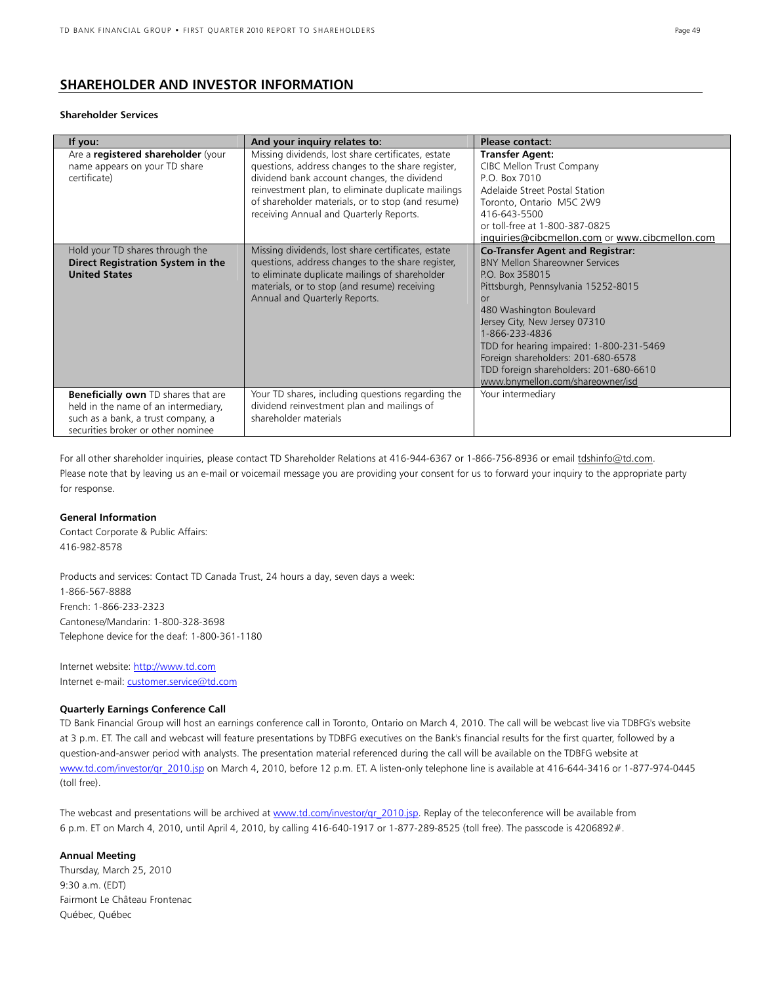### **SHAREHOLDER AND INVESTOR INFORMATION**

#### **Shareholder Services**

| If you:                                                                                                                                                        | And your inquiry relates to:                                                                                                                                                                                                                                                                                 | <b>Please contact:</b>                                                                                                                                                                                                                                                                                                                                                                        |
|----------------------------------------------------------------------------------------------------------------------------------------------------------------|--------------------------------------------------------------------------------------------------------------------------------------------------------------------------------------------------------------------------------------------------------------------------------------------------------------|-----------------------------------------------------------------------------------------------------------------------------------------------------------------------------------------------------------------------------------------------------------------------------------------------------------------------------------------------------------------------------------------------|
| Are a registered shareholder (your<br>name appears on your TD share<br>certificate)                                                                            | Missing dividends, lost share certificates, estate<br>questions, address changes to the share register,<br>dividend bank account changes, the dividend<br>reinvestment plan, to eliminate duplicate mailings<br>of shareholder materials, or to stop (and resume)<br>receiving Annual and Quarterly Reports. | <b>Transfer Agent:</b><br>CIBC Mellon Trust Company<br>P.O. Box 7010<br>Adelaide Street Postal Station<br>Toronto, Ontario M5C 2W9<br>416-643-5500<br>or toll-free at 1-800-387-0825<br>inquiries@cibcmellon.com or www.cibcmellon.com                                                                                                                                                        |
| Hold your TD shares through the<br>Direct Registration System in the<br><b>United States</b>                                                                   | Missing dividends, lost share certificates, estate<br>questions, address changes to the share register,<br>to eliminate duplicate mailings of shareholder<br>materials, or to stop (and resume) receiving<br>Annual and Quarterly Reports.                                                                   | <b>Co-Transfer Agent and Registrar:</b><br><b>BNY Mellon Shareowner Services</b><br>PO Box 358015<br>Pittsburgh, Pennsylvania 15252-8015<br>or<br>480 Washington Boulevard<br>Jersey City, New Jersey 07310<br>1-866-233-4836<br>TDD for hearing impaired: 1-800-231-5469<br>Foreign shareholders: 201-680-6578<br>TDD foreign shareholders: 201-680-6610<br>www.bnymellon.com/shareowner/isd |
| <b>Beneficially own</b> TD shares that are<br>held in the name of an intermediary,<br>such as a bank, a trust company, a<br>securities broker or other nominee | Your TD shares, including questions regarding the<br>dividend reinvestment plan and mailings of<br>shareholder materials                                                                                                                                                                                     | Your intermediary                                                                                                                                                                                                                                                                                                                                                                             |

For all other shareholder inquiries, please contact TD Shareholder Relations at 416-944-6367 or 1-866-756-8936 or email tdshinfo@td.com. Please note that by leaving us an e-mail or voicemail message you are providing your consent for us to forward your inquiry to the appropriate party for response.

#### **General Information**

Contact Corporate & Public Affairs: 416-982-8578

Products and services: Contact TD Canada Trust, 24 hours a day, seven days a week: 1-866-567-8888 French: 1-866-233-2323 Cantonese/Mandarin: 1-800-328-3698 Telephone device for the deaf: 1-800-361-1180

Internet website: http://www.td.com Internet e-mail: customer.service@td.com

#### **Quarterly Earnings Conference Call**

TD Bank Financial Group will host an earnings conference call in Toronto, Ontario on March 4, 2010. The call will be webcast live via TDBFG's website at 3 p.m. ET. The call and webcast will feature presentations by TDBFG executives on the Bank's financial results for the first quarter, followed by a question-and-answer period with analysts. The presentation material referenced during the call will be available on the TDBFG website at www.td.com/investor/qr\_2010.jsp on March 4, 2010, before 12 p.m. ET. A listen-only telephone line is available at 416-644-3416 or 1-877-974-0445 (toll free).

The webcast and presentations will be archived at www.td.com/investor/qr\_2010.jsp. Replay of the teleconference will be available from 6 p.m. ET on March 4, 2010, until April 4, 2010, by calling 416-640-1917 or 1-877-289-8525 (toll free). The passcode is 4206892#.

#### **Annual Meeting**

Thursday, March 25, 2010 9:30 a.m. (EDT) Fairmont Le Château Frontenac Québec, Québec